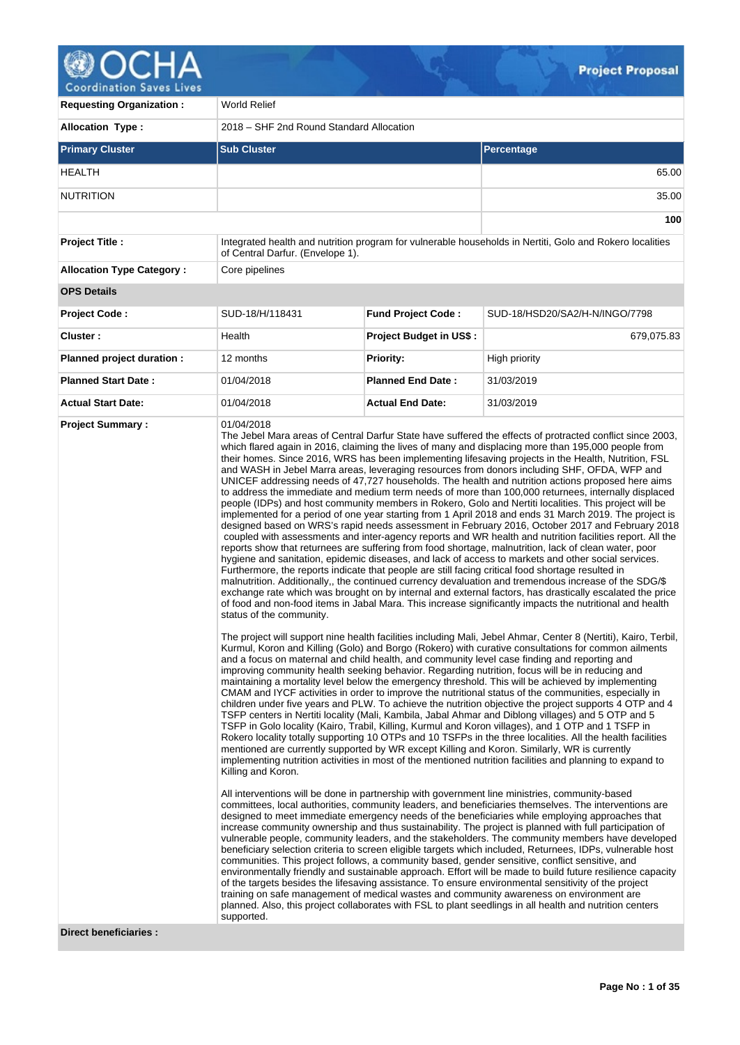

| <b>Requesting Organization:</b>  | <b>World Relief</b>                                          |                                |                                                                                                                                                                                                                                                                                                                                                                                                                                                                                                                                                                                                                                                                                                                                                                                                                                                                                                                                                                                                                                                                                                                                                                                                                                                                                                                                                                                                                                                                                                                                                                                                                                                                                                                                                                                                                                                                                                                                                                                                                                                                                                                                                                                                                                                                                                                                                                                                                                                                                                                                                                                                                                                                                                                                                                                                                                                                                                                                                                                                                                                                                                                                                                                                                                                                                                                                                                                                                                                                                                                                                                                                                                                                                                                                                                                                                                                                                                                                                                                                                                                                                                                                                                                                      |  |  |
|----------------------------------|--------------------------------------------------------------|--------------------------------|------------------------------------------------------------------------------------------------------------------------------------------------------------------------------------------------------------------------------------------------------------------------------------------------------------------------------------------------------------------------------------------------------------------------------------------------------------------------------------------------------------------------------------------------------------------------------------------------------------------------------------------------------------------------------------------------------------------------------------------------------------------------------------------------------------------------------------------------------------------------------------------------------------------------------------------------------------------------------------------------------------------------------------------------------------------------------------------------------------------------------------------------------------------------------------------------------------------------------------------------------------------------------------------------------------------------------------------------------------------------------------------------------------------------------------------------------------------------------------------------------------------------------------------------------------------------------------------------------------------------------------------------------------------------------------------------------------------------------------------------------------------------------------------------------------------------------------------------------------------------------------------------------------------------------------------------------------------------------------------------------------------------------------------------------------------------------------------------------------------------------------------------------------------------------------------------------------------------------------------------------------------------------------------------------------------------------------------------------------------------------------------------------------------------------------------------------------------------------------------------------------------------------------------------------------------------------------------------------------------------------------------------------------------------------------------------------------------------------------------------------------------------------------------------------------------------------------------------------------------------------------------------------------------------------------------------------------------------------------------------------------------------------------------------------------------------------------------------------------------------------------------------------------------------------------------------------------------------------------------------------------------------------------------------------------------------------------------------------------------------------------------------------------------------------------------------------------------------------------------------------------------------------------------------------------------------------------------------------------------------------------------------------------------------------------------------------------------------------------------------------------------------------------------------------------------------------------------------------------------------------------------------------------------------------------------------------------------------------------------------------------------------------------------------------------------------------------------------------------------------------------------------------------------------------------------------------|--|--|
| <b>Allocation Type:</b>          | 2018 - SHF 2nd Round Standard Allocation                     |                                |                                                                                                                                                                                                                                                                                                                                                                                                                                                                                                                                                                                                                                                                                                                                                                                                                                                                                                                                                                                                                                                                                                                                                                                                                                                                                                                                                                                                                                                                                                                                                                                                                                                                                                                                                                                                                                                                                                                                                                                                                                                                                                                                                                                                                                                                                                                                                                                                                                                                                                                                                                                                                                                                                                                                                                                                                                                                                                                                                                                                                                                                                                                                                                                                                                                                                                                                                                                                                                                                                                                                                                                                                                                                                                                                                                                                                                                                                                                                                                                                                                                                                                                                                                                                      |  |  |
| <b>Primary Cluster</b>           | <b>Sub Cluster</b>                                           |                                | Percentage                                                                                                                                                                                                                                                                                                                                                                                                                                                                                                                                                                                                                                                                                                                                                                                                                                                                                                                                                                                                                                                                                                                                                                                                                                                                                                                                                                                                                                                                                                                                                                                                                                                                                                                                                                                                                                                                                                                                                                                                                                                                                                                                                                                                                                                                                                                                                                                                                                                                                                                                                                                                                                                                                                                                                                                                                                                                                                                                                                                                                                                                                                                                                                                                                                                                                                                                                                                                                                                                                                                                                                                                                                                                                                                                                                                                                                                                                                                                                                                                                                                                                                                                                                                           |  |  |
| <b>HEALTH</b>                    |                                                              |                                | 65.00                                                                                                                                                                                                                                                                                                                                                                                                                                                                                                                                                                                                                                                                                                                                                                                                                                                                                                                                                                                                                                                                                                                                                                                                                                                                                                                                                                                                                                                                                                                                                                                                                                                                                                                                                                                                                                                                                                                                                                                                                                                                                                                                                                                                                                                                                                                                                                                                                                                                                                                                                                                                                                                                                                                                                                                                                                                                                                                                                                                                                                                                                                                                                                                                                                                                                                                                                                                                                                                                                                                                                                                                                                                                                                                                                                                                                                                                                                                                                                                                                                                                                                                                                                                                |  |  |
| <b>NUTRITION</b>                 |                                                              |                                | 35.00                                                                                                                                                                                                                                                                                                                                                                                                                                                                                                                                                                                                                                                                                                                                                                                                                                                                                                                                                                                                                                                                                                                                                                                                                                                                                                                                                                                                                                                                                                                                                                                                                                                                                                                                                                                                                                                                                                                                                                                                                                                                                                                                                                                                                                                                                                                                                                                                                                                                                                                                                                                                                                                                                                                                                                                                                                                                                                                                                                                                                                                                                                                                                                                                                                                                                                                                                                                                                                                                                                                                                                                                                                                                                                                                                                                                                                                                                                                                                                                                                                                                                                                                                                                                |  |  |
|                                  |                                                              |                                | 100                                                                                                                                                                                                                                                                                                                                                                                                                                                                                                                                                                                                                                                                                                                                                                                                                                                                                                                                                                                                                                                                                                                                                                                                                                                                                                                                                                                                                                                                                                                                                                                                                                                                                                                                                                                                                                                                                                                                                                                                                                                                                                                                                                                                                                                                                                                                                                                                                                                                                                                                                                                                                                                                                                                                                                                                                                                                                                                                                                                                                                                                                                                                                                                                                                                                                                                                                                                                                                                                                                                                                                                                                                                                                                                                                                                                                                                                                                                                                                                                                                                                                                                                                                                                  |  |  |
| <b>Project Title:</b>            | of Central Darfur. (Envelope 1).                             |                                | Integrated health and nutrition program for vulnerable households in Nertiti, Golo and Rokero localities                                                                                                                                                                                                                                                                                                                                                                                                                                                                                                                                                                                                                                                                                                                                                                                                                                                                                                                                                                                                                                                                                                                                                                                                                                                                                                                                                                                                                                                                                                                                                                                                                                                                                                                                                                                                                                                                                                                                                                                                                                                                                                                                                                                                                                                                                                                                                                                                                                                                                                                                                                                                                                                                                                                                                                                                                                                                                                                                                                                                                                                                                                                                                                                                                                                                                                                                                                                                                                                                                                                                                                                                                                                                                                                                                                                                                                                                                                                                                                                                                                                                                             |  |  |
| <b>Allocation Type Category:</b> | Core pipelines                                               |                                |                                                                                                                                                                                                                                                                                                                                                                                                                                                                                                                                                                                                                                                                                                                                                                                                                                                                                                                                                                                                                                                                                                                                                                                                                                                                                                                                                                                                                                                                                                                                                                                                                                                                                                                                                                                                                                                                                                                                                                                                                                                                                                                                                                                                                                                                                                                                                                                                                                                                                                                                                                                                                                                                                                                                                                                                                                                                                                                                                                                                                                                                                                                                                                                                                                                                                                                                                                                                                                                                                                                                                                                                                                                                                                                                                                                                                                                                                                                                                                                                                                                                                                                                                                                                      |  |  |
| <b>OPS Details</b>               |                                                              |                                |                                                                                                                                                                                                                                                                                                                                                                                                                                                                                                                                                                                                                                                                                                                                                                                                                                                                                                                                                                                                                                                                                                                                                                                                                                                                                                                                                                                                                                                                                                                                                                                                                                                                                                                                                                                                                                                                                                                                                                                                                                                                                                                                                                                                                                                                                                                                                                                                                                                                                                                                                                                                                                                                                                                                                                                                                                                                                                                                                                                                                                                                                                                                                                                                                                                                                                                                                                                                                                                                                                                                                                                                                                                                                                                                                                                                                                                                                                                                                                                                                                                                                                                                                                                                      |  |  |
| <b>Project Code:</b>             | SUD-18/H/118431                                              | <b>Fund Project Code:</b>      | SUD-18/HSD20/SA2/H-N/INGO/7798                                                                                                                                                                                                                                                                                                                                                                                                                                                                                                                                                                                                                                                                                                                                                                                                                                                                                                                                                                                                                                                                                                                                                                                                                                                                                                                                                                                                                                                                                                                                                                                                                                                                                                                                                                                                                                                                                                                                                                                                                                                                                                                                                                                                                                                                                                                                                                                                                                                                                                                                                                                                                                                                                                                                                                                                                                                                                                                                                                                                                                                                                                                                                                                                                                                                                                                                                                                                                                                                                                                                                                                                                                                                                                                                                                                                                                                                                                                                                                                                                                                                                                                                                                       |  |  |
| Cluster:                         | Health                                                       | <b>Project Budget in US\$:</b> | 679,075.83                                                                                                                                                                                                                                                                                                                                                                                                                                                                                                                                                                                                                                                                                                                                                                                                                                                                                                                                                                                                                                                                                                                                                                                                                                                                                                                                                                                                                                                                                                                                                                                                                                                                                                                                                                                                                                                                                                                                                                                                                                                                                                                                                                                                                                                                                                                                                                                                                                                                                                                                                                                                                                                                                                                                                                                                                                                                                                                                                                                                                                                                                                                                                                                                                                                                                                                                                                                                                                                                                                                                                                                                                                                                                                                                                                                                                                                                                                                                                                                                                                                                                                                                                                                           |  |  |
| Planned project duration :       | 12 months                                                    | <b>Priority:</b>               | High priority                                                                                                                                                                                                                                                                                                                                                                                                                                                                                                                                                                                                                                                                                                                                                                                                                                                                                                                                                                                                                                                                                                                                                                                                                                                                                                                                                                                                                                                                                                                                                                                                                                                                                                                                                                                                                                                                                                                                                                                                                                                                                                                                                                                                                                                                                                                                                                                                                                                                                                                                                                                                                                                                                                                                                                                                                                                                                                                                                                                                                                                                                                                                                                                                                                                                                                                                                                                                                                                                                                                                                                                                                                                                                                                                                                                                                                                                                                                                                                                                                                                                                                                                                                                        |  |  |
| <b>Planned Start Date:</b>       | 01/04/2018                                                   | <b>Planned End Date:</b>       | 31/03/2019                                                                                                                                                                                                                                                                                                                                                                                                                                                                                                                                                                                                                                                                                                                                                                                                                                                                                                                                                                                                                                                                                                                                                                                                                                                                                                                                                                                                                                                                                                                                                                                                                                                                                                                                                                                                                                                                                                                                                                                                                                                                                                                                                                                                                                                                                                                                                                                                                                                                                                                                                                                                                                                                                                                                                                                                                                                                                                                                                                                                                                                                                                                                                                                                                                                                                                                                                                                                                                                                                                                                                                                                                                                                                                                                                                                                                                                                                                                                                                                                                                                                                                                                                                                           |  |  |
| <b>Actual Start Date:</b>        | 01/04/2018                                                   | <b>Actual End Date:</b>        | 31/03/2019                                                                                                                                                                                                                                                                                                                                                                                                                                                                                                                                                                                                                                                                                                                                                                                                                                                                                                                                                                                                                                                                                                                                                                                                                                                                                                                                                                                                                                                                                                                                                                                                                                                                                                                                                                                                                                                                                                                                                                                                                                                                                                                                                                                                                                                                                                                                                                                                                                                                                                                                                                                                                                                                                                                                                                                                                                                                                                                                                                                                                                                                                                                                                                                                                                                                                                                                                                                                                                                                                                                                                                                                                                                                                                                                                                                                                                                                                                                                                                                                                                                                                                                                                                                           |  |  |
| <b>Direct beneficiaries:</b>     | status of the community.<br>Killing and Koron.<br>supported. |                                | The Jebel Mara areas of Central Darfur State have suffered the effects of protracted conflict since 2003,<br>which flared again in 2016, claiming the lives of many and displacing more than 195,000 people from<br>their homes. Since 2016, WRS has been implementing lifesaving projects in the Health, Nutrition, FSL<br>and WASH in Jebel Marra areas, leveraging resources from donors including SHF, OFDA, WFP and<br>UNICEF addressing needs of 47,727 households. The health and nutrition actions proposed here aims<br>to address the immediate and medium term needs of more than 100,000 returnees, internally displaced<br>people (IDPs) and host community members in Rokero, Golo and Nertiti localities. This project will be<br>implemented for a period of one year starting from 1 April 2018 and ends 31 March 2019. The project is<br>designed based on WRS's rapid needs assessment in February 2016, October 2017 and February 2018<br>coupled with assessments and inter-agency reports and WR health and nutrition facilities report. All the<br>reports show that returnees are suffering from food shortage, malnutrition, lack of clean water, poor<br>hygiene and sanitation, epidemic diseases, and lack of access to markets and other social services.<br>Furthermore, the reports indicate that people are still facing critical food shortage resulted in<br>malnutrition. Additionally, the continued currency devaluation and tremendous increase of the SDG/\$<br>exchange rate which was brought on by internal and external factors, has drastically escalated the price<br>of food and non-food items in Jabal Mara. This increase significantly impacts the nutritional and health<br>The project will support nine health facilities including Mali, Jebel Ahmar, Center 8 (Nertiti), Kairo, Terbil,<br>Kurmul, Koron and Killing (Golo) and Borgo (Rokero) with curative consultations for common ailments<br>and a focus on maternal and child health, and community level case finding and reporting and<br>improving community health seeking behavior. Regarding nutrition, focus will be in reducing and<br>maintaining a mortality level below the emergency threshold. This will be achieved by implementing<br>CMAM and IYCF activities in order to improve the nutritional status of the communities, especially in<br>children under five years and PLW. To achieve the nutrition objective the project supports 4 OTP and 4<br>TSFP centers in Nertiti locality (Mali, Kambila, Jabal Ahmar and Diblong villages) and 5 OTP and 5<br>TSFP in Golo locality (Kairo, Trabil, Killing, Kurmul and Koron villages), and 1 OTP and 1 TSFP in<br>Rokero locality totally supporting 10 OTPs and 10 TSFPs in the three localities. All the health facilities<br>mentioned are currently supported by WR except Killing and Koron. Similarly, WR is currently<br>implementing nutrition activities in most of the mentioned nutrition facilities and planning to expand to<br>All interventions will be done in partnership with government line ministries, community-based<br>committees, local authorities, community leaders, and beneficiaries themselves. The interventions are<br>designed to meet immediate emergency needs of the beneficiaries while employing approaches that<br>increase community ownership and thus sustainability. The project is planned with full participation of<br>vulnerable people, community leaders, and the stakeholders. The community members have developed<br>beneficiary selection criteria to screen eligible targets which included, Returnees, IDPs, vulnerable host<br>communities. This project follows, a community based, gender sensitive, conflict sensitive, and<br>environmentally friendly and sustainable approach. Effort will be made to build future resilience capacity<br>of the targets besides the lifesaving assistance. To ensure environmental sensitivity of the project<br>training on safe management of medical wastes and community awareness on environment are<br>planned. Also, this project collaborates with FSL to plant seedlings in all health and nutrition centers |  |  |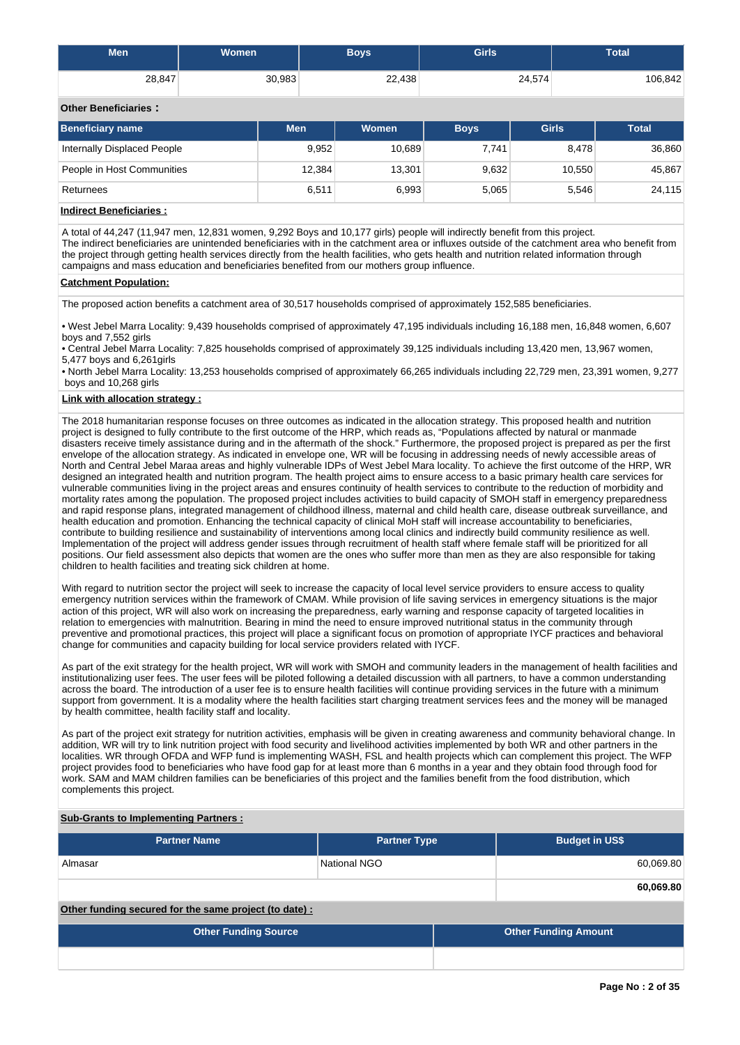| <b>Men</b> | <b>Women</b> | Boys   | <b>Girls</b> | <b>Total</b> |
|------------|--------------|--------|--------------|--------------|
| 28,847     | 30,983       | 22,438 | 24,574       | 106,842      |

# **Other Beneficiaries :**

| Beneficiary name            | <b>Men</b> | Women  | <b>Boys</b> | Girls  | <b>Total</b> |
|-----------------------------|------------|--------|-------------|--------|--------------|
| Internally Displaced People | 9,952      | 10,689 | 7.741       | 8,478  | 36,860       |
| People in Host Communities  | 12,384     | 13,301 | 9,632       | 10,550 | 45,867       |
| Returnees                   | 6,511      | 6,993  | 5,065       | 5,546  | 24,115       |
|                             |            |        |             |        |              |

# **Indirect Beneficiaries :**

A total of 44,247 (11,947 men, 12,831 women, 9,292 Boys and 10,177 girls) people will indirectly benefit from this project. The indirect beneficiaries are unintended beneficiaries with in the catchment area or influxes outside of the catchment area who benefit from the project through getting health services directly from the health facilities, who gets health and nutrition related information through campaigns and mass education and beneficiaries benefited from our mothers group influence.

## **Catchment Population:**

The proposed action benefits a catchment area of 30,517 households comprised of approximately 152,585 beneficiaries.

• West Jebel Marra Locality: 9,439 households comprised of approximately 47,195 individuals including 16,188 men, 16,848 women, 6,607 boys and 7,552 girls

• Central Jebel Marra Locality: 7,825 households comprised of approximately 39,125 individuals including 13,420 men, 13,967 women, 5,477 boys and 6,261girls

• North Jebel Marra Locality: 13,253 households comprised of approximately 66,265 individuals including 22,729 men, 23,391 women, 9,277 boys and 10,268 girls

# **Link with allocation strategy :**

The 2018 humanitarian response focuses on three outcomes as indicated in the allocation strategy. This proposed health and nutrition project is designed to fully contribute to the first outcome of the HRP, which reads as, "Populations affected by natural or manmade disasters receive timely assistance during and in the aftermath of the shock." Furthermore, the proposed project is prepared as per the first envelope of the allocation strategy. As indicated in envelope one, WR will be focusing in addressing needs of newly accessible areas of North and Central Jebel Maraa areas and highly vulnerable IDPs of West Jebel Mara locality. To achieve the first outcome of the HRP, WR designed an integrated health and nutrition program. The health project aims to ensure access to a basic primary health care services for vulnerable communities living in the project areas and ensures continuity of health services to contribute to the reduction of morbidity and mortality rates among the population. The proposed project includes activities to build capacity of SMOH staff in emergency preparedness and rapid response plans, integrated management of childhood illness, maternal and child health care, disease outbreak surveillance, and health education and promotion. Enhancing the technical capacity of clinical MoH staff will increase accountability to beneficiaries, contribute to building resilience and sustainability of interventions among local clinics and indirectly build community resilience as well. Implementation of the project will address gender issues through recruitment of health staff where female staff will be prioritized for all positions. Our field assessment also depicts that women are the ones who suffer more than men as they are also responsible for taking children to health facilities and treating sick children at home.

With regard to nutrition sector the project will seek to increase the capacity of local level service providers to ensure access to quality emergency nutrition services within the framework of CMAM. While provision of life saving services in emergency situations is the major action of this project, WR will also work on increasing the preparedness, early warning and response capacity of targeted localities in relation to emergencies with malnutrition. Bearing in mind the need to ensure improved nutritional status in the community through preventive and promotional practices, this project will place a significant focus on promotion of appropriate IYCF practices and behavioral change for communities and capacity building for local service providers related with IYCF.

As part of the exit strategy for the health project, WR will work with SMOH and community leaders in the management of health facilities and institutionalizing user fees. The user fees will be piloted following a detailed discussion with all partners, to have a common understanding across the board. The introduction of a user fee is to ensure health facilities will continue providing services in the future with a minimum support from government. It is a modality where the health facilities start charging treatment services fees and the money will be managed by health committee, health facility staff and locality.

As part of the project exit strategy for nutrition activities, emphasis will be given in creating awareness and community behavioral change. In addition, WR will try to link nutrition project with food security and livelihood activities implemented by both WR and other partners in the localities. WR through OFDA and WFP fund is implementing WASH, FSL and health projects which can complement this project. The WFP project provides food to beneficiaries who have food gap for at least more than 6 months in a year and they obtain food through food for work. SAM and MAM children families can be beneficiaries of this project and the families benefit from the food distribution, which complements this project.

### **Sub-Grants to Implementing Partners :**

| <b>Partner Name</b>                                   | <b>Partner Type</b> | <b>Budget in US\$</b>       |           |
|-------------------------------------------------------|---------------------|-----------------------------|-----------|
| Almasar                                               | National NGO        |                             | 60,069.80 |
|                                                       |                     |                             | 60,069.80 |
| Other funding secured for the same project (to date): |                     |                             |           |
| <b>Other Funding Source</b>                           |                     | <b>Other Funding Amount</b> |           |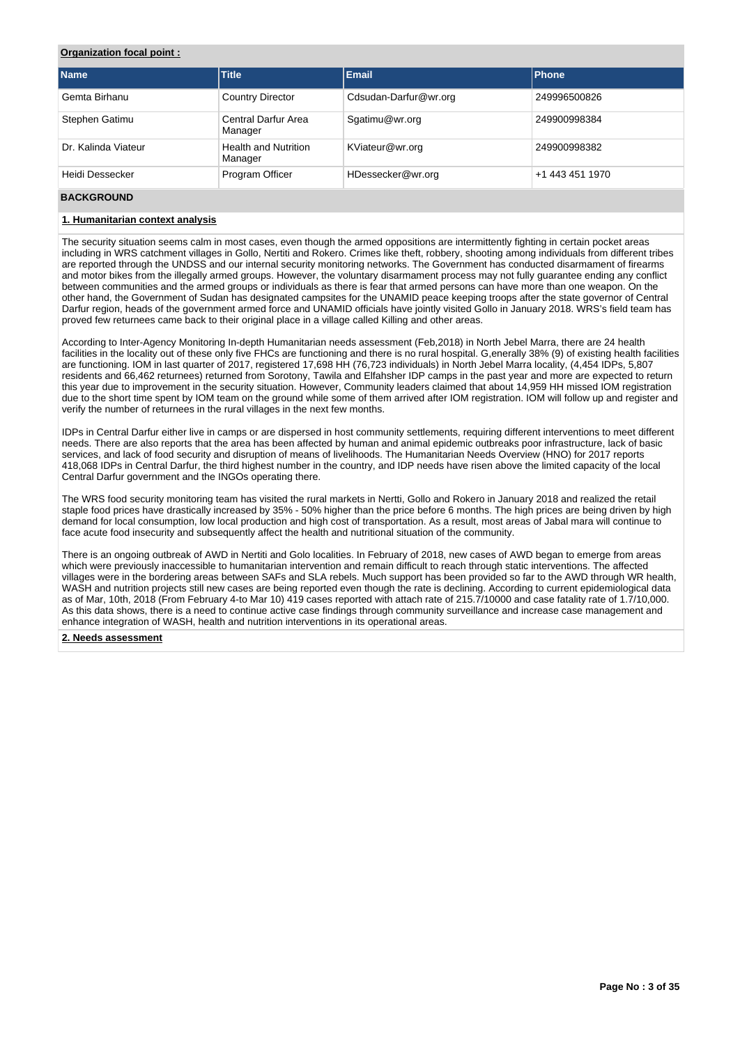# **Organization focal point :**

| <b>Name</b>         | <b>Title</b>                           | Email                 | Phone           |
|---------------------|----------------------------------------|-----------------------|-----------------|
| Gemta Birhanu       | <b>Country Director</b>                | Cdsudan-Darfur@wr.org | 249996500826    |
| Stephen Gatimu      | Central Darfur Area<br>Manager         | Sgatimu@wr.org        | 249900998384    |
| Dr. Kalinda Viateur | <b>Health and Nutrition</b><br>Manager | KViateur@wr.org       | 249900998382    |
| Heidi Dessecker     | Program Officer                        | HDessecker@wr.org     | +1 443 451 1970 |

# **BACKGROUND**

# **1. Humanitarian context analysis**

The security situation seems calm in most cases, even though the armed oppositions are intermittently fighting in certain pocket areas including in WRS catchment villages in Gollo, Nertiti and Rokero. Crimes like theft, robbery, shooting among individuals from different tribes are reported through the UNDSS and our internal security monitoring networks. The Government has conducted disarmament of firearms and motor bikes from the illegally armed groups. However, the voluntary disarmament process may not fully guarantee ending any conflict between communities and the armed groups or individuals as there is fear that armed persons can have more than one weapon. On the other hand, the Government of Sudan has designated campsites for the UNAMID peace keeping troops after the state governor of Central Darfur region, heads of the government armed force and UNAMID officials have jointly visited Gollo in January 2018. WRS's field team has proved few returnees came back to their original place in a village called Killing and other areas.

According to Inter-Agency Monitoring In-depth Humanitarian needs assessment (Feb,2018) in North Jebel Marra, there are 24 health facilities in the locality out of these only five FHCs are functioning and there is no rural hospital. G,enerally 38% (9) of existing health facilities are functioning. IOM in last quarter of 2017, registered 17,698 HH (76,723 individuals) in North Jebel Marra locality, (4,454 IDPs, 5,807 residents and 66,462 returnees) returned from Sorotony, Tawila and Elfahsher IDP camps in the past year and more are expected to return this year due to improvement in the security situation. However, Community leaders claimed that about 14,959 HH missed IOM registration due to the short time spent by IOM team on the ground while some of them arrived after IOM registration. IOM will follow up and register and verify the number of returnees in the rural villages in the next few months.

IDPs in Central Darfur either live in camps or are dispersed in host community settlements, requiring different interventions to meet different needs. There are also reports that the area has been affected by human and animal epidemic outbreaks poor infrastructure, lack of basic services, and lack of food security and disruption of means of livelihoods. The Humanitarian Needs Overview (HNO) for 2017 reports 418,068 IDPs in Central Darfur, the third highest number in the country, and IDP needs have risen above the limited capacity of the local Central Darfur government and the INGOs operating there.

The WRS food security monitoring team has visited the rural markets in Nertti, Gollo and Rokero in January 2018 and realized the retail staple food prices have drastically increased by 35% - 50% higher than the price before 6 months. The high prices are being driven by high demand for local consumption, low local production and high cost of transportation. As a result, most areas of Jabal mara will continue to face acute food insecurity and subsequently affect the health and nutritional situation of the community.

There is an ongoing outbreak of AWD in Nertiti and Golo localities. In February of 2018, new cases of AWD began to emerge from areas which were previously inaccessible to humanitarian intervention and remain difficult to reach through static interventions. The affected villages were in the bordering areas between SAFs and SLA rebels. Much support has been provided so far to the AWD through WR health, WASH and nutrition projects still new cases are being reported even though the rate is declining. According to current epidemiological data as of Mar, 10th, 2018 (From February 4-to Mar 10) 419 cases reported with attach rate of 215.7/10000 and case fatality rate of 1.7/10,000. As this data shows, there is a need to continue active case findings through community surveillance and increase case management and enhance integration of WASH, health and nutrition interventions in its operational areas.

### **2. Needs assessment**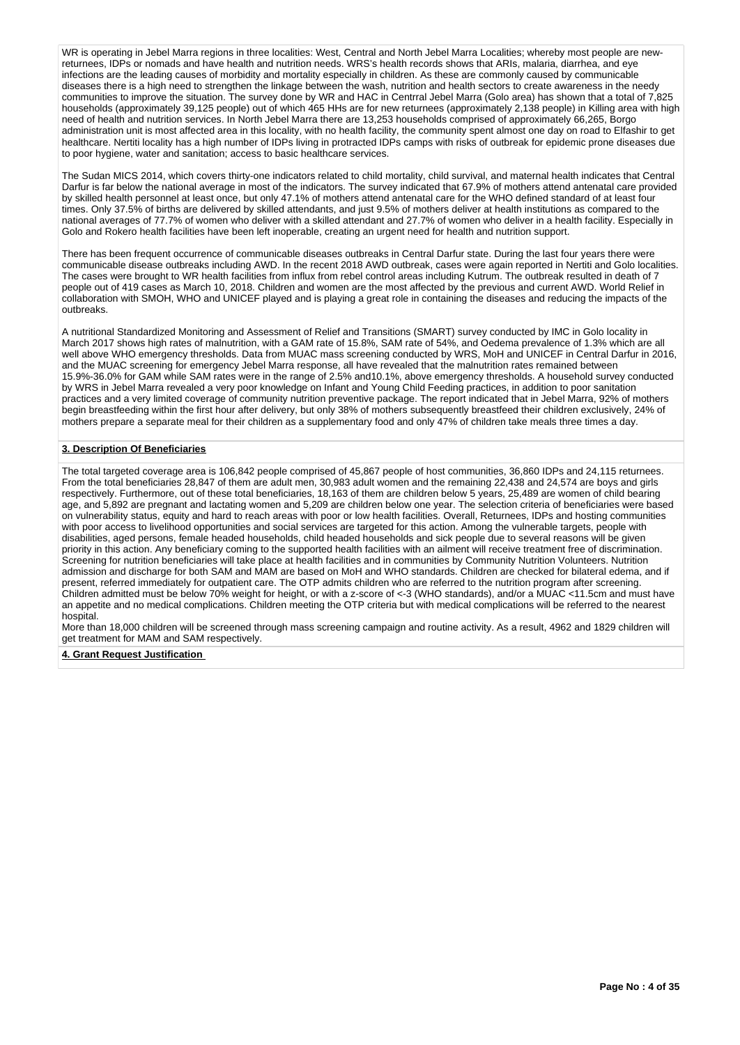WR is operating in Jebel Marra regions in three localities: West, Central and North Jebel Marra Localities; whereby most people are newreturnees, IDPs or nomads and have health and nutrition needs. WRS's health records shows that ARIs, malaria, diarrhea, and eye infections are the leading causes of morbidity and mortality especially in children. As these are commonly caused by communicable diseases there is a high need to strengthen the linkage between the wash, nutrition and health sectors to create awareness in the needy communities to improve the situation. The survey done by WR and HAC in Centrral Jebel Marra (Golo area) has shown that a total of 7,825 households (approximately 39,125 people) out of which 465 HHs are for new returnees (approximately 2,138 people) in Killing area with high need of health and nutrition services. In North Jebel Marra there are 13,253 households comprised of approximately 66,265, Borgo administration unit is most affected area in this locality, with no health facility, the community spent almost one day on road to Elfashir to get healthcare. Nertiti locality has a high number of IDPs living in protracted IDPs camps with risks of outbreak for epidemic prone diseases due to poor hygiene, water and sanitation; access to basic healthcare services.

The Sudan MICS 2014, which covers thirty-one indicators related to child mortality, child survival, and maternal health indicates that Central Darfur is far below the national average in most of the indicators. The survey indicated that 67.9% of mothers attend antenatal care provided by skilled health personnel at least once, but only 47.1% of mothers attend antenatal care for the WHO defined standard of at least four times. Only 37.5% of births are delivered by skilled attendants, and just 9.5% of mothers deliver at health institutions as compared to the national averages of 77.7% of women who deliver with a skilled attendant and 27.7% of women who deliver in a health facility. Especially in Golo and Rokero health facilities have been left inoperable, creating an urgent need for health and nutrition support.

There has been frequent occurrence of communicable diseases outbreaks in Central Darfur state. During the last four years there were communicable disease outbreaks including AWD. In the recent 2018 AWD outbreak, cases were again reported in Nertiti and Golo localities. The cases were brought to WR health facilities from influx from rebel control areas including Kutrum. The outbreak resulted in death of 7 people out of 419 cases as March 10, 2018. Children and women are the most affected by the previous and current AWD. World Relief in collaboration with SMOH, WHO and UNICEF played and is playing a great role in containing the diseases and reducing the impacts of the outbreaks.

A nutritional Standardized Monitoring and Assessment of Relief and Transitions (SMART) survey conducted by IMC in Golo locality in March 2017 shows high rates of malnutrition, with a GAM rate of 15.8%, SAM rate of 54%, and Oedema prevalence of 1.3% which are all well above WHO emergency thresholds. Data from MUAC mass screening conducted by WRS, MoH and UNICEF in Central Darfur in 2016, and the MUAC screening for emergency Jebel Marra response, all have revealed that the malnutrition rates remained between 15.9%-36.0% for GAM while SAM rates were in the range of 2.5% and10.1%, above emergency thresholds. A household survey conducted by WRS in Jebel Marra revealed a very poor knowledge on Infant and Young Child Feeding practices, in addition to poor sanitation practices and a very limited coverage of community nutrition preventive package. The report indicated that in Jebel Marra, 92% of mothers begin breastfeeding within the first hour after delivery, but only 38% of mothers subsequently breastfeed their children exclusively, 24% of mothers prepare a separate meal for their children as a supplementary food and only 47% of children take meals three times a day.

#### **3. Description Of Beneficiaries**

The total targeted coverage area is 106,842 people comprised of 45,867 people of host communities, 36,860 IDPs and 24,115 returnees. From the total beneficiaries 28,847 of them are adult men, 30,983 adult women and the remaining 22,438 and 24,574 are boys and girls respectively. Furthermore, out of these total beneficiaries, 18,163 of them are children below 5 years, 25,489 are women of child bearing age, and 5,892 are pregnant and lactating women and 5,209 are children below one year. The selection criteria of beneficiaries were based on vulnerability status, equity and hard to reach areas with poor or low health facilities. Overall, Returnees, IDPs and hosting communities with poor access to livelihood opportunities and social services are targeted for this action. Among the vulnerable targets, people with disabilities, aged persons, female headed households, child headed households and sick people due to several reasons will be given priority in this action. Any beneficiary coming to the supported health facilities with an ailment will receive treatment free of discrimination. Screening for nutrition beneficiaries will take place at health facilities and in communities by Community Nutrition Volunteers. Nutrition admission and discharge for both SAM and MAM are based on MoH and WHO standards. Children are checked for bilateral edema, and if present, referred immediately for outpatient care. The OTP admits children who are referred to the nutrition program after screening. Children admitted must be below 70% weight for height, or with a z-score of <-3 (WHO standards), and/or a MUAC <11.5cm and must have an appetite and no medical complications. Children meeting the OTP criteria but with medical complications will be referred to the nearest hospital.

More than 18,000 children will be screened through mass screening campaign and routine activity. As a result, 4962 and 1829 children will get treatment for MAM and SAM respectively.

#### **4. Grant Request Justification**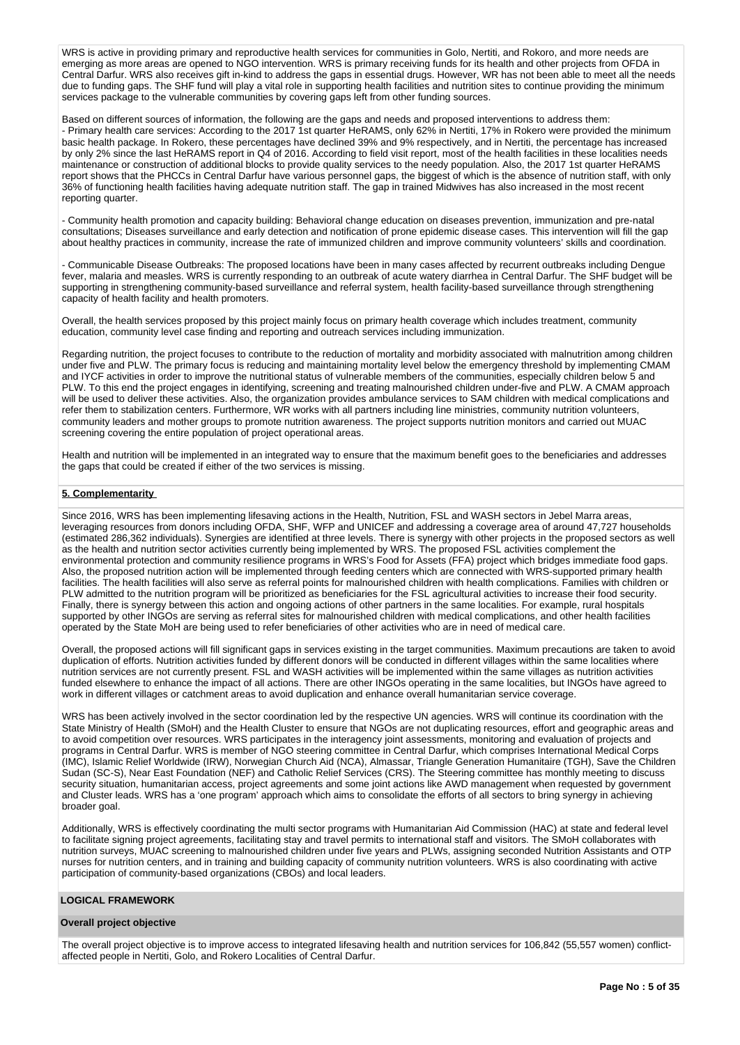WRS is active in providing primary and reproductive health services for communities in Golo, Nertiti, and Rokoro, and more needs are emerging as more areas are opened to NGO intervention. WRS is primary receiving funds for its health and other projects from OFDA in Central Darfur. WRS also receives gift in-kind to address the gaps in essential drugs. However, WR has not been able to meet all the needs due to funding gaps. The SHF fund will play a vital role in supporting health facilities and nutrition sites to continue providing the minimum services package to the vulnerable communities by covering gaps left from other funding sources.

Based on different sources of information, the following are the gaps and needs and proposed interventions to address them: - Primary health care services: According to the 2017 1st quarter HeRAMS, only 62% in Nertiti, 17% in Rokero were provided the minimum basic health package. In Rokero, these percentages have declined 39% and 9% respectively, and in Nertiti, the percentage has increased by only 2% since the last HeRAMS report in Q4 of 2016. According to field visit report, most of the health facilities in these localities needs maintenance or construction of additional blocks to provide quality services to the needy population. Also, the 2017 1st quarter HeRAMS report shows that the PHCCs in Central Darfur have various personnel gaps, the biggest of which is the absence of nutrition staff, with only 36% of functioning health facilities having adequate nutrition staff. The gap in trained Midwives has also increased in the most recent reporting quarter.

- Community health promotion and capacity building: Behavioral change education on diseases prevention, immunization and pre-natal consultations; Diseases surveillance and early detection and notification of prone epidemic disease cases. This intervention will fill the gap about healthy practices in community, increase the rate of immunized children and improve community volunteers' skills and coordination.

- Communicable Disease Outbreaks: The proposed locations have been in many cases affected by recurrent outbreaks including Dengue fever, malaria and measles. WRS is currently responding to an outbreak of acute watery diarrhea in Central Darfur. The SHF budget will be supporting in strengthening community-based surveillance and referral system, health facility-based surveillance through strengthening capacity of health facility and health promoters.

Overall, the health services proposed by this project mainly focus on primary health coverage which includes treatment, community education, community level case finding and reporting and outreach services including immunization.

Regarding nutrition, the project focuses to contribute to the reduction of mortality and morbidity associated with malnutrition among children under five and PLW. The primary focus is reducing and maintaining mortality level below the emergency threshold by implementing CMAM and IYCF activities in order to improve the nutritional status of vulnerable members of the communities, especially children below 5 and PLW. To this end the project engages in identifying, screening and treating malnourished children under-five and PLW. A CMAM approach will be used to deliver these activities. Also, the organization provides ambulance services to SAM children with medical complications and refer them to stabilization centers. Furthermore, WR works with all partners including line ministries, community nutrition volunteers, community leaders and mother groups to promote nutrition awareness. The project supports nutrition monitors and carried out MUAC screening covering the entire population of project operational areas.

Health and nutrition will be implemented in an integrated way to ensure that the maximum benefit goes to the beneficiaries and addresses the gaps that could be created if either of the two services is missing.

### **5. Complementarity**

Since 2016, WRS has been implementing lifesaving actions in the Health, Nutrition, FSL and WASH sectors in Jebel Marra areas, leveraging resources from donors including OFDA, SHF, WFP and UNICEF and addressing a coverage area of around 47,727 households (estimated 286,362 individuals). Synergies are identified at three levels. There is synergy with other projects in the proposed sectors as well as the health and nutrition sector activities currently being implemented by WRS. The proposed FSL activities complement the environmental protection and community resilience programs in WRS's Food for Assets (FFA) project which bridges immediate food gaps. Also, the proposed nutrition action will be implemented through feeding centers which are connected with WRS-supported primary health facilities. The health facilities will also serve as referral points for malnourished children with health complications. Families with children or PLW admitted to the nutrition program will be prioritized as beneficiaries for the FSL agricultural activities to increase their food security. Finally, there is synergy between this action and ongoing actions of other partners in the same localities. For example, rural hospitals supported by other INGOs are serving as referral sites for malnourished children with medical complications, and other health facilities operated by the State MoH are being used to refer beneficiaries of other activities who are in need of medical care.

Overall, the proposed actions will fill significant gaps in services existing in the target communities. Maximum precautions are taken to avoid duplication of efforts. Nutrition activities funded by different donors will be conducted in different villages within the same localities where nutrition services are not currently present. FSL and WASH activities will be implemented within the same villages as nutrition activities funded elsewhere to enhance the impact of all actions. There are other INGOs operating in the same localities, but INGOs have agreed to work in different villages or catchment areas to avoid duplication and enhance overall humanitarian service coverage.

WRS has been actively involved in the sector coordination led by the respective UN agencies. WRS will continue its coordination with the State Ministry of Health (SMoH) and the Health Cluster to ensure that NGOs are not duplicating resources, effort and geographic areas and to avoid competition over resources. WRS participates in the interagency joint assessments, monitoring and evaluation of projects and programs in Central Darfur. WRS is member of NGO steering committee in Central Darfur, which comprises International Medical Corps (IMC), Islamic Relief Worldwide (IRW), Norwegian Church Aid (NCA), Almassar, Triangle Generation Humanitaire (TGH), Save the Children Sudan (SC-S), Near East Foundation (NEF) and Catholic Relief Services (CRS). The Steering committee has monthly meeting to discuss security situation, humanitarian access, project agreements and some joint actions like AWD management when requested by government and Cluster leads. WRS has a 'one program' approach which aims to consolidate the efforts of all sectors to bring synergy in achieving broader goal.

Additionally, WRS is effectively coordinating the multi sector programs with Humanitarian Aid Commission (HAC) at state and federal level to facilitate signing project agreements, facilitating stay and travel permits to international staff and visitors. The SMoH collaborates with nutrition surveys, MUAC screening to malnourished children under five years and PLWs, assigning seconded Nutrition Assistants and OTP nurses for nutrition centers, and in training and building capacity of community nutrition volunteers. WRS is also coordinating with active participation of community-based organizations (CBOs) and local leaders.

# **LOGICAL FRAMEWORK**

#### **Overall project objective**

The overall project objective is to improve access to integrated lifesaving health and nutrition services for 106,842 (55,557 women) conflictaffected people in Nertiti, Golo, and Rokero Localities of Central Darfur.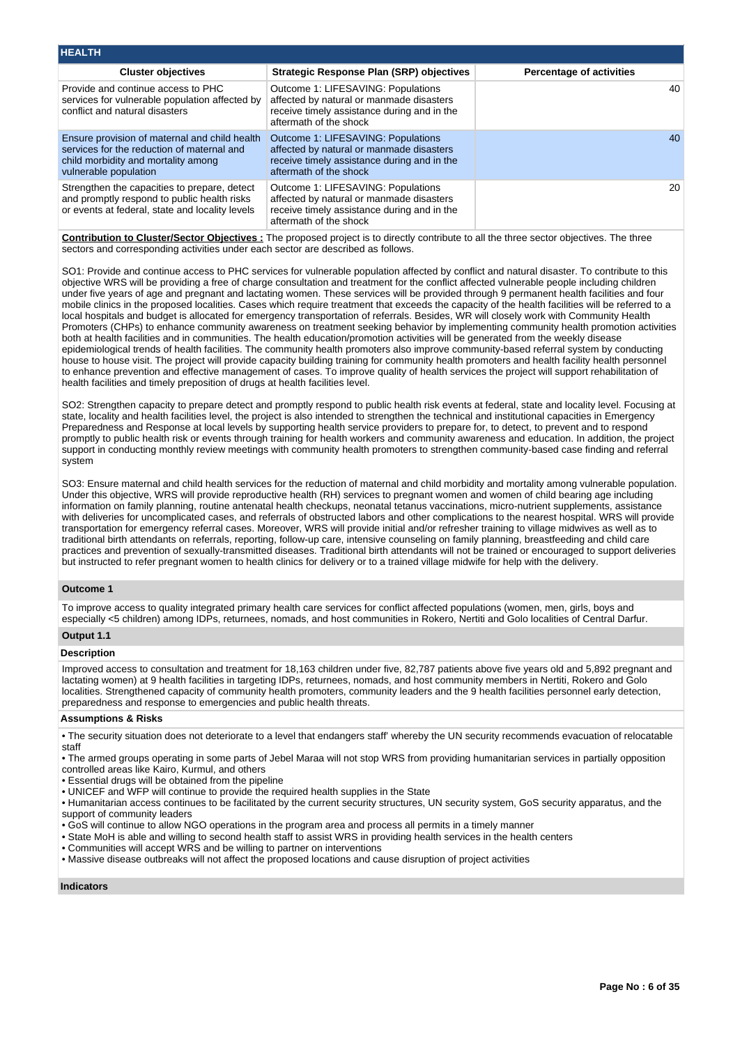| <b>HEALTH</b>                                                                                                                                               |                                                                                                                                                         |                                 |
|-------------------------------------------------------------------------------------------------------------------------------------------------------------|---------------------------------------------------------------------------------------------------------------------------------------------------------|---------------------------------|
| <b>Cluster objectives</b>                                                                                                                                   | <b>Strategic Response Plan (SRP) objectives</b>                                                                                                         | <b>Percentage of activities</b> |
| Provide and continue access to PHC<br>services for vulnerable population affected by<br>conflict and natural disasters                                      | Outcome 1: LIFESAVING: Populations<br>affected by natural or manmade disasters<br>receive timely assistance during and in the<br>aftermath of the shock | 40                              |
| Ensure provision of maternal and child health<br>services for the reduction of maternal and<br>child morbidity and mortality among<br>vulnerable population | Outcome 1: LIFESAVING: Populations<br>affected by natural or manmade disasters<br>receive timely assistance during and in the<br>aftermath of the shock | 40                              |
| Strengthen the capacities to prepare, detect<br>and promptly respond to public health risks<br>or events at federal, state and locality levels              | Outcome 1: LIFESAVING: Populations<br>affected by natural or manmade disasters<br>receive timely assistance during and in the<br>aftermath of the shock | 20                              |

**Contribution to Cluster/Sector Objectives :** The proposed project is to directly contribute to all the three sector objectives. The three sectors and corresponding activities under each sector are described as follows.

SO1: Provide and continue access to PHC services for vulnerable population affected by conflict and natural disaster. To contribute to this objective WRS will be providing a free of charge consultation and treatment for the conflict affected vulnerable people including children under five years of age and pregnant and lactating women. These services will be provided through 9 permanent health facilities and four mobile clinics in the proposed localities. Cases which require treatment that exceeds the capacity of the health facilities will be referred to a local hospitals and budget is allocated for emergency transportation of referrals. Besides, WR will closely work with Community Health Promoters (CHPs) to enhance community awareness on treatment seeking behavior by implementing community health promotion activities both at health facilities and in communities. The health education/promotion activities will be generated from the weekly disease epidemiological trends of health facilities. The community health promoters also improve community-based referral system by conducting house to house visit. The project will provide capacity building training for community health promoters and health facility health personnel to enhance prevention and effective management of cases. To improve quality of health services the project will support rehabilitation of health facilities and timely preposition of drugs at health facilities level.

SO2: Strengthen capacity to prepare detect and promptly respond to public health risk events at federal, state and locality level. Focusing at state, locality and health facilities level, the project is also intended to strengthen the technical and institutional capacities in Emergency Preparedness and Response at local levels by supporting health service providers to prepare for, to detect, to prevent and to respond promptly to public health risk or events through training for health workers and community awareness and education. In addition, the project support in conducting monthly review meetings with community health promoters to strengthen community-based case finding and referral system

SO3: Ensure maternal and child health services for the reduction of maternal and child morbidity and mortality among vulnerable population. Under this objective, WRS will provide reproductive health (RH) services to pregnant women and women of child bearing age including information on family planning, routine antenatal health checkups, neonatal tetanus vaccinations, micro-nutrient supplements, assistance with deliveries for uncomplicated cases, and referrals of obstructed labors and other complications to the nearest hospital. WRS will provide transportation for emergency referral cases. Moreover, WRS will provide initial and/or refresher training to village midwives as well as to traditional birth attendants on referrals, reporting, follow-up care, intensive counseling on family planning, breastfeeding and child care practices and prevention of sexually-transmitted diseases. Traditional birth attendants will not be trained or encouraged to support deliveries but instructed to refer pregnant women to health clinics for delivery or to a trained village midwife for help with the delivery.

# **Outcome 1**

To improve access to quality integrated primary health care services for conflict affected populations (women, men, girls, boys and especially <5 children) among IDPs, returnees, nomads, and host communities in Rokero, Nertiti and Golo localities of Central Darfur.

# **Output 1.1**

### **Description**

Improved access to consultation and treatment for 18,163 children under five, 82,787 patients above five years old and 5,892 pregnant and lactating women) at 9 health facilities in targeting IDPs, returnees, nomads, and host community members in Nertiti, Rokero and Golo localities. Strengthened capacity of community health promoters, community leaders and the 9 health facilities personnel early detection, preparedness and response to emergencies and public health threats.

#### **Assumptions & Risks**

• The security situation does not deteriorate to a level that endangers staff' whereby the UN security recommends evacuation of relocatable staff

• The armed groups operating in some parts of Jebel Maraa will not stop WRS from providing humanitarian services in partially opposition controlled areas like Kairo, Kurmul, and others

- Essential drugs will be obtained from the pipeline
- UNICEF and WFP will continue to provide the required health supplies in the State

• Humanitarian access continues to be facilitated by the current security structures, UN security system, GoS security apparatus, and the support of community leaders

- GoS will continue to allow NGO operations in the program area and process all permits in a timely manner
- State MoH is able and willing to second health staff to assist WRS in providing health services in the health centers
- Communities will accept WRS and be willing to partner on interventions
- Massive disease outbreaks will not affect the proposed locations and cause disruption of project activities

#### **Indicators**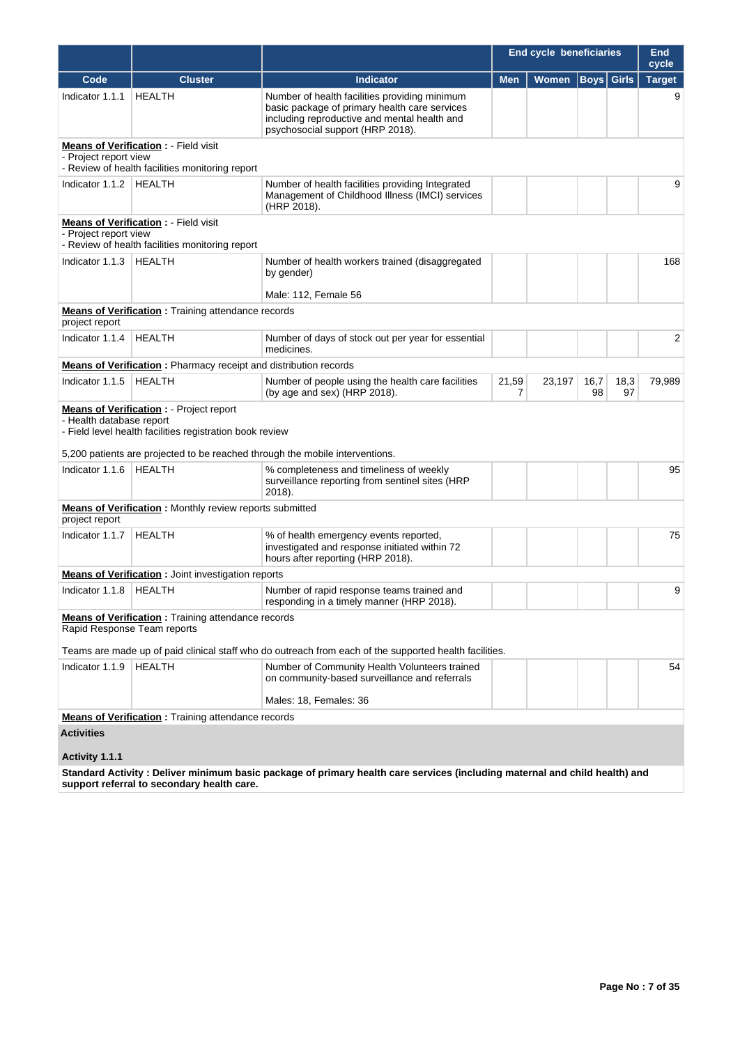|                             |                                                                                                             |                                                                                                                                                                                    | End cycle beneficiaries |        |                   |            | <b>End</b><br>cycle |
|-----------------------------|-------------------------------------------------------------------------------------------------------------|------------------------------------------------------------------------------------------------------------------------------------------------------------------------------------|-------------------------|--------|-------------------|------------|---------------------|
| Code                        | <b>Cluster</b>                                                                                              | <b>Indicator</b>                                                                                                                                                                   | <b>Men</b>              | Women  | <b>Boys</b> Girls |            | <b>Target</b>       |
| Indicator 1.1.1             | <b>HEALTH</b>                                                                                               | Number of health facilities providing minimum<br>basic package of primary health care services<br>including reproductive and mental health and<br>psychosocial support (HRP 2018). |                         |        |                   |            | 9                   |
| - Project report view       | <b>Means of Verification:</b> Field visit<br>- Review of health facilities monitoring report                |                                                                                                                                                                                    |                         |        |                   |            |                     |
| Indicator 1.1.2   HEALTH    |                                                                                                             | Number of health facilities providing Integrated<br>Management of Childhood Illness (IMCI) services<br>(HRP 2018).                                                                 |                         |        |                   |            | 9                   |
| - Project report view       | <b>Means of Verification:</b> Field visit<br>- Review of health facilities monitoring report                |                                                                                                                                                                                    |                         |        |                   |            |                     |
| Indicator 1.1.3             | HEALTH                                                                                                      | Number of health workers trained (disaggregated<br>by gender)                                                                                                                      |                         |        |                   |            | 168                 |
|                             |                                                                                                             | Male: 112, Female 56                                                                                                                                                               |                         |        |                   |            |                     |
| project report              | <b>Means of Verification:</b> Training attendance records                                                   |                                                                                                                                                                                    |                         |        |                   |            |                     |
| Indicator 1.1.4             | <b>HEALTH</b>                                                                                               | Number of days of stock out per year for essential<br>medicines.                                                                                                                   |                         |        |                   |            | 2                   |
|                             | <b>Means of Verification:</b> Pharmacy receipt and distribution records                                     |                                                                                                                                                                                    |                         |        |                   |            |                     |
| Indicator 1.1.5             | HEALTH                                                                                                      | Number of people using the health care facilities<br>(by age and sex) (HRP 2018).                                                                                                  | 21,59<br>7              | 23,197 | 16,7<br>98        | 18,3<br>97 | 79,989              |
| - Health database report    | <b>Means of Verification : - Project report</b><br>- Field level health facilities registration book review |                                                                                                                                                                                    |                         |        |                   |            |                     |
|                             |                                                                                                             | 5,200 patients are projected to be reached through the mobile interventions.                                                                                                       |                         |        |                   |            |                     |
| Indicator 1.1.6             | HEALTH                                                                                                      | % completeness and timeliness of weekly<br>surveillance reporting from sentinel sites (HRP<br>2018).                                                                               |                         |        |                   |            | 95                  |
| project report              | <b>Means of Verification:</b> Monthly review reports submitted                                              |                                                                                                                                                                                    |                         |        |                   |            |                     |
| Indicator 1.1.7             | <b>HEALTH</b>                                                                                               | % of health emergency events reported,<br>investigated and response initiated within 72<br>hours after reporting (HRP 2018).                                                       |                         |        |                   |            | 75                  |
|                             | <b>Means of Verification:</b> Joint investigation reports                                                   |                                                                                                                                                                                    |                         |        |                   |            |                     |
| Indicator 1.1.8   HEALTH    |                                                                                                             | Number of rapid response teams trained and<br>responding in a timely manner (HRP 2018).                                                                                            |                         |        |                   |            | 9                   |
| Rapid Response Team reports | <b>Means of Verification</b> : Training attendance records                                                  |                                                                                                                                                                                    |                         |        |                   |            |                     |
|                             |                                                                                                             | Teams are made up of paid clinical staff who do outreach from each of the supported health facilities.                                                                             |                         |        |                   |            |                     |
| Indicator 1.1.9             | HEALTH                                                                                                      | Number of Community Health Volunteers trained<br>on community-based surveillance and referrals                                                                                     |                         |        |                   |            | 54                  |
|                             |                                                                                                             | Males: 18, Females: 36                                                                                                                                                             |                         |        |                   |            |                     |
|                             | <b>Means of Verification:</b> Training attendance records                                                   |                                                                                                                                                                                    |                         |        |                   |            |                     |
| <b>Activities</b>           |                                                                                                             |                                                                                                                                                                                    |                         |        |                   |            |                     |
| Activity 1.1.1              |                                                                                                             |                                                                                                                                                                                    |                         |        |                   |            |                     |
|                             |                                                                                                             | Standard Activity: Deliver minimum basic package of primary health care services (including maternal and child health) and                                                         |                         |        |                   |            |                     |

**support referral to secondary health care.**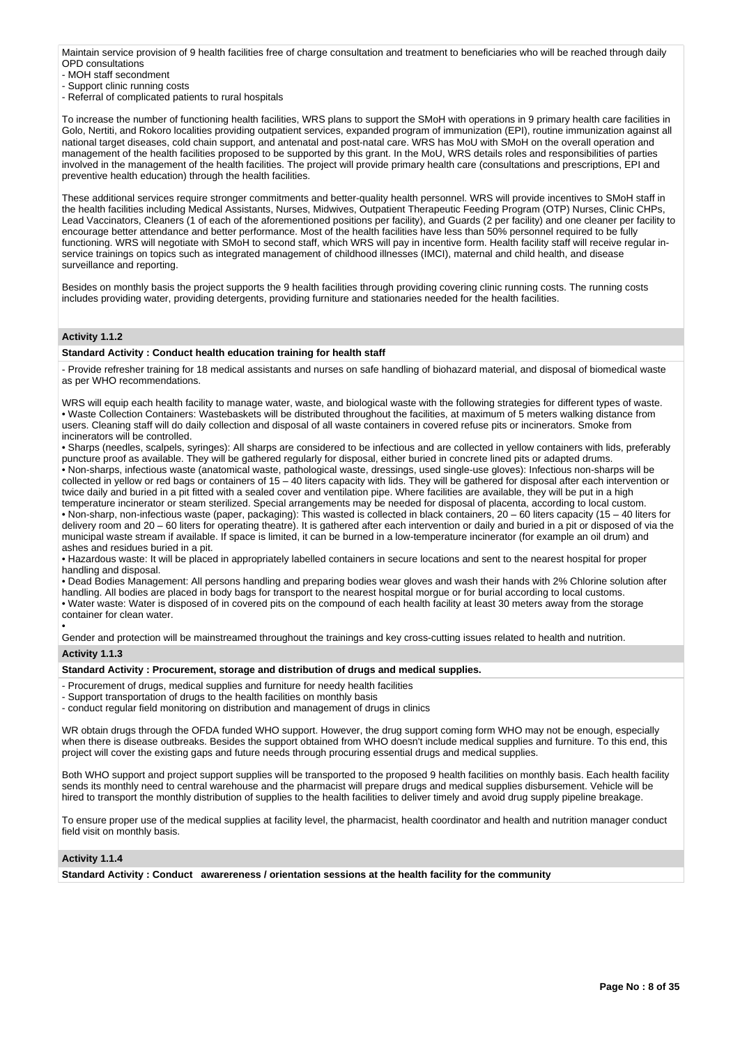Maintain service provision of 9 health facilities free of charge consultation and treatment to beneficiaries who will be reached through daily OPD consultations

- MOH staff secondment

- Support clinic running costs

- Referral of complicated patients to rural hospitals

To increase the number of functioning health facilities, WRS plans to support the SMoH with operations in 9 primary health care facilities in Golo, Nertiti, and Rokoro localities providing outpatient services, expanded program of immunization (EPI), routine immunization against all national target diseases, cold chain support, and antenatal and post-natal care. WRS has MoU with SMoH on the overall operation and management of the health facilities proposed to be supported by this grant. In the MoU, WRS details roles and responsibilities of parties involved in the management of the health facilities. The project will provide primary health care (consultations and prescriptions, EPI and preventive health education) through the health facilities.

These additional services require stronger commitments and better-quality health personnel. WRS will provide incentives to SMoH staff in the health facilities including Medical Assistants, Nurses, Midwives, Outpatient Therapeutic Feeding Program (OTP) Nurses, Clinic CHPs, Lead Vaccinators, Cleaners (1 of each of the aforementioned positions per facility), and Guards (2 per facility) and one cleaner per facility to encourage better attendance and better performance. Most of the health facilities have less than 50% personnel required to be fully functioning. WRS will negotiate with SMoH to second staff, which WRS will pay in incentive form. Health facility staff will receive regular inservice trainings on topics such as integrated management of childhood illnesses (IMCI), maternal and child health, and disease surveillance and reporting.

Besides on monthly basis the project supports the 9 health facilities through providing covering clinic running costs. The running costs includes providing water, providing detergents, providing furniture and stationaries needed for the health facilities.

# **Activity 1.1.2**

#### **Standard Activity : Conduct health education training for health staff**

- Provide refresher training for 18 medical assistants and nurses on safe handling of biohazard material, and disposal of biomedical waste as per WHO recommendations.

WRS will equip each health facility to manage water, waste, and biological waste with the following strategies for different types of waste. • Waste Collection Containers: Wastebaskets will be distributed throughout the facilities, at maximum of 5 meters walking distance from users. Cleaning staff will do daily collection and disposal of all waste containers in covered refuse pits or incinerators. Smoke from incinerators will be controlled.

• Sharps (needles, scalpels, syringes): All sharps are considered to be infectious and are collected in yellow containers with lids, preferably puncture proof as available. They will be gathered regularly for disposal, either buried in concrete lined pits or adapted drums. • Non-sharps, infectious waste (anatomical waste, pathological waste, dressings, used single-use gloves): Infectious non-sharps will be collected in yellow or red bags or containers of 15 – 40 liters capacity with lids. They will be gathered for disposal after each intervention or twice daily and buried in a pit fitted with a sealed cover and ventilation pipe. Where facilities are available, they will be put in a high temperature incinerator or steam sterilized. Special arrangements may be needed for disposal of placenta, according to local custom.

• Non-sharp, non-infectious waste (paper, packaging): This wasted is collected in black containers, 20 – 60 liters capacity (15 – 40 liters for delivery room and 20 – 60 liters for operating theatre). It is gathered after each intervention or daily and buried in a pit or disposed of via the municipal waste stream if available. If space is limited, it can be burned in a low-temperature incinerator (for example an oil drum) and ashes and residues buried in a pit.

• Hazardous waste: It will be placed in appropriately labelled containers in secure locations and sent to the nearest hospital for proper handling and disposal.

• Dead Bodies Management: All persons handling and preparing bodies wear gloves and wash their hands with 2% Chlorine solution after handling. All bodies are placed in body bags for transport to the nearest hospital morgue or for burial according to local customs. • Water waste: Water is disposed of in covered pits on the compound of each health facility at least 30 meters away from the storage container for clean water.

• Gender and protection will be mainstreamed throughout the trainings and key cross-cutting issues related to health and nutrition. **Activity 1.1.3** 

# **Standard Activity : Procurement, storage and distribution of drugs and medical supplies.**

- Procurement of drugs, medical supplies and furniture for needy health facilities
- Support transportation of drugs to the health facilities on monthly basis

- conduct regular field monitoring on distribution and management of drugs in clinics

WR obtain drugs through the OFDA funded WHO support. However, the drug support coming form WHO may not be enough, especially when there is disease outbreaks. Besides the support obtained from WHO doesn't include medical supplies and furniture. To this end, this project will cover the existing gaps and future needs through procuring essential drugs and medical supplies.

Both WHO support and project support supplies will be transported to the proposed 9 health facilities on monthly basis. Each health facility sends its monthly need to central warehouse and the pharmacist will prepare drugs and medical supplies disbursement. Vehicle will be hired to transport the monthly distribution of supplies to the health facilities to deliver timely and avoid drug supply pipeline breakage.

To ensure proper use of the medical supplies at facility level, the pharmacist, health coordinator and health and nutrition manager conduct field visit on monthly basis.

**Activity 1.1.4** 

**Standard Activity : Conduct awarereness / orientation sessions at the health facility for the community**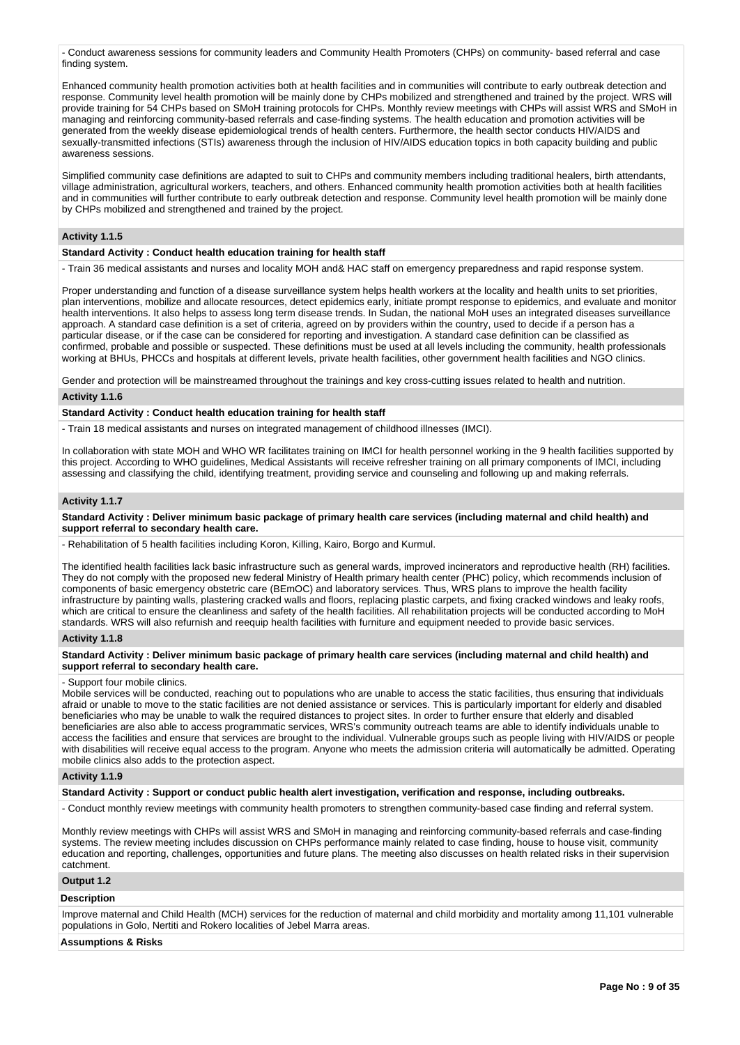- Conduct awareness sessions for community leaders and Community Health Promoters (CHPs) on community- based referral and case finding system.

Enhanced community health promotion activities both at health facilities and in communities will contribute to early outbreak detection and response. Community level health promotion will be mainly done by CHPs mobilized and strengthened and trained by the project. WRS will provide training for 54 CHPs based on SMoH training protocols for CHPs. Monthly review meetings with CHPs will assist WRS and SMoH in managing and reinforcing community-based referrals and case-finding systems. The health education and promotion activities will be generated from the weekly disease epidemiological trends of health centers. Furthermore, the health sector conducts HIV/AIDS and sexually-transmitted infections (STIs) awareness through the inclusion of HIV/AIDS education topics in both capacity building and public awareness sessions.

Simplified community case definitions are adapted to suit to CHPs and community members including traditional healers, birth attendants, village administration, agricultural workers, teachers, and others. Enhanced community health promotion activities both at health facilities and in communities will further contribute to early outbreak detection and response. Community level health promotion will be mainly done by CHPs mobilized and strengthened and trained by the project.

# **Activity 1.1.5**

**Standard Activity : Conduct health education training for health staff**

- Train 36 medical assistants and nurses and locality MOH and& HAC staff on emergency preparedness and rapid response system.

Proper understanding and function of a disease surveillance system helps health workers at the locality and health units to set priorities, plan interventions, mobilize and allocate resources, detect epidemics early, initiate prompt response to epidemics, and evaluate and monitor health interventions. It also helps to assess long term disease trends. In Sudan, the national MoH uses an integrated diseases surveillance approach. A standard case definition is a set of criteria, agreed on by providers within the country, used to decide if a person has a particular disease, or if the case can be considered for reporting and investigation. A standard case definition can be classified as confirmed, probable and possible or suspected. These definitions must be used at all levels including the community, health professionals working at BHUs, PHCCs and hospitals at different levels, private health facilities, other government health facilities and NGO clinics.

Gender and protection will be mainstreamed throughout the trainings and key cross-cutting issues related to health and nutrition.

# **Activity 1.1.6**

**Standard Activity : Conduct health education training for health staff**

- Train 18 medical assistants and nurses on integrated management of childhood illnesses (IMCI).

In collaboration with state MOH and WHO WR facilitates training on IMCI for health personnel working in the 9 health facilities supported by this project. According to WHO guidelines, Medical Assistants will receive refresher training on all primary components of IMCI, including assessing and classifying the child, identifying treatment, providing service and counseling and following up and making referrals.

#### **Activity 1.1.7**

**Standard Activity : Deliver minimum basic package of primary health care services (including maternal and child health) and support referral to secondary health care.**

- Rehabilitation of 5 health facilities including Koron, Killing, Kairo, Borgo and Kurmul.

The identified health facilities lack basic infrastructure such as general wards, improved incinerators and reproductive health (RH) facilities. They do not comply with the proposed new federal Ministry of Health primary health center (PHC) policy, which recommends inclusion of components of basic emergency obstetric care (BEmOC) and laboratory services. Thus, WRS plans to improve the health facility infrastructure by painting walls, plastering cracked walls and floors, replacing plastic carpets, and fixing cracked windows and leaky roofs, which are critical to ensure the cleanliness and safety of the health facilities. All rehabilitation projects will be conducted according to MoH standards. WRS will also refurnish and reequip health facilities with furniture and equipment needed to provide basic services.

#### **Activity 1.1.8**

**Standard Activity : Deliver minimum basic package of primary health care services (including maternal and child health) and support referral to secondary health care.**

### - Support four mobile clinics.

Mobile services will be conducted, reaching out to populations who are unable to access the static facilities, thus ensuring that individuals afraid or unable to move to the static facilities are not denied assistance or services. This is particularly important for elderly and disabled beneficiaries who may be unable to walk the required distances to project sites. In order to further ensure that elderly and disabled beneficiaries are also able to access programmatic services, WRS's community outreach teams are able to identify individuals unable to access the facilities and ensure that services are brought to the individual. Vulnerable groups such as people living with HIV/AIDS or people with disabilities will receive equal access to the program. Anyone who meets the admission criteria will automatically be admitted. Operating mobile clinics also adds to the protection aspect.

#### **Activity 1.1.9**

**Standard Activity : Support or conduct public health alert investigation, verification and response, including outbreaks.**

- Conduct monthly review meetings with community health promoters to strengthen community-based case finding and referral system.

Monthly review meetings with CHPs will assist WRS and SMoH in managing and reinforcing community-based referrals and case-finding systems. The review meeting includes discussion on CHPs performance mainly related to case finding, house to house visit, community education and reporting, challenges, opportunities and future plans. The meeting also discusses on health related risks in their supervision catchment.

### **Output 1.2**

#### **Description**

Improve maternal and Child Health (MCH) services for the reduction of maternal and child morbidity and mortality among 11,101 vulnerable populations in Golo, Nertiti and Rokero localities of Jebel Marra areas.

#### **Assumptions & Risks**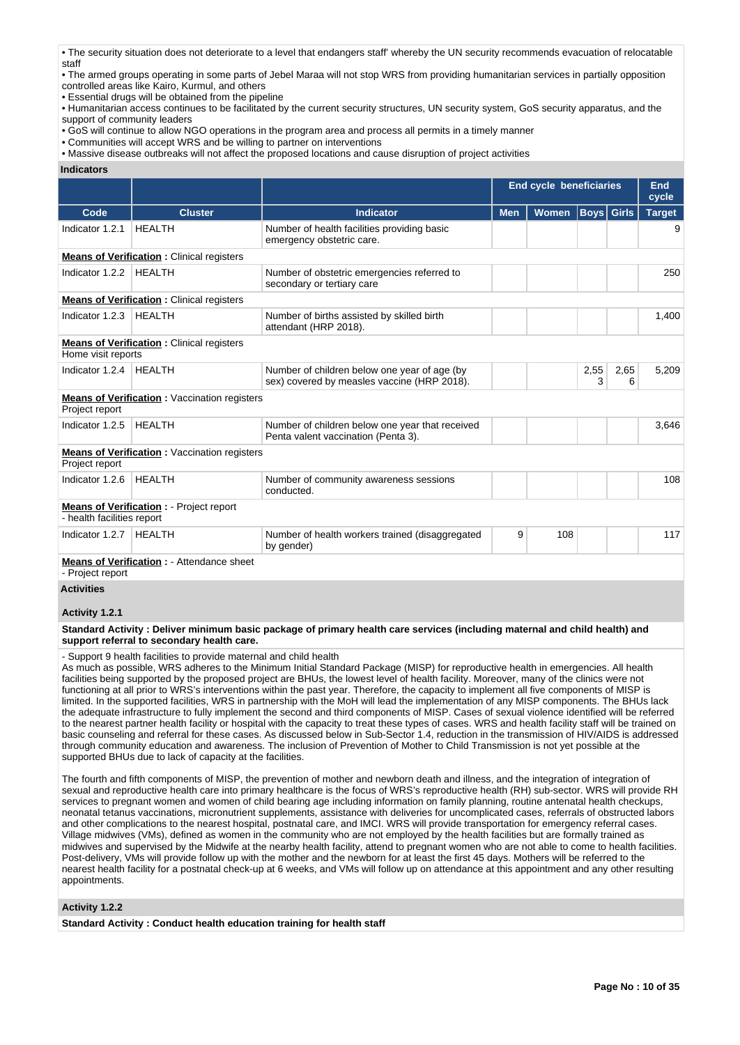- The security situation does not deteriorate to a level that endangers staff' whereby the UN security recommends evacuation of relocatable staff
- The armed groups operating in some parts of Jebel Maraa will not stop WRS from providing humanitarian services in partially opposition controlled areas like Kairo, Kurmul, and others
- Essential drugs will be obtained from the pipeline
- Humanitarian access continues to be facilitated by the current security structures, UN security system, GoS security apparatus, and the support of community leaders
- GoS will continue to allow NGO operations in the program area and process all permits in a timely manner
- Communities will accept WRS and be willing to partner on interventions
- Massive disease outbreaks will not affect the proposed locations and cause disruption of project activities

#### **Indicators**

|                            |                                                     |                                                                                             | <b>End cycle beneficiaries</b> |              |                   | End<br>cycle |               |
|----------------------------|-----------------------------------------------------|---------------------------------------------------------------------------------------------|--------------------------------|--------------|-------------------|--------------|---------------|
| Code                       | <b>Cluster</b>                                      | <b>Indicator</b>                                                                            | <b>Men</b>                     | <b>Women</b> | <b>Boys</b> Girls |              | <b>Target</b> |
| Indicator 1.2.1            | <b>HEALTH</b>                                       | Number of health facilities providing basic<br>emergency obstetric care.                    |                                |              |                   |              | 9             |
|                            | <b>Means of Verification:</b> Clinical registers    |                                                                                             |                                |              |                   |              |               |
| Indicator 1.2.2            | <b>HEALTH</b>                                       | Number of obstetric emergencies referred to<br>secondary or tertiary care                   |                                |              |                   |              | 250           |
|                            | <b>Means of Verification:</b> Clinical registers    |                                                                                             |                                |              |                   |              |               |
| Indicator 1.2.3            | <b>HEALTH</b>                                       | Number of births assisted by skilled birth<br>attendant (HRP 2018).                         |                                |              |                   |              | 1,400         |
| Home visit reports         | <b>Means of Verification:</b> Clinical registers    |                                                                                             |                                |              |                   |              |               |
| Indicator 1.2.4            | <b>HEALTH</b>                                       | Number of children below one year of age (by<br>sex) covered by measles vaccine (HRP 2018). |                                |              | 2,55<br>3         | 2,65<br>6    | 5,209         |
| Project report             | <b>Means of Verification:</b> Vaccination registers |                                                                                             |                                |              |                   |              |               |
| Indicator 1.2.5            | <b>HEALTH</b>                                       | Number of children below one year that received<br>Penta valent vaccination (Penta 3).      |                                |              |                   |              | 3,646         |
| Project report             | <b>Means of Verification:</b> Vaccination registers |                                                                                             |                                |              |                   |              |               |
| Indicator 1.2.6            | <b>HEALTH</b>                                       | Number of community awareness sessions<br>conducted.                                        |                                |              |                   |              | 108           |
| - health facilities report | <b>Means of Verification : - Project report</b>     |                                                                                             |                                |              |                   |              |               |
| Indicator 1.2.7            | <b>HEALTH</b>                                       | Number of health workers trained (disaggregated<br>by gender)                               | 9                              | 108          |                   |              | 117           |
| - Project report           | <b>Means of Verification : - Attendance sheet</b>   |                                                                                             |                                |              |                   |              |               |
| <b>Activities</b>          |                                                     |                                                                                             |                                |              |                   |              |               |

### **Activity 1.2.1**

**Standard Activity : Deliver minimum basic package of primary health care services (including maternal and child health) and support referral to secondary health care.**

- Support 9 health facilities to provide maternal and child health

As much as possible, WRS adheres to the Minimum Initial Standard Package (MISP) for reproductive health in emergencies. All health facilities being supported by the proposed project are BHUs, the lowest level of health facility. Moreover, many of the clinics were not functioning at all prior to WRS's interventions within the past year. Therefore, the capacity to implement all five components of MISP is limited. In the supported facilities, WRS in partnership with the MoH will lead the implementation of any MISP components. The BHUs lack the adequate infrastructure to fully implement the second and third components of MISP. Cases of sexual violence identified will be referred to the nearest partner health facility or hospital with the capacity to treat these types of cases. WRS and health facility staff will be trained on basic counseling and referral for these cases. As discussed below in Sub-Sector 1.4, reduction in the transmission of HIV/AIDS is addressed through community education and awareness. The inclusion of Prevention of Mother to Child Transmission is not yet possible at the supported BHUs due to lack of capacity at the facilities.

The fourth and fifth components of MISP, the prevention of mother and newborn death and illness, and the integration of integration of sexual and reproductive health care into primary healthcare is the focus of WRS's reproductive health (RH) sub-sector. WRS will provide RH services to pregnant women and women of child bearing age including information on family planning, routine antenatal health checkups, neonatal tetanus vaccinations, micronutrient supplements, assistance with deliveries for uncomplicated cases, referrals of obstructed labors and other complications to the nearest hospital, postnatal care, and IMCI. WRS will provide transportation for emergency referral cases. Village midwives (VMs), defined as women in the community who are not employed by the health facilities but are formally trained as midwives and supervised by the Midwife at the nearby health facility, attend to pregnant women who are not able to come to health facilities. Post-delivery, VMs will provide follow up with the mother and the newborn for at least the first 45 days. Mothers will be referred to the nearest health facility for a postnatal check-up at 6 weeks, and VMs will follow up on attendance at this appointment and any other resulting appointments.

#### **Activity 1.2.2**

**Standard Activity : Conduct health education training for health staff**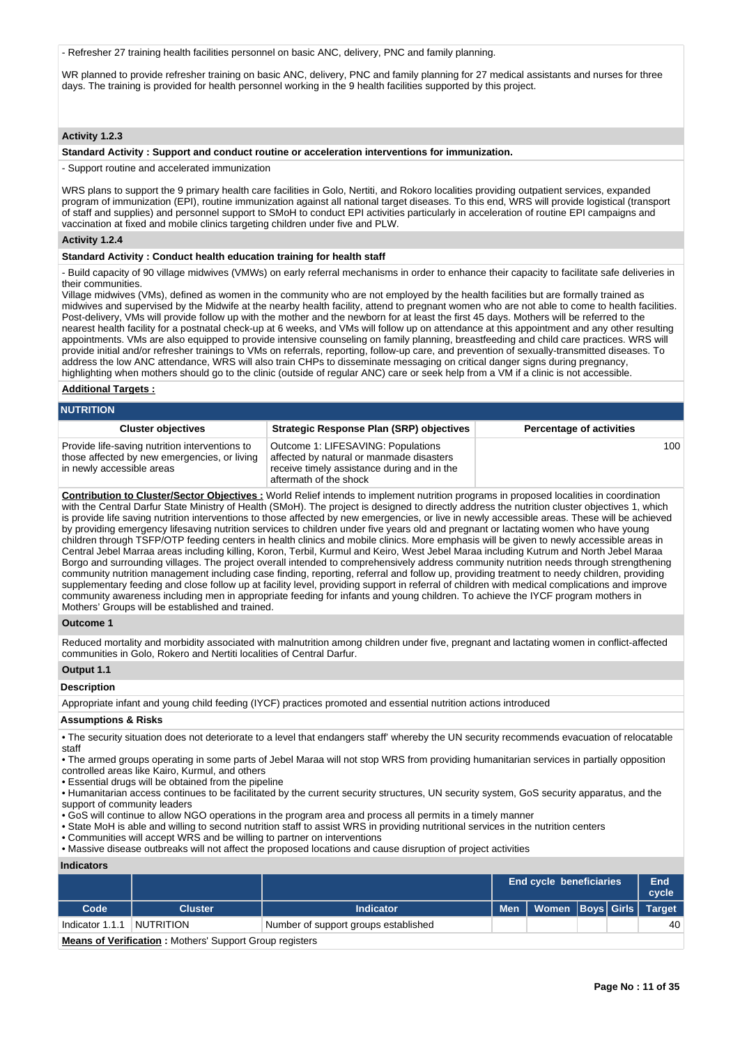- Refresher 27 training health facilities personnel on basic ANC, delivery, PNC and family planning.

WR planned to provide refresher training on basic ANC, delivery, PNC and family planning for 27 medical assistants and nurses for three days. The training is provided for health personnel working in the 9 health facilities supported by this project.

# **Activity 1.2.3**

#### **Standard Activity : Support and conduct routine or acceleration interventions for immunization.**

- Support routine and accelerated immunization

WRS plans to support the 9 primary health care facilities in Golo, Nertiti, and Rokoro localities providing outpatient services, expanded program of immunization (EPI), routine immunization against all national target diseases. To this end, WRS will provide logistical (transport of staff and supplies) and personnel support to SMoH to conduct EPI activities particularly in acceleration of routine EPI campaigns and vaccination at fixed and mobile clinics targeting children under five and PLW.

# **Activity 1.2.4**

# **Standard Activity : Conduct health education training for health staff**

- Build capacity of 90 village midwives (VMWs) on early referral mechanisms in order to enhance their capacity to facilitate safe deliveries in their communities.

Village midwives (VMs), defined as women in the community who are not employed by the health facilities but are formally trained as midwives and supervised by the Midwife at the nearby health facility, attend to pregnant women who are not able to come to health facilities. Post-delivery, VMs will provide follow up with the mother and the newborn for at least the first 45 days. Mothers will be referred to the nearest health facility for a postnatal check-up at 6 weeks, and VMs will follow up on attendance at this appointment and any other resulting appointments. VMs are also equipped to provide intensive counseling on family planning, breastfeeding and child care practices. WRS will provide initial and/or refresher trainings to VMs on referrals, reporting, follow-up care, and prevention of sexually-transmitted diseases. To address the low ANC attendance, WRS will also train CHPs to disseminate messaging on critical danger signs during pregnancy, highlighting when mothers should go to the clinic (outside of regular ANC) care or seek help from a VM if a clinic is not accessible.

#### **Additional Targets :**

**NUTRITION**

| ויטו ומוטו                                                                                                                  |                                                                                                                               |  |
|-----------------------------------------------------------------------------------------------------------------------------|-------------------------------------------------------------------------------------------------------------------------------|--|
| <b>Cluster objectives</b>                                                                                                   | <b>Strategic Response Plan (SRP) objectives</b>                                                                               |  |
| Provide life-saving nutrition interventions to<br>those affected by new emergencies, or living<br>in newly accessible areas | Outcome 1: LIFESAVING: Populations<br>affected by natural or manmade disasters<br>receive timely assistance during and in the |  |

aftermath of the shock

**Percentage of activities** 

100

**Contribution to Cluster/Sector Objectives :** World Relief intends to implement nutrition programs in proposed localities in coordination with the Central Darfur State Ministry of Health (SMoH). The project is designed to directly address the nutrition cluster objectives 1, which is provide life saving nutrition interventions to those affected by new emergencies, or live in newly accessible areas. These will be achieved by providing emergency lifesaving nutrition services to children under five years old and pregnant or lactating women who have young children through TSFP/OTP feeding centers in health clinics and mobile clinics. More emphasis will be given to newly accessible areas in Central Jebel Marraa areas including killing, Koron, Terbil, Kurmul and Keiro, West Jebel Maraa including Kutrum and North Jebel Maraa Borgo and surrounding villages. The project overall intended to comprehensively address community nutrition needs through strengthening community nutrition management including case finding, reporting, referral and follow up, providing treatment to needy children, providing supplementary feeding and close follow up at facility level, providing support in referral of children with medical complications and improve community awareness including men in appropriate feeding for infants and young children. To achieve the IYCF program mothers in Mothers' Groups will be established and trained.

#### **Outcome 1**

Reduced mortality and morbidity associated with malnutrition among children under five, pregnant and lactating women in conflict-affected communities in Golo, Rokero and Nertiti localities of Central Darfur.

### **Output 1.1**

#### **Description**

Appropriate infant and young child feeding (IYCF) practices promoted and essential nutrition actions introduced

#### **Assumptions & Risks**

• The security situation does not deteriorate to a level that endangers staff' whereby the UN security recommends evacuation of relocatable staff

• The armed groups operating in some parts of Jebel Maraa will not stop WRS from providing humanitarian services in partially opposition controlled areas like Kairo, Kurmul, and others

• Essential drugs will be obtained from the pipeline

• Humanitarian access continues to be facilitated by the current security structures, UN security system, GoS security apparatus, and the support of community leaders

• GoS will continue to allow NGO operations in the program area and process all permits in a timely manner

• State MoH is able and willing to second nutrition staff to assist WRS in providing nutritional services in the nutrition centers

• Communities will accept WRS and be willing to partner on interventions

• Massive disease outbreaks will not affect the proposed locations and cause disruption of project activities

#### **Indicators**

|                                                                |                |                                      | <b>End cycle beneficiaries</b> |                         |  | <b>End</b><br>cycle |    |
|----------------------------------------------------------------|----------------|--------------------------------------|--------------------------------|-------------------------|--|---------------------|----|
| Code                                                           | <b>Cluster</b> | <b>Indicator</b>                     | <b>Men</b>                     | Women Boys Girls Target |  |                     |    |
| Indicator 1.1.1   NUTRITION                                    |                | Number of support groups established |                                |                         |  |                     | 40 |
| <b>Means of Verification:</b> Mothers' Support Group registers |                |                                      |                                |                         |  |                     |    |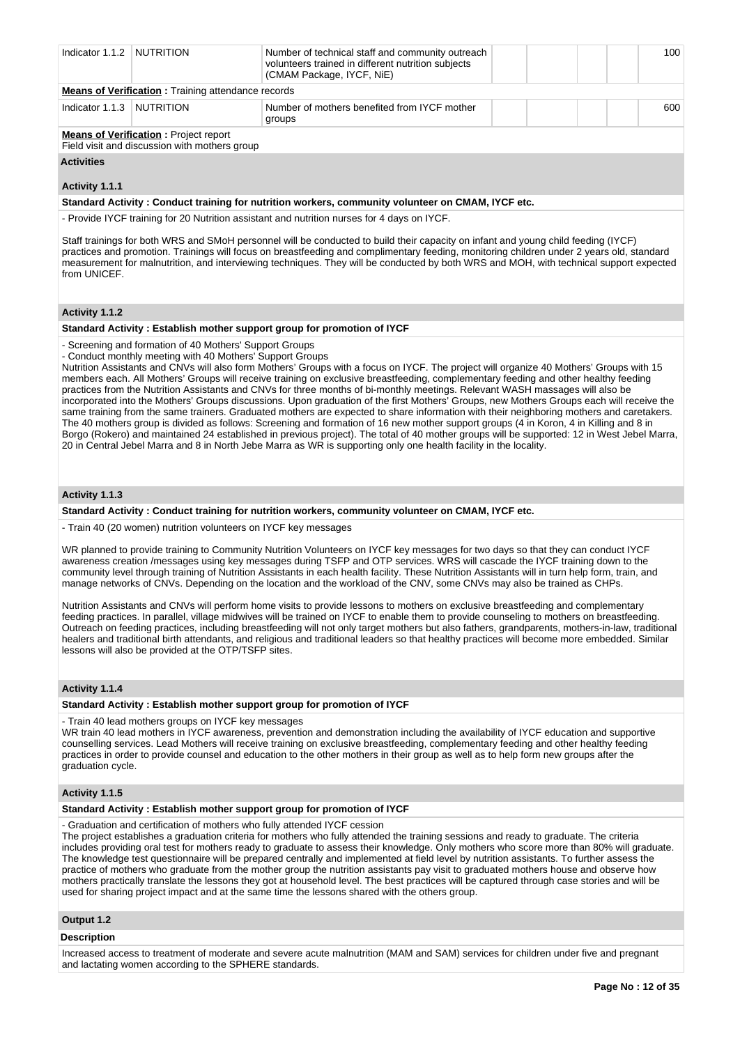| Indicator 1.1.2 NUTRITION |                                                                                               | Number of technical staff and community outreach<br>volunteers trained in different nutrition subjects<br>(CMAM Package, IYCF, NiE) |  |  |  |  | 100 |  |
|---------------------------|-----------------------------------------------------------------------------------------------|-------------------------------------------------------------------------------------------------------------------------------------|--|--|--|--|-----|--|
|                           | <b>Means of Verification:</b> Training attendance records                                     |                                                                                                                                     |  |  |  |  |     |  |
| Indicator 1.1.3 NUTRITION |                                                                                               | Number of mothers benefited from IYCF mother<br>groups                                                                              |  |  |  |  | 600 |  |
|                           | <b>Means of Verification:</b> Project report<br>Field visit and discussion with mothers group |                                                                                                                                     |  |  |  |  |     |  |

# **Activities**

# **Activity 1.1.1**

**Standard Activity : Conduct training for nutrition workers, community volunteer on CMAM, IYCF etc.**

- Provide IYCF training for 20 Nutrition assistant and nutrition nurses for 4 days on IYCF.

Staff trainings for both WRS and SMoH personnel will be conducted to build their capacity on infant and young child feeding (IYCF) practices and promotion. Trainings will focus on breastfeeding and complimentary feeding, monitoring children under 2 years old, standard measurement for malnutrition, and interviewing techniques. They will be conducted by both WRS and MOH, with technical support expected from UNICEF.

# **Activity 1.1.2**

#### **Standard Activity : Establish mother support group for promotion of IYCF**

- Screening and formation of 40 Mothers' Support Groups

- Conduct monthly meeting with 40 Mothers' Support Groups

Nutrition Assistants and CNVs will also form Mothers' Groups with a focus on IYCF. The project will organize 40 Mothers' Groups with 15 members each. All Mothers' Groups will receive training on exclusive breastfeeding, complementary feeding and other healthy feeding practices from the Nutrition Assistants and CNVs for three months of bi-monthly meetings. Relevant WASH massages will also be incorporated into the Mothers' Groups discussions. Upon graduation of the first Mothers' Groups, new Mothers Groups each will receive the same training from the same trainers. Graduated mothers are expected to share information with their neighboring mothers and caretakers. The 40 mothers group is divided as follows: Screening and formation of 16 new mother support groups (4 in Koron, 4 in Killing and 8 in Borgo (Rokero) and maintained 24 established in previous project). The total of 40 mother groups will be supported: 12 in West Jebel Marra, 20 in Central Jebel Marra and 8 in North Jebe Marra as WR is supporting only one health facility in the locality.

### **Activity 1.1.3**

**Standard Activity : Conduct training for nutrition workers, community volunteer on CMAM, IYCF etc.**

- Train 40 (20 women) nutrition volunteers on IYCF key messages

WR planned to provide training to Community Nutrition Volunteers on IYCF key messages for two days so that they can conduct IYCF awareness creation /messages using key messages during TSFP and OTP services. WRS will cascade the IYCF training down to the community level through training of Nutrition Assistants in each health facility. These Nutrition Assistants will in turn help form, train, and manage networks of CNVs. Depending on the location and the workload of the CNV, some CNVs may also be trained as CHPs.

Nutrition Assistants and CNVs will perform home visits to provide lessons to mothers on exclusive breastfeeding and complementary feeding practices. In parallel, village midwives will be trained on IYCF to enable them to provide counseling to mothers on breastfeeding. Outreach on feeding practices, including breastfeeding will not only target mothers but also fathers, grandparents, mothers-in-law, traditional healers and traditional birth attendants, and religious and traditional leaders so that healthy practices will become more embedded. Similar lessons will also be provided at the OTP/TSFP sites.

# **Activity 1.1.4**

#### **Standard Activity : Establish mother support group for promotion of IYCF**

- Train 40 lead mothers groups on IYCF key messages

WR train 40 lead mothers in IYCF awareness, prevention and demonstration including the availability of IYCF education and supportive counselling services. Lead Mothers will receive training on exclusive breastfeeding, complementary feeding and other healthy feeding practices in order to provide counsel and education to the other mothers in their group as well as to help form new groups after the graduation cycle.

# **Activity 1.1.5**

# **Standard Activity : Establish mother support group for promotion of IYCF**

- Graduation and certification of mothers who fully attended IYCF cession

The project establishes a graduation criteria for mothers who fully attended the training sessions and ready to graduate. The criteria includes providing oral test for mothers ready to graduate to assess their knowledge. Only mothers who score more than 80% will graduate. The knowledge test questionnaire will be prepared centrally and implemented at field level by nutrition assistants. To further assess the practice of mothers who graduate from the mother group the nutrition assistants pay visit to graduated mothers house and observe how mothers practically translate the lessons they got at household level. The best practices will be captured through case stories and will be used for sharing project impact and at the same time the lessons shared with the others group.

# **Output 1.2**

#### **Description**

Increased access to treatment of moderate and severe acute malnutrition (MAM and SAM) services for children under five and pregnant and lactating women according to the SPHERE standards.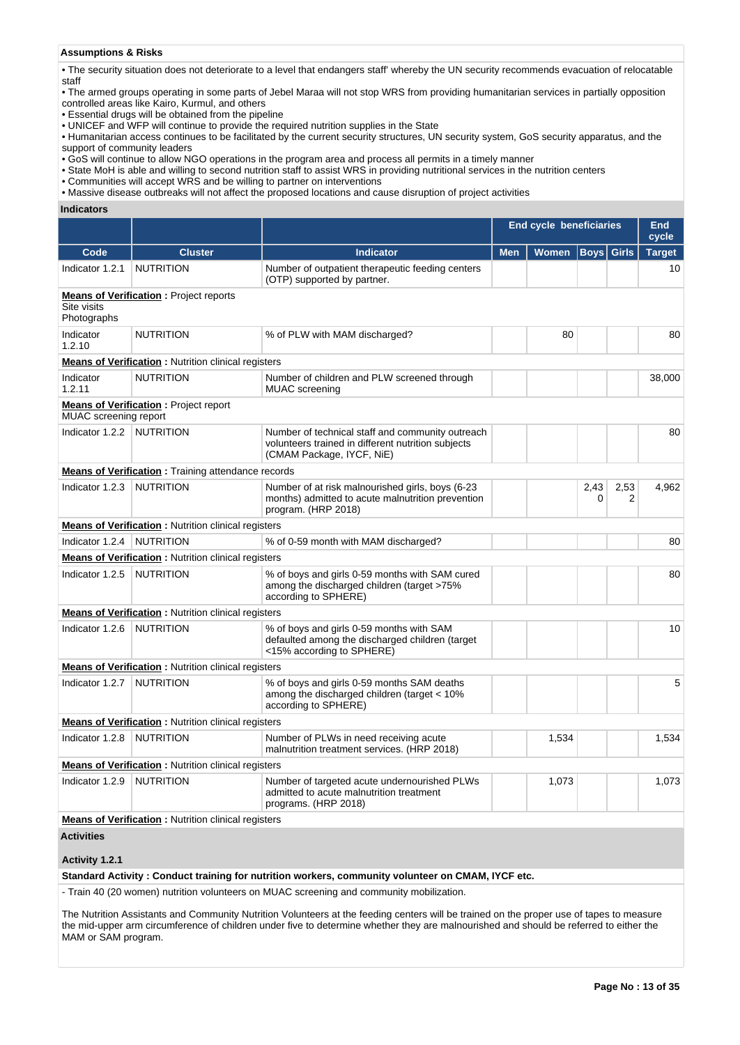# **Assumptions & Risks**

• The security situation does not deteriorate to a level that endangers staff' whereby the UN security recommends evacuation of relocatable staff

• The armed groups operating in some parts of Jebel Maraa will not stop WRS from providing humanitarian services in partially opposition controlled areas like Kairo, Kurmul, and others

• Essential drugs will be obtained from the pipeline

• UNICEF and WFP will continue to provide the required nutrition supplies in the State

• Humanitarian access continues to be facilitated by the current security structures, UN security system, GoS security apparatus, and the support of community leaders

• GoS will continue to allow NGO operations in the program area and process all permits in a timely manner

• State MoH is able and willing to second nutrition staff to assist WRS in providing nutritional services in the nutrition centers

• Communities will accept WRS and be willing to partner on interventions

• Massive disease outbreaks will not affect the proposed locations and cause disruption of project activities

**Indicators**

|                             |                                                             |                                                                                                                                     | <b>End cycle beneficiaries</b> |              |                   | End<br>cycle |               |
|-----------------------------|-------------------------------------------------------------|-------------------------------------------------------------------------------------------------------------------------------------|--------------------------------|--------------|-------------------|--------------|---------------|
| Code                        | <b>Cluster</b>                                              | Indicator                                                                                                                           | <b>Men</b>                     | <b>Women</b> | <b>Boys Girls</b> |              | <b>Target</b> |
| Indicator 1.2.1             | <b>NUTRITION</b>                                            | Number of outpatient therapeutic feeding centers<br>(OTP) supported by partner.                                                     |                                |              |                   |              | 10            |
| Site visits<br>Photographs  | <b>Means of Verification:</b> Project reports               |                                                                                                                                     |                                |              |                   |              |               |
| Indicator<br>1.2.10         | <b>NUTRITION</b>                                            | % of PLW with MAM discharged?                                                                                                       |                                | 80           |                   |              | 80            |
|                             | <b>Means of Verification:</b> Nutrition clinical registers  |                                                                                                                                     |                                |              |                   |              |               |
| Indicator<br>1.2.11         | <b>NUTRITION</b>                                            | Number of children and PLW screened through<br><b>MUAC</b> screening                                                                |                                |              |                   |              | 38,000        |
| MUAC screening report       | <b>Means of Verification:</b> Project report                |                                                                                                                                     |                                |              |                   |              |               |
| Indicator 1.2.2   NUTRITION |                                                             | Number of technical staff and community outreach<br>volunteers trained in different nutrition subjects<br>(CMAM Package, IYCF, NiE) |                                |              |                   |              | 80            |
|                             | <b>Means of Verification: Training attendance records</b>   |                                                                                                                                     |                                |              |                   |              |               |
| Indicator 1.2.3             | <b>NUTRITION</b>                                            | Number of at risk malnourished girls, boys (6-23)<br>months) admitted to acute malnutrition prevention<br>program. (HRP 2018)       |                                |              | 2,43<br>0         | 2,53<br>2    | 4,962         |
|                             | <b>Means of Verification:</b> Nutrition clinical registers  |                                                                                                                                     |                                |              |                   |              |               |
| Indicator 1.2.4             | <b>NUTRITION</b>                                            | % of 0-59 month with MAM discharged?                                                                                                |                                |              |                   |              | 80            |
|                             | <b>Means of Verification: Nutrition clinical registers</b>  |                                                                                                                                     |                                |              |                   |              |               |
| Indicator 1.2.5             | <b>NUTRITION</b>                                            | % of boys and girls 0-59 months with SAM cured<br>among the discharged children (target >75%<br>according to SPHERE)                |                                |              |                   |              | 80            |
|                             | <b>Means of Verification: Nutrition clinical registers</b>  |                                                                                                                                     |                                |              |                   |              |               |
| Indicator 1.2.6             | <b>NUTRITION</b>                                            | % of boys and girls 0-59 months with SAM<br>defaulted among the discharged children (target<br><15% according to SPHERE)            |                                |              |                   |              | 10            |
|                             | <b>Means of Verification:</b> Nutrition clinical registers  |                                                                                                                                     |                                |              |                   |              |               |
| Indicator 1.2.7             | <b>NUTRITION</b>                                            | % of boys and girls 0-59 months SAM deaths<br>among the discharged children (target < 10%<br>according to SPHERE)                   |                                |              |                   |              | 5             |
|                             | <b>Means of Verification : Nutrition clinical registers</b> |                                                                                                                                     |                                |              |                   |              |               |
| Indicator 1.2.8             | <b>NUTRITION</b>                                            | Number of PLWs in need receiving acute<br>malnutrition treatment services. (HRP 2018)                                               |                                | 1,534        |                   |              | 1,534         |
|                             | <b>Means of Verification : Nutrition clinical registers</b> |                                                                                                                                     |                                |              |                   |              |               |
| Indicator 1.2.9             | NUTRITION                                                   | Number of targeted acute undernourished PLWs<br>admitted to acute malnutrition treatment<br>programs. (HRP 2018)                    |                                | 1,073        |                   |              | 1,073         |
|                             | <b>Means of Verification: Nutrition clinical registers</b>  |                                                                                                                                     |                                |              |                   |              |               |
| <b>Activities</b>           |                                                             |                                                                                                                                     |                                |              |                   |              |               |
| Activity 1.2.1              |                                                             |                                                                                                                                     |                                |              |                   |              |               |
|                             |                                                             | Standard Activity: Conduct training for nutrition workers, community volunteer on CMAM, IYCF etc.                                   |                                |              |                   |              |               |
|                             |                                                             | - Train 40 (20 women) nutrition volunteers on MUAC screening and community mobilization.                                            |                                |              |                   |              |               |

The Nutrition Assistants and Community Nutrition Volunteers at the feeding centers will be trained on the proper use of tapes to measure the mid-upper arm circumference of children under five to determine whether they are malnourished and should be referred to either the MAM or SAM program.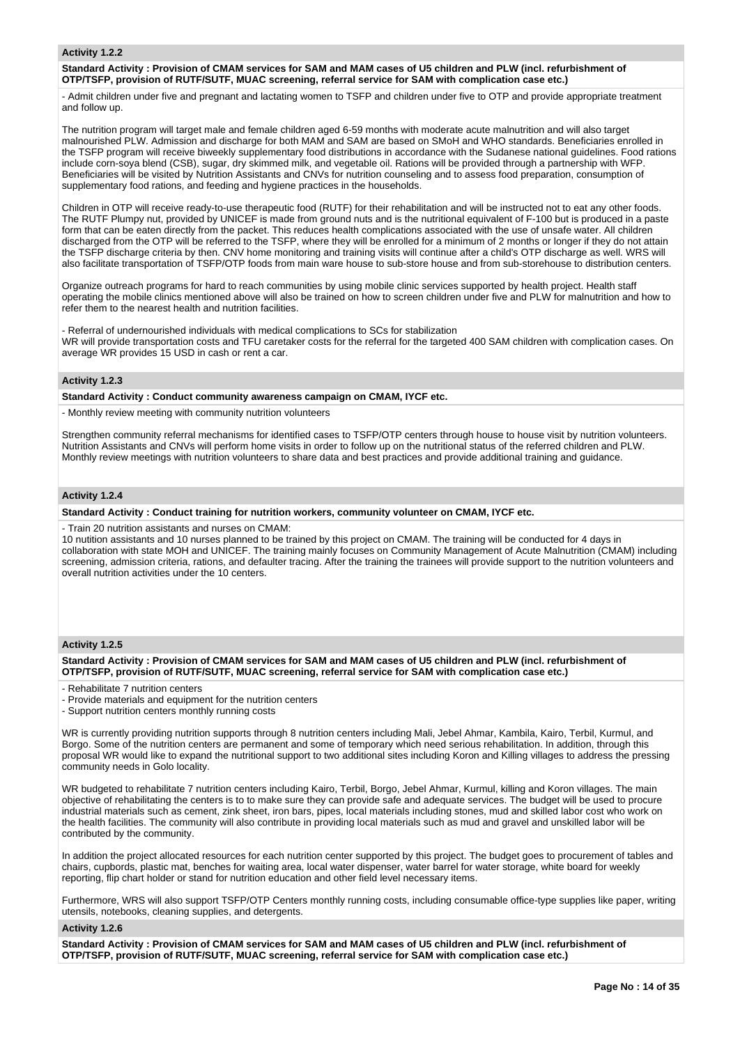#### **Activity 1.2.2**

#### **Standard Activity : Provision of CMAM services for SAM and MAM cases of U5 children and PLW (incl. refurbishment of OTP/TSFP, provision of RUTF/SUTF, MUAC screening, referral service for SAM with complication case etc.)**

- Admit children under five and pregnant and lactating women to TSFP and children under five to OTP and provide appropriate treatment and follow up.

The nutrition program will target male and female children aged 6-59 months with moderate acute malnutrition and will also target malnourished PLW. Admission and discharge for both MAM and SAM are based on SMoH and WHO standards. Beneficiaries enrolled in the TSFP program will receive biweekly supplementary food distributions in accordance with the Sudanese national guidelines. Food rations include corn-soya blend (CSB), sugar, dry skimmed milk, and vegetable oil. Rations will be provided through a partnership with WFP. Beneficiaries will be visited by Nutrition Assistants and CNVs for nutrition counseling and to assess food preparation, consumption of supplementary food rations, and feeding and hygiene practices in the households.

Children in OTP will receive ready-to-use therapeutic food (RUTF) for their rehabilitation and will be instructed not to eat any other foods. The RUTF Plumpy nut, provided by UNICEF is made from ground nuts and is the nutritional equivalent of F-100 but is produced in a paste form that can be eaten directly from the packet. This reduces health complications associated with the use of unsafe water. All children discharged from the OTP will be referred to the TSFP, where they will be enrolled for a minimum of 2 months or longer if they do not attain the TSFP discharge criteria by then. CNV home monitoring and training visits will continue after a child's OTP discharge as well. WRS will also facilitate transportation of TSFP/OTP foods from main ware house to sub-store house and from sub-storehouse to distribution centers.

Organize outreach programs for hard to reach communities by using mobile clinic services supported by health project. Health staff operating the mobile clinics mentioned above will also be trained on how to screen children under five and PLW for malnutrition and how to refer them to the nearest health and nutrition facilities.

- Referral of undernourished individuals with medical complications to SCs for stabilization WR will provide transportation costs and TFU caretaker costs for the referral for the targeted 400 SAM children with complication cases. On average WR provides 15 USD in cash or rent a car.

## **Activity 1.2.3**

**Standard Activity : Conduct community awareness campaign on CMAM, IYCF etc.**

- Monthly review meeting with community nutrition volunteers

Strengthen community referral mechanisms for identified cases to TSFP/OTP centers through house to house visit by nutrition volunteers. Nutrition Assistants and CNVs will perform home visits in order to follow up on the nutritional status of the referred children and PLW. Monthly review meetings with nutrition volunteers to share data and best practices and provide additional training and guidance.

# **Activity 1.2.4**

## **Standard Activity : Conduct training for nutrition workers, community volunteer on CMAM, IYCF etc.**

- Train 20 nutrition assistants and nurses on CMAM:

10 nutition assistants and 10 nurses planned to be trained by this project on CMAM. The training will be conducted for 4 days in collaboration with state MOH and UNICEF. The training mainly focuses on Community Management of Acute Malnutrition (CMAM) including screening, admission criteria, rations, and defaulter tracing. After the training the trainees will provide support to the nutrition volunteers and overall nutrition activities under the 10 centers.

### **Activity 1.2.5**

**Standard Activity : Provision of CMAM services for SAM and MAM cases of U5 children and PLW (incl. refurbishment of OTP/TSFP, provision of RUTF/SUTF, MUAC screening, referral service for SAM with complication case etc.)**

- Rehabilitate 7 nutrition centers

- Provide materials and equipment for the nutrition centers
- Support nutrition centers monthly running costs

WR is currently providing nutrition supports through 8 nutrition centers including Mali, Jebel Ahmar, Kambila, Kairo, Terbil, Kurmul, and Borgo. Some of the nutrition centers are permanent and some of temporary which need serious rehabilitation. In addition, through this proposal WR would like to expand the nutritional support to two additional sites including Koron and Killing villages to address the pressing community needs in Golo locality.

WR budgeted to rehabilitate 7 nutrition centers including Kairo, Terbil, Borgo, Jebel Ahmar, Kurmul, killing and Koron villages. The main objective of rehabilitating the centers is to to make sure they can provide safe and adequate services. The budget will be used to procure industrial materials such as cement, zink sheet, iron bars, pipes, local materials including stones, mud and skilled labor cost who work on the health facilities. The community will also contribute in providing local materials such as mud and gravel and unskilled labor will be contributed by the community.

In addition the project allocated resources for each nutrition center supported by this project. The budget goes to procurement of tables and chairs, cupbords, plastic mat, benches for waiting area, local water dispenser, water barrel for water storage, white board for weekly reporting, flip chart holder or stand for nutrition education and other field level necessary items.

Furthermore, WRS will also support TSFP/OTP Centers monthly running costs, including consumable office-type supplies like paper, writing utensils, notebooks, cleaning supplies, and detergents.

#### **Activity 1.2.6**

**Standard Activity : Provision of CMAM services for SAM and MAM cases of U5 children and PLW (incl. refurbishment of OTP/TSFP, provision of RUTF/SUTF, MUAC screening, referral service for SAM with complication case etc.)**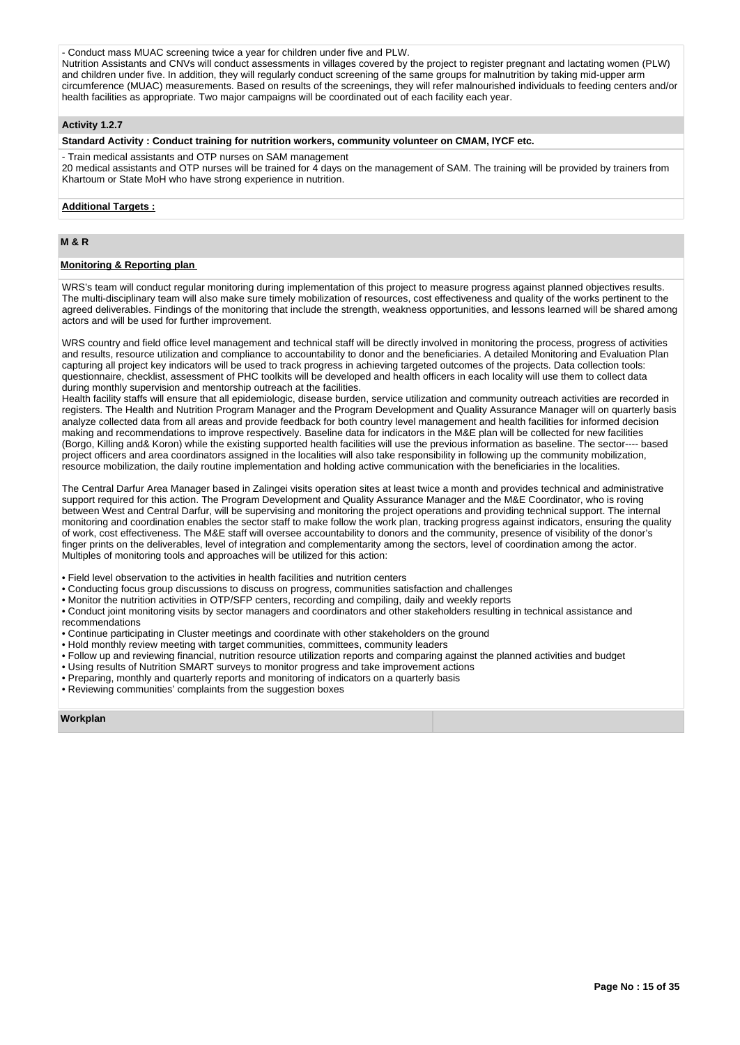# - Conduct mass MUAC screening twice a year for children under five and PLW.

Nutrition Assistants and CNVs will conduct assessments in villages covered by the project to register pregnant and lactating women (PLW) and children under five. In addition, they will regularly conduct screening of the same groups for malnutrition by taking mid-upper arm circumference (MUAC) measurements. Based on results of the screenings, they will refer malnourished individuals to feeding centers and/or health facilities as appropriate. Two major campaigns will be coordinated out of each facility each year.

### **Activity 1.2.7**

### **Standard Activity : Conduct training for nutrition workers, community volunteer on CMAM, IYCF etc.**

- Train medical assistants and OTP nurses on SAM management 20 medical assistants and OTP nurses will be trained for 4 days on the management of SAM. The training will be provided by trainers from Khartoum or State MoH who have strong experience in nutrition.

#### **Additional Targets :**

# **M & R**

# **Monitoring & Reporting plan**

WRS's team will conduct regular monitoring during implementation of this project to measure progress against planned objectives results. The multi-disciplinary team will also make sure timely mobilization of resources, cost effectiveness and quality of the works pertinent to the agreed deliverables. Findings of the monitoring that include the strength, weakness opportunities, and lessons learned will be shared among actors and will be used for further improvement.

WRS country and field office level management and technical staff will be directly involved in monitoring the process, progress of activities and results, resource utilization and compliance to accountability to donor and the beneficiaries. A detailed Monitoring and Evaluation Plan capturing all project key indicators will be used to track progress in achieving targeted outcomes of the projects. Data collection tools: questionnaire, checklist, assessment of PHC toolkits will be developed and health officers in each locality will use them to collect data during monthly supervision and mentorship outreach at the facilities.

Health facility staffs will ensure that all epidemiologic, disease burden, service utilization and community outreach activities are recorded in registers. The Health and Nutrition Program Manager and the Program Development and Quality Assurance Manager will on quarterly basis analyze collected data from all areas and provide feedback for both country level management and health facilities for informed decision making and recommendations to improve respectively. Baseline data for indicators in the M&E plan will be collected for new facilities (Borgo, Killing and& Koron) while the existing supported health facilities will use the previous information as baseline. The sector---- based project officers and area coordinators assigned in the localities will also take responsibility in following up the community mobilization, resource mobilization, the daily routine implementation and holding active communication with the beneficiaries in the localities.

The Central Darfur Area Manager based in Zalingei visits operation sites at least twice a month and provides technical and administrative support required for this action. The Program Development and Quality Assurance Manager and the M&E Coordinator, who is roving between West and Central Darfur, will be supervising and monitoring the project operations and providing technical support. The internal monitoring and coordination enables the sector staff to make follow the work plan, tracking progress against indicators, ensuring the quality of work, cost effectiveness. The M&E staff will oversee accountability to donors and the community, presence of visibility of the donor's finger prints on the deliverables, level of integration and complementarity among the sectors, level of coordination among the actor. Multiples of monitoring tools and approaches will be utilized for this action:

• Field level observation to the activities in health facilities and nutrition centers

• Conducting focus group discussions to discuss on progress, communities satisfaction and challenges

• Monitor the nutrition activities in OTP/SFP centers, recording and compiling, daily and weekly reports

• Conduct joint monitoring visits by sector managers and coordinators and other stakeholders resulting in technical assistance and recommendations

• Continue participating in Cluster meetings and coordinate with other stakeholders on the ground

- Hold monthly review meeting with target communities, committees, community leaders
- Follow up and reviewing financial, nutrition resource utilization reports and comparing against the planned activities and budget
- Using results of Nutrition SMART surveys to monitor progress and take improvement actions
- Preparing, monthly and quarterly reports and monitoring of indicators on a quarterly basis
- Reviewing communities' complaints from the suggestion boxes

**Workplan**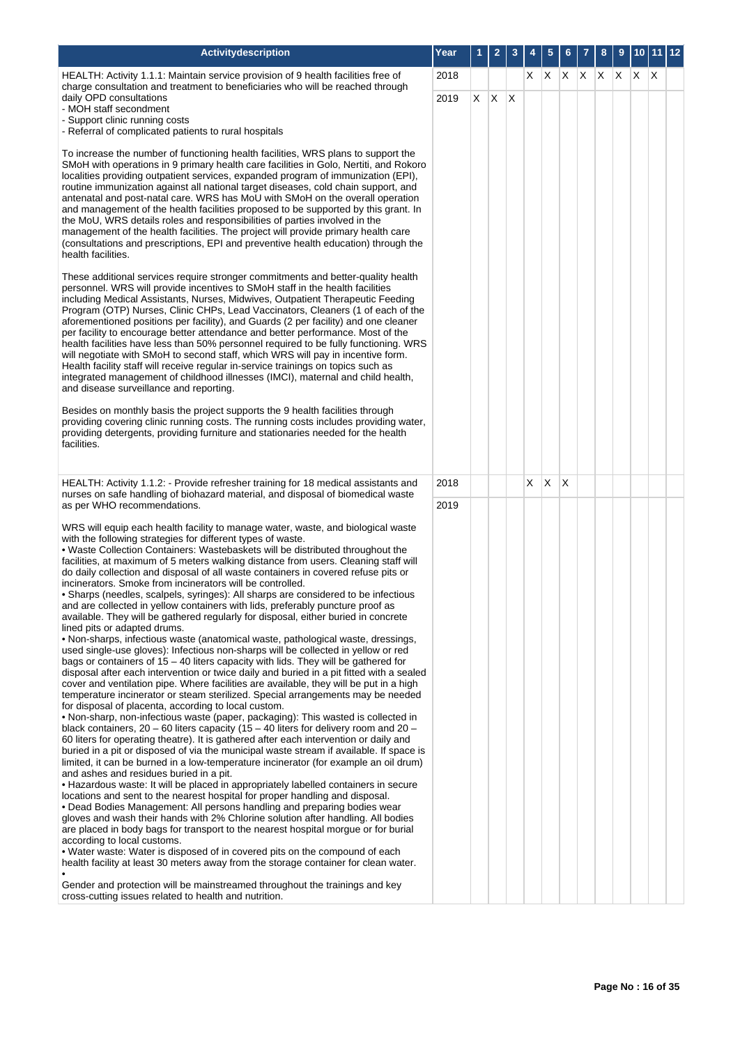| Activitydescription                                                                                                                                                                                                                                                                                                                                                                                                                                                                                                                                                                                                                                                                                                                                                                                                                                                                                                                                                                                                                                                                                                                                                                                                                                                                                                                                                                                                                                                                                                                                                                                                                                                                                                                                                                                                                                                                                                                                                                                                                                                                                                                                                                                                                                                                                                                                                                                                                                                                                               | Year | 1  | $\overline{\mathbf{c}}$ | 3            |    | 5  |   |       | 8 | 9 | 10 11 |              | 12 |
|-------------------------------------------------------------------------------------------------------------------------------------------------------------------------------------------------------------------------------------------------------------------------------------------------------------------------------------------------------------------------------------------------------------------------------------------------------------------------------------------------------------------------------------------------------------------------------------------------------------------------------------------------------------------------------------------------------------------------------------------------------------------------------------------------------------------------------------------------------------------------------------------------------------------------------------------------------------------------------------------------------------------------------------------------------------------------------------------------------------------------------------------------------------------------------------------------------------------------------------------------------------------------------------------------------------------------------------------------------------------------------------------------------------------------------------------------------------------------------------------------------------------------------------------------------------------------------------------------------------------------------------------------------------------------------------------------------------------------------------------------------------------------------------------------------------------------------------------------------------------------------------------------------------------------------------------------------------------------------------------------------------------------------------------------------------------------------------------------------------------------------------------------------------------------------------------------------------------------------------------------------------------------------------------------------------------------------------------------------------------------------------------------------------------------------------------------------------------------------------------------------------------|------|----|-------------------------|--------------|----|----|---|-------|---|---|-------|--------------|----|
| HEALTH: Activity 1.1.1: Maintain service provision of 9 health facilities free of<br>charge consultation and treatment to beneficiaries who will be reached through                                                                                                                                                                                                                                                                                                                                                                                                                                                                                                                                                                                                                                                                                                                                                                                                                                                                                                                                                                                                                                                                                                                                                                                                                                                                                                                                                                                                                                                                                                                                                                                                                                                                                                                                                                                                                                                                                                                                                                                                                                                                                                                                                                                                                                                                                                                                               | 2018 |    |                         |              |    | XX |   | X X X |   |   | ΙX.   | $\mathsf{X}$ |    |
| daily OPD consultations<br>- MOH staff secondment                                                                                                                                                                                                                                                                                                                                                                                                                                                                                                                                                                                                                                                                                                                                                                                                                                                                                                                                                                                                                                                                                                                                                                                                                                                                                                                                                                                                                                                                                                                                                                                                                                                                                                                                                                                                                                                                                                                                                                                                                                                                                                                                                                                                                                                                                                                                                                                                                                                                 | 2019 | X. | X                       | $\mathsf{X}$ |    |    |   |       |   |   |       |              |    |
| - Support clinic running costs<br>- Referral of complicated patients to rural hospitals                                                                                                                                                                                                                                                                                                                                                                                                                                                                                                                                                                                                                                                                                                                                                                                                                                                                                                                                                                                                                                                                                                                                                                                                                                                                                                                                                                                                                                                                                                                                                                                                                                                                                                                                                                                                                                                                                                                                                                                                                                                                                                                                                                                                                                                                                                                                                                                                                           |      |    |                         |              |    |    |   |       |   |   |       |              |    |
| To increase the number of functioning health facilities, WRS plans to support the<br>SMoH with operations in 9 primary health care facilities in Golo, Nertiti, and Rokoro<br>localities providing outpatient services, expanded program of immunization (EPI),<br>routine immunization against all national target diseases, cold chain support, and<br>antenatal and post-natal care. WRS has MoU with SMoH on the overall operation<br>and management of the health facilities proposed to be supported by this grant. In<br>the MoU, WRS details roles and responsibilities of parties involved in the<br>management of the health facilities. The project will provide primary health care<br>(consultations and prescriptions, EPI and preventive health education) through the<br>health facilities.                                                                                                                                                                                                                                                                                                                                                                                                                                                                                                                                                                                                                                                                                                                                                                                                                                                                                                                                                                                                                                                                                                                                                                                                                                                                                                                                                                                                                                                                                                                                                                                                                                                                                                       |      |    |                         |              |    |    |   |       |   |   |       |              |    |
| These additional services require stronger commitments and better-quality health<br>personnel. WRS will provide incentives to SMoH staff in the health facilities<br>including Medical Assistants, Nurses, Midwives, Outpatient Therapeutic Feeding<br>Program (OTP) Nurses, Clinic CHPs, Lead Vaccinators, Cleaners (1 of each of the<br>aforementioned positions per facility), and Guards (2 per facility) and one cleaner<br>per facility to encourage better attendance and better performance. Most of the<br>health facilities have less than 50% personnel required to be fully functioning. WRS<br>will negotiate with SMoH to second staff, which WRS will pay in incentive form.<br>Health facility staff will receive regular in-service trainings on topics such as<br>integrated management of childhood illnesses (IMCI), maternal and child health,<br>and disease surveillance and reporting.                                                                                                                                                                                                                                                                                                                                                                                                                                                                                                                                                                                                                                                                                                                                                                                                                                                                                                                                                                                                                                                                                                                                                                                                                                                                                                                                                                                                                                                                                                                                                                                                    |      |    |                         |              |    |    |   |       |   |   |       |              |    |
| Besides on monthly basis the project supports the 9 health facilities through<br>providing covering clinic running costs. The running costs includes providing water,<br>providing detergents, providing furniture and stationaries needed for the health<br>facilities.                                                                                                                                                                                                                                                                                                                                                                                                                                                                                                                                                                                                                                                                                                                                                                                                                                                                                                                                                                                                                                                                                                                                                                                                                                                                                                                                                                                                                                                                                                                                                                                                                                                                                                                                                                                                                                                                                                                                                                                                                                                                                                                                                                                                                                          |      |    |                         |              |    |    |   |       |   |   |       |              |    |
| HEALTH: Activity 1.1.2: - Provide refresher training for 18 medical assistants and                                                                                                                                                                                                                                                                                                                                                                                                                                                                                                                                                                                                                                                                                                                                                                                                                                                                                                                                                                                                                                                                                                                                                                                                                                                                                                                                                                                                                                                                                                                                                                                                                                                                                                                                                                                                                                                                                                                                                                                                                                                                                                                                                                                                                                                                                                                                                                                                                                | 2018 |    |                         |              | X. | X  | X |       |   |   |       |              |    |
| nurses on safe handling of biohazard material, and disposal of biomedical waste<br>as per WHO recommendations.                                                                                                                                                                                                                                                                                                                                                                                                                                                                                                                                                                                                                                                                                                                                                                                                                                                                                                                                                                                                                                                                                                                                                                                                                                                                                                                                                                                                                                                                                                                                                                                                                                                                                                                                                                                                                                                                                                                                                                                                                                                                                                                                                                                                                                                                                                                                                                                                    | 2019 |    |                         |              |    |    |   |       |   |   |       |              |    |
| WRS will equip each health facility to manage water, waste, and biological waste<br>with the following strategies for different types of waste.<br>. Waste Collection Containers: Wastebaskets will be distributed throughout the<br>facilities, at maximum of 5 meters walking distance from users. Cleaning staff will<br>do daily collection and disposal of all waste containers in covered refuse pits or<br>incinerators. Smoke from incinerators will be controlled.<br>• Sharps (needles, scalpels, syringes): All sharps are considered to be infectious<br>and are collected in yellow containers with lids, preferably puncture proof as<br>available. They will be gathered regularly for disposal, either buried in concrete<br>lined pits or adapted drums.<br>• Non-sharps, infectious waste (anatomical waste, pathological waste, dressings,<br>used single-use gloves): Infectious non-sharps will be collected in yellow or red<br>bags or containers of 15 - 40 liters capacity with lids. They will be gathered for<br>disposal after each intervention or twice daily and buried in a pit fitted with a sealed<br>cover and ventilation pipe. Where facilities are available, they will be put in a high<br>temperature incinerator or steam sterilized. Special arrangements may be needed<br>for disposal of placenta, according to local custom.<br>• Non-sharp, non-infectious waste (paper, packaging): This wasted is collected in<br>black containers, $20 - 60$ liters capacity (15 - 40 liters for delivery room and 20 -<br>60 liters for operating theatre). It is gathered after each intervention or daily and<br>buried in a pit or disposed of via the municipal waste stream if available. If space is<br>limited, it can be burned in a low-temperature incinerator (for example an oil drum)<br>and ashes and residues buried in a pit.<br>. Hazardous waste: It will be placed in appropriately labelled containers in secure<br>locations and sent to the nearest hospital for proper handling and disposal.<br>• Dead Bodies Management: All persons handling and preparing bodies wear<br>gloves and wash their hands with 2% Chlorine solution after handling. All bodies<br>are placed in body bags for transport to the nearest hospital morgue or for burial<br>according to local customs.<br>. Water waste: Water is disposed of in covered pits on the compound of each<br>health facility at least 30 meters away from the storage container for clean water. |      |    |                         |              |    |    |   |       |   |   |       |              |    |
| Gender and protection will be mainstreamed throughout the trainings and key<br>cross-cutting issues related to health and nutrition.                                                                                                                                                                                                                                                                                                                                                                                                                                                                                                                                                                                                                                                                                                                                                                                                                                                                                                                                                                                                                                                                                                                                                                                                                                                                                                                                                                                                                                                                                                                                                                                                                                                                                                                                                                                                                                                                                                                                                                                                                                                                                                                                                                                                                                                                                                                                                                              |      |    |                         |              |    |    |   |       |   |   |       |              |    |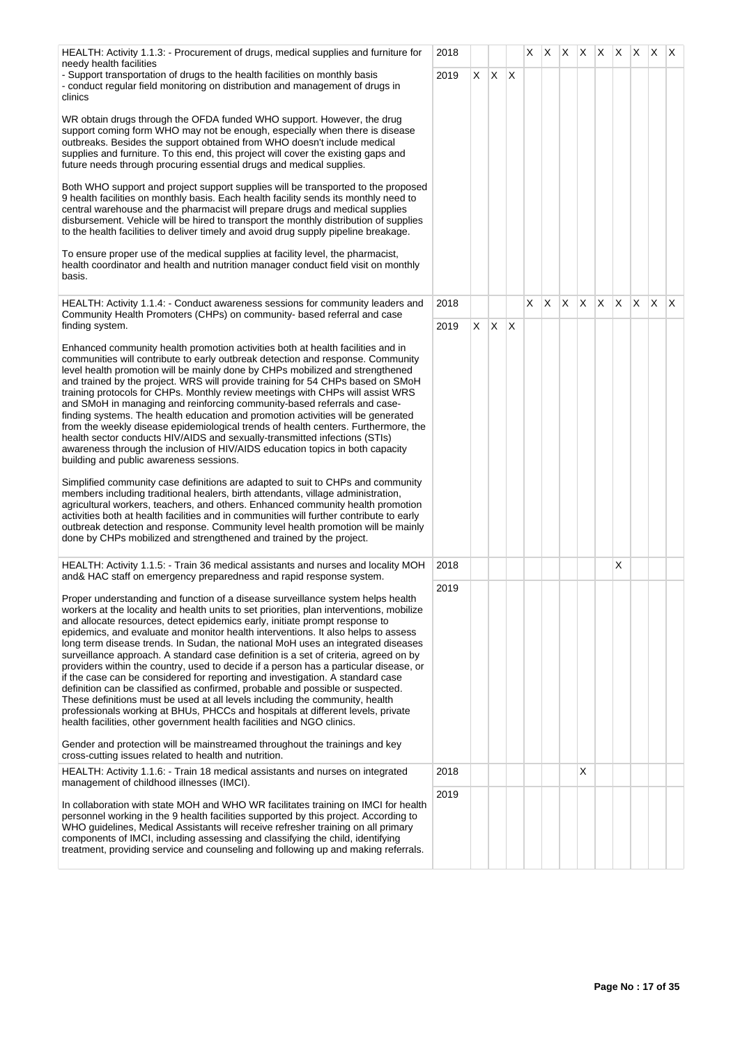| HEALTH: Activity 1.1.3: - Procurement of drugs, medical supplies and furniture for<br>needy health facilities                                                                                                                                                                                                                                                                                                                                                                                                                                                                                                                                                                                                                                                                                                                                                                                                                                                                                                                         | 2018         |    |              |    | X. | Χ            |   | $X$ $X$ $X$ $X$ |              |    | IX.          | $X$ $X$      |              |
|---------------------------------------------------------------------------------------------------------------------------------------------------------------------------------------------------------------------------------------------------------------------------------------------------------------------------------------------------------------------------------------------------------------------------------------------------------------------------------------------------------------------------------------------------------------------------------------------------------------------------------------------------------------------------------------------------------------------------------------------------------------------------------------------------------------------------------------------------------------------------------------------------------------------------------------------------------------------------------------------------------------------------------------|--------------|----|--------------|----|----|--------------|---|-----------------|--------------|----|--------------|--------------|--------------|
| - Support transportation of drugs to the health facilities on monthly basis<br>- conduct regular field monitoring on distribution and management of drugs in<br>clinics                                                                                                                                                                                                                                                                                                                                                                                                                                                                                                                                                                                                                                                                                                                                                                                                                                                               | 2019         | X. | X.           | ΙX |    |              |   |                 |              |    |              |              |              |
| WR obtain drugs through the OFDA funded WHO support. However, the drug<br>support coming form WHO may not be enough, especially when there is disease<br>outbreaks. Besides the support obtained from WHO doesn't include medical<br>supplies and furniture. To this end, this project will cover the existing gaps and<br>future needs through procuring essential drugs and medical supplies.                                                                                                                                                                                                                                                                                                                                                                                                                                                                                                                                                                                                                                       |              |    |              |    |    |              |   |                 |              |    |              |              |              |
| Both WHO support and project support supplies will be transported to the proposed<br>9 health facilities on monthly basis. Each health facility sends its monthly need to<br>central warehouse and the pharmacist will prepare drugs and medical supplies<br>disbursement. Vehicle will be hired to transport the monthly distribution of supplies<br>to the health facilities to deliver timely and avoid drug supply pipeline breakage.                                                                                                                                                                                                                                                                                                                                                                                                                                                                                                                                                                                             |              |    |              |    |    |              |   |                 |              |    |              |              |              |
| To ensure proper use of the medical supplies at facility level, the pharmacist,<br>health coordinator and health and nutrition manager conduct field visit on monthly<br>basis.                                                                                                                                                                                                                                                                                                                                                                                                                                                                                                                                                                                                                                                                                                                                                                                                                                                       |              |    |              |    |    |              |   |                 |              |    |              |              |              |
| HEALTH: Activity 1.1.4: - Conduct awareness sessions for community leaders and<br>Community Health Promoters (CHPs) on community- based referral and case<br>finding system.                                                                                                                                                                                                                                                                                                                                                                                                                                                                                                                                                                                                                                                                                                                                                                                                                                                          | 2018<br>2019 | X. | $\mathsf{X}$ | ΙX | X. | $\mathsf{X}$ | X | X.              | $\mathsf{X}$ | X. | $\mathsf{X}$ | $\mathsf{X}$ | $\mathsf{X}$ |
| Enhanced community health promotion activities both at health facilities and in<br>communities will contribute to early outbreak detection and response. Community<br>level health promotion will be mainly done by CHPs mobilized and strengthened<br>and trained by the project. WRS will provide training for 54 CHPs based on SMoH<br>training protocols for CHPs. Monthly review meetings with CHPs will assist WRS<br>and SMoH in managing and reinforcing community-based referrals and case-<br>finding systems. The health education and promotion activities will be generated<br>from the weekly disease epidemiological trends of health centers. Furthermore, the<br>health sector conducts HIV/AIDS and sexually-transmitted infections (STIs)<br>awareness through the inclusion of HIV/AIDS education topics in both capacity<br>building and public awareness sessions.                                                                                                                                              |              |    |              |    |    |              |   |                 |              |    |              |              |              |
| Simplified community case definitions are adapted to suit to CHPs and community<br>members including traditional healers, birth attendants, village administration,<br>agricultural workers, teachers, and others. Enhanced community health promotion<br>activities both at health facilities and in communities will further contribute to early<br>outbreak detection and response. Community level health promotion will be mainly<br>done by CHPs mobilized and strengthened and trained by the project.                                                                                                                                                                                                                                                                                                                                                                                                                                                                                                                         |              |    |              |    |    |              |   |                 |              |    |              |              |              |
| HEALTH: Activity 1.1.5: - Train 36 medical assistants and nurses and locality MOH<br>and& HAC staff on emergency preparedness and rapid response system.                                                                                                                                                                                                                                                                                                                                                                                                                                                                                                                                                                                                                                                                                                                                                                                                                                                                              | 2018         |    |              |    |    |              |   |                 |              | X  |              |              |              |
| Proper understanding and function of a disease surveillance system helps health<br>workers at the locality and health units to set priorities, plan interventions, mobilize<br>and allocate resources, detect epidemics early, initiate prompt response to<br>epidemics, and evaluate and monitor health interventions. It also helps to assess<br>long term disease trends. In Sudan, the national MoH uses an integrated diseases<br>surveillance approach. A standard case definition is a set of criteria, agreed on by<br>providers within the country, used to decide if a person has a particular disease, or<br>if the case can be considered for reporting and investigation. A standard case<br>definition can be classified as confirmed, probable and possible or suspected.<br>These definitions must be used at all levels including the community, health<br>professionals working at BHUs, PHCCs and hospitals at different levels, private<br>health facilities, other government health facilities and NGO clinics. | 2019         |    |              |    |    |              |   |                 |              |    |              |              |              |
| Gender and protection will be mainstreamed throughout the trainings and key<br>cross-cutting issues related to health and nutrition.                                                                                                                                                                                                                                                                                                                                                                                                                                                                                                                                                                                                                                                                                                                                                                                                                                                                                                  |              |    |              |    |    |              |   |                 |              |    |              |              |              |
| HEALTH: Activity 1.1.6: - Train 18 medical assistants and nurses on integrated<br>management of childhood illnesses (IMCI).                                                                                                                                                                                                                                                                                                                                                                                                                                                                                                                                                                                                                                                                                                                                                                                                                                                                                                           | 2018         |    |              |    |    |              |   | X               |              |    |              |              |              |
| In collaboration with state MOH and WHO WR facilitates training on IMCI for health<br>personnel working in the 9 health facilities supported by this project. According to<br>WHO guidelines, Medical Assistants will receive refresher training on all primary<br>components of IMCI, including assessing and classifying the child, identifying<br>treatment, providing service and counseling and following up and making referrals.                                                                                                                                                                                                                                                                                                                                                                                                                                                                                                                                                                                               | 2019         |    |              |    |    |              |   |                 |              |    |              |              |              |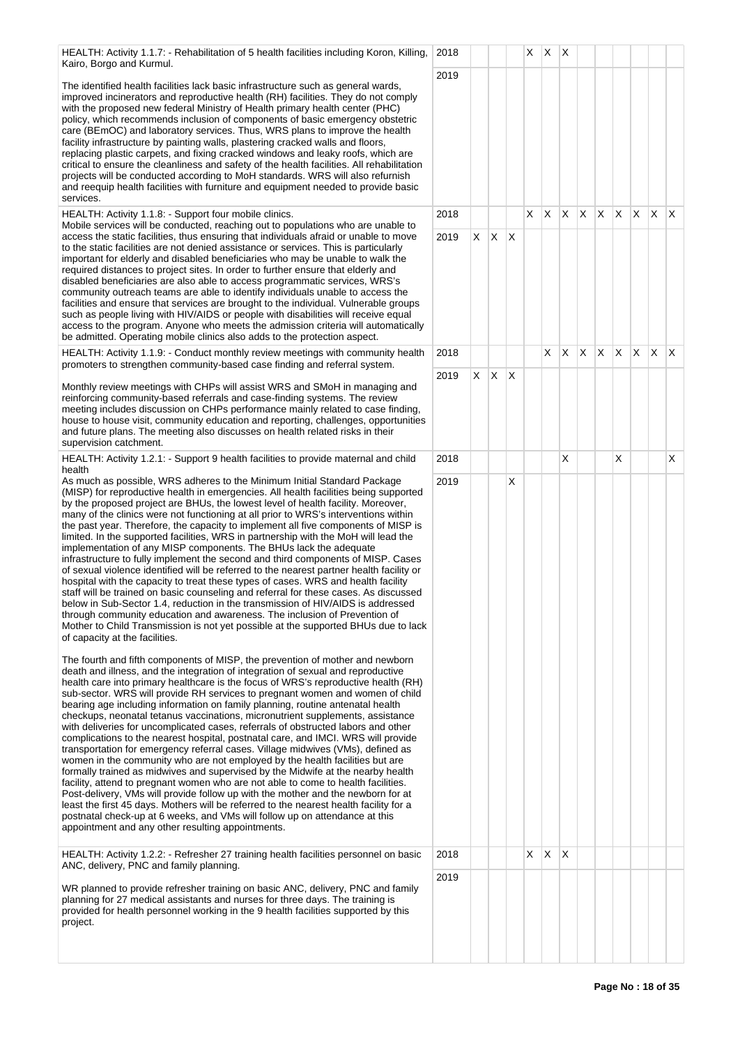HEALTH: Activity 1.1.7: - Rehabilitation of 5 health facilities including Koron, Killing, Kairo, Borgo and Kurmul.

The identified health facilities lack basic infrastructure such as general wards, improved incinerators and reproductive health (RH) facilities. They do not comply with the proposed new federal Ministry of Health primary health center (PHC) policy, which recommends inclusion of components of basic emergency obstetric care (BEmOC) and laboratory services. Thus, WRS plans to improve the health facility infrastructure by painting walls, plastering cracked walls and floors, replacing plastic carpets, and fixing cracked windows and leaky roofs, which are critical to ensure the cleanliness and safety of the health facilities. All rehabilitation projects will be conducted according to MoH standards. WRS will also refurnish and reequip health facilities with furniture and equipment needed to provide basic services.

HEALTH: Activity 1.1.8: - Support four mobile clinics.

Mobile services will be conducted, reaching out to populations who are unable to access the static facilities, thus ensuring that individuals afraid or unable to move to the static facilities are not denied assistance or services. This is particularly important for elderly and disabled beneficiaries who may be unable to walk the required distances to project sites. In order to further ensure that elderly and disabled beneficiaries are also able to access programmatic services, WRS's community outreach teams are able to identify individuals unable to access the facilities and ensure that services are brought to the individual. Vulnerable groups such as people living with HIV/AIDS or people with disabilities will receive equal access to the program. Anyone who meets the admission criteria will automatically be admitted. Operating mobile clinics also adds to the protection aspect.

HEALTH: Activity 1.1.9: - Conduct monthly review meetings with community health promoters to strengthen community-based case finding and referral system.

Monthly review meetings with CHPs will assist WRS and SMoH in managing and reinforcing community-based referrals and case-finding systems. The review meeting includes discussion on CHPs performance mainly related to case finding, house to house visit, community education and reporting, challenges, opportunities and future plans. The meeting also discusses on health related risks in their supervision catchment.

HEALTH: Activity 1.2.1: - Support 9 health facilities to provide maternal and child health

As much as possible, WRS adheres to the Minimum Initial Standard Package (MISP) for reproductive health in emergencies. All health facilities being supported by the proposed project are BHUs, the lowest level of health facility. Moreover, many of the clinics were not functioning at all prior to WRS's interventions within the past year. Therefore, the capacity to implement all five components of MISP is limited. In the supported facilities, WRS in partnership with the MoH will lead the implementation of any MISP components. The BHUs lack the adequate infrastructure to fully implement the second and third components of MISP. Cases of sexual violence identified will be referred to the nearest partner health facility or hospital with the capacity to treat these types of cases. WRS and health facility staff will be trained on basic counseling and referral for these cases. As discussed below in Sub-Sector 1.4, reduction in the transmission of HIV/AIDS is addressed through community education and awareness. The inclusion of Prevention of Mother to Child Transmission is not yet possible at the supported BHUs due to lack of capacity at the facilities.

The fourth and fifth components of MISP, the prevention of mother and newborn death and illness, and the integration of integration of sexual and reproductive health care into primary healthcare is the focus of WRS's reproductive health (RH) sub-sector. WRS will provide RH services to pregnant women and women of child bearing age including information on family planning, routine antenatal health checkups, neonatal tetanus vaccinations, micronutrient supplements, assistance with deliveries for uncomplicated cases, referrals of obstructed labors and other complications to the nearest hospital, postnatal care, and IMCI. WRS will provide transportation for emergency referral cases. Village midwives (VMs), defined as women in the community who are not employed by the health facilities but are formally trained as midwives and supervised by the Midwife at the nearby health facility, attend to pregnant women who are not able to come to health facilities. Post-delivery, VMs will provide follow up with the mother and the newborn for at least the first 45 days. Mothers will be referred to the nearest health facility for a postnatal check-up at 6 weeks, and VMs will follow up on attendance at this appointment and any other resulting appointments.

HEALTH: Activity 1.2.2: - Refresher 27 training health facilities personnel on basic ANC, delivery, PNC and family planning.

WR planned to provide refresher training on basic ANC, delivery, PNC and family planning for 27 medical assistants and nurses for three days. The training is provided for health personnel working in the 9 health facilities supported by this project.

|                          | $\mathsf{I},$ 2018 |                         |                         |                           | $\mathsf{X}^-$          | $x \mid x$              |                    |                |                         |                         |             |                         |                         |
|--------------------------|--------------------|-------------------------|-------------------------|---------------------------|-------------------------|-------------------------|--------------------|----------------|-------------------------|-------------------------|-------------|-------------------------|-------------------------|
|                          | 2019               |                         |                         |                           |                         |                         |                    |                |                         |                         |             |                         |                         |
|                          |                    |                         |                         |                           |                         |                         |                    |                |                         |                         |             |                         |                         |
|                          |                    |                         |                         |                           |                         |                         |                    |                |                         |                         |             |                         |                         |
|                          |                    |                         |                         |                           |                         |                         |                    |                |                         |                         |             |                         |                         |
|                          |                    |                         |                         |                           |                         |                         |                    |                |                         |                         |             |                         |                         |
|                          |                    |                         |                         |                           |                         |                         |                    |                |                         |                         |             |                         |                         |
|                          | 2018               |                         |                         |                           | $\mathsf{X}$            | $\mathsf X$             | $\mathsf X^-$      | $\overline{X}$ | $\overline{X}$          | $\overline{\mathsf{X}}$ | X           | X                       | X                       |
|                          | 2019               | $\pmb{\mathsf{X}}$      | $\mathsf{X}$            | $\boldsymbol{\mathsf{X}}$ |                         |                         |                    |                |                         |                         |             |                         |                         |
|                          |                    |                         |                         |                           |                         |                         |                    |                |                         |                         |             |                         |                         |
|                          |                    |                         |                         |                           |                         |                         |                    |                |                         |                         |             |                         |                         |
|                          |                    |                         |                         |                           |                         |                         |                    |                |                         |                         |             |                         |                         |
|                          | 2018               |                         |                         |                           |                         | $\overline{\mathsf{X}}$ | $\bar{\mathsf{X}}$ | $\overline{X}$ | $\overline{\mathsf{x}}$ | $\overline{X}$          | $\mathsf X$ | $\overline{\mathsf{X}}$ | X                       |
| Ē                        | 2019               | $\overline{\mathsf{x}}$ | $\overline{\mathsf{x}}$ | $\overline{\mathsf{x}}$   |                         |                         |                    |                |                         |                         |             |                         |                         |
|                          |                    |                         |                         |                           |                         |                         |                    |                |                         |                         |             |                         |                         |
| è                        |                    |                         |                         |                           |                         |                         |                    |                |                         |                         |             |                         |                         |
|                          |                    |                         |                         |                           |                         |                         |                    |                |                         |                         |             |                         |                         |
|                          | 2018               |                         |                         |                           |                         |                         | X                  |                |                         | $\overline{\mathsf{X}}$ |             |                         | $\overline{\mathsf{x}}$ |
|                          | 2019               |                         |                         | $\overline{\mathsf{x}}$   |                         |                         |                    |                |                         |                         |             |                         |                         |
|                          |                    |                         |                         |                           |                         |                         |                    |                |                         |                         |             |                         |                         |
|                          |                    |                         |                         |                           |                         |                         |                    |                |                         |                         |             |                         |                         |
|                          |                    |                         |                         |                           |                         |                         |                    |                |                         |                         |             |                         |                         |
|                          |                    |                         |                         |                           |                         |                         |                    |                |                         |                         |             |                         |                         |
|                          |                    |                         |                         |                           |                         |                         |                    |                |                         |                         |             |                         |                         |
| $\overline{\phantom{0}}$ |                    |                         |                         |                           |                         |                         |                    |                |                         |                         |             |                         |                         |
|                          |                    |                         |                         |                           |                         |                         |                    |                |                         |                         |             |                         |                         |
|                          |                    |                         |                         |                           |                         |                         |                    |                |                         |                         |             |                         |                         |
|                          |                    |                         |                         |                           |                         |                         |                    |                |                         |                         |             |                         |                         |
|                          |                    |                         |                         |                           |                         |                         |                    |                |                         |                         |             |                         |                         |
|                          |                    |                         |                         |                           |                         |                         |                    |                |                         |                         |             |                         |                         |
|                          |                    |                         |                         |                           |                         |                         |                    |                |                         |                         |             |                         |                         |
|                          |                    |                         |                         |                           |                         |                         |                    |                |                         |                         |             |                         |                         |
|                          |                    |                         |                         |                           |                         |                         |                    |                |                         |                         |             |                         |                         |
|                          | 2018               |                         |                         |                           | $\overline{\mathsf{X}}$ | $\overline{\mathsf{x}}$ | X                  |                |                         |                         |             |                         |                         |
|                          | 2019               |                         |                         |                           |                         |                         |                    |                |                         |                         |             |                         |                         |
|                          |                    |                         |                         |                           |                         |                         |                    |                |                         |                         |             |                         |                         |
|                          |                    |                         |                         |                           |                         |                         |                    |                |                         |                         |             |                         |                         |
|                          |                    |                         |                         |                           |                         |                         |                    |                |                         |                         |             |                         |                         |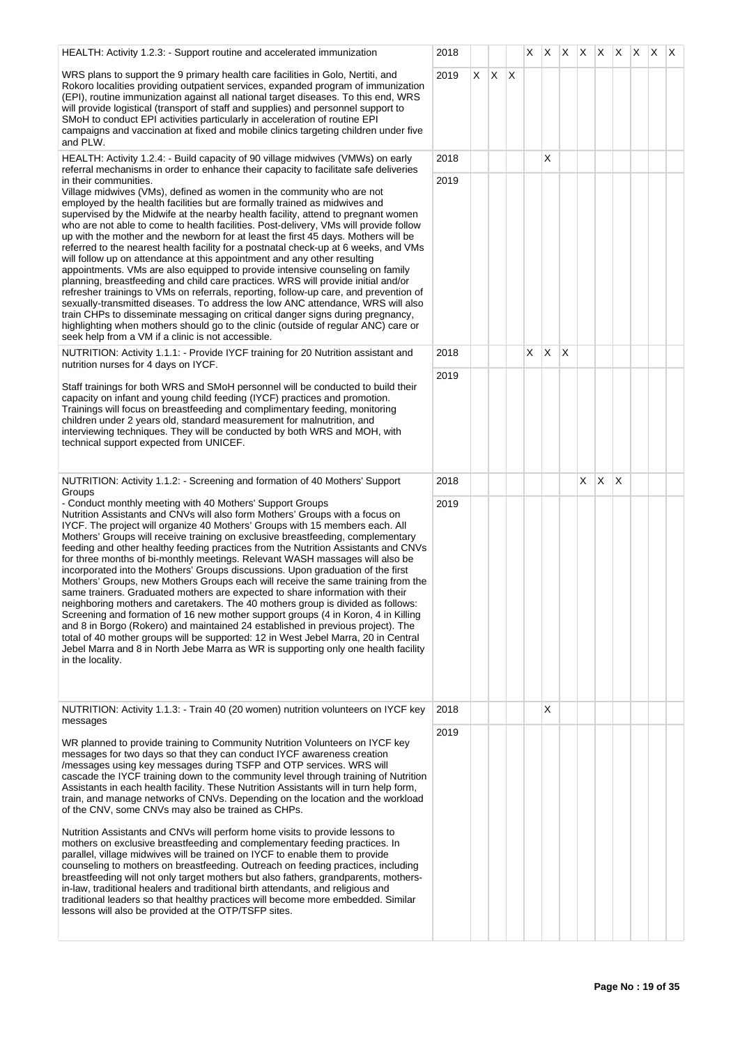| HEALTH: Activity 1.2.3: - Support routine and accelerated immunization                                                                                                                                                                                                                                                                                                                                                                                                                                                                                                                                                                                                                                                                                                                                                                                                                                                                                                                                                                                                                                                                                                                                         | 2018 |    |    |    | X  | X.           | X.           | $X \mid X \mid X \mid X \mid X$ |              |    |  | $\mathsf{X}$ |
|----------------------------------------------------------------------------------------------------------------------------------------------------------------------------------------------------------------------------------------------------------------------------------------------------------------------------------------------------------------------------------------------------------------------------------------------------------------------------------------------------------------------------------------------------------------------------------------------------------------------------------------------------------------------------------------------------------------------------------------------------------------------------------------------------------------------------------------------------------------------------------------------------------------------------------------------------------------------------------------------------------------------------------------------------------------------------------------------------------------------------------------------------------------------------------------------------------------|------|----|----|----|----|--------------|--------------|---------------------------------|--------------|----|--|--------------|
| WRS plans to support the 9 primary health care facilities in Golo, Nertiti, and<br>Rokoro localities providing outpatient services, expanded program of immunization<br>(EPI), routine immunization against all national target diseases. To this end, WRS<br>will provide logistical (transport of staff and supplies) and personnel support to<br>SMoH to conduct EPI activities particularly in acceleration of routine EPI<br>campaigns and vaccination at fixed and mobile clinics targeting children under five<br>and PLW.                                                                                                                                                                                                                                                                                                                                                                                                                                                                                                                                                                                                                                                                              | 2019 | X. | X. | ΙX |    |              |              |                                 |              |    |  |              |
| HEALTH: Activity 1.2.4: - Build capacity of 90 village midwives (VMWs) on early<br>referral mechanisms in order to enhance their capacity to facilitate safe deliveries                                                                                                                                                                                                                                                                                                                                                                                                                                                                                                                                                                                                                                                                                                                                                                                                                                                                                                                                                                                                                                        | 2018 |    |    |    |    | X            |              |                                 |              |    |  |              |
| in their communities.<br>Village midwives (VMs), defined as women in the community who are not<br>employed by the health facilities but are formally trained as midwives and<br>supervised by the Midwife at the nearby health facility, attend to pregnant women<br>who are not able to come to health facilities. Post-delivery, VMs will provide follow<br>up with the mother and the newborn for at least the first 45 days. Mothers will be<br>referred to the nearest health facility for a postnatal check-up at 6 weeks, and VMs<br>will follow up on attendance at this appointment and any other resulting<br>appointments. VMs are also equipped to provide intensive counseling on family<br>planning, breastfeeding and child care practices. WRS will provide initial and/or<br>refresher trainings to VMs on referrals, reporting, follow-up care, and prevention of<br>sexually-transmitted diseases. To address the low ANC attendance, WRS will also<br>train CHPs to disseminate messaging on critical danger signs during pregnancy,<br>highlighting when mothers should go to the clinic (outside of regular ANC) care or<br>seek help from a VM if a clinic is not accessible.           | 2019 |    |    |    |    |              |              |                                 |              |    |  |              |
| NUTRITION: Activity 1.1.1: - Provide IYCF training for 20 Nutrition assistant and<br>nutrition nurses for 4 days on IYCF.                                                                                                                                                                                                                                                                                                                                                                                                                                                                                                                                                                                                                                                                                                                                                                                                                                                                                                                                                                                                                                                                                      | 2018 |    |    |    | X. | $\mathsf{X}$ | $\mathsf{X}$ |                                 |              |    |  |              |
| Staff trainings for both WRS and SMoH personnel will be conducted to build their<br>capacity on infant and young child feeding (IYCF) practices and promotion.<br>Trainings will focus on breastfeeding and complimentary feeding, monitoring<br>children under 2 years old, standard measurement for malnutrition, and<br>interviewing techniques. They will be conducted by both WRS and MOH, with<br>technical support expected from UNICEF.                                                                                                                                                                                                                                                                                                                                                                                                                                                                                                                                                                                                                                                                                                                                                                | 2019 |    |    |    |    |              |              |                                 |              |    |  |              |
| NUTRITION: Activity 1.1.2: - Screening and formation of 40 Mothers' Support<br>Groups                                                                                                                                                                                                                                                                                                                                                                                                                                                                                                                                                                                                                                                                                                                                                                                                                                                                                                                                                                                                                                                                                                                          | 2018 |    |    |    |    |              |              | X.                              | $\mathsf{X}$ | ΙX |  |              |
| - Conduct monthly meeting with 40 Mothers' Support Groups<br>Nutrition Assistants and CNVs will also form Mothers' Groups with a focus on<br>IYCF. The project will organize 40 Mothers' Groups with 15 members each. All<br>Mothers' Groups will receive training on exclusive breastfeeding, complementary<br>feeding and other healthy feeding practices from the Nutrition Assistants and CNVs<br>for three months of bi-monthly meetings. Relevant WASH massages will also be<br>incorporated into the Mothers' Groups discussions. Upon graduation of the first<br>Mothers' Groups, new Mothers Groups each will receive the same training from the<br>same trainers. Graduated mothers are expected to share information with their<br>neighboring mothers and caretakers. The 40 mothers group is divided as follows:<br>Screening and formation of 16 new mother support groups (4 in Koron, 4 in Killing<br>and 8 in Borgo (Rokero) and maintained 24 established in previous project). The<br>total of 40 mother groups will be supported: 12 in West Jebel Marra, 20 in Central<br>Jebel Marra and 8 in North Jebe Marra as WR is supporting only one health facility<br>in the locality.          | 2019 |    |    |    |    |              |              |                                 |              |    |  |              |
| NUTRITION: Activity 1.1.3: - Train 40 (20 women) nutrition volunteers on IYCF key<br>messages                                                                                                                                                                                                                                                                                                                                                                                                                                                                                                                                                                                                                                                                                                                                                                                                                                                                                                                                                                                                                                                                                                                  | 2018 |    |    |    |    | х            |              |                                 |              |    |  |              |
| WR planned to provide training to Community Nutrition Volunteers on IYCF key<br>messages for two days so that they can conduct IYCF awareness creation<br>/messages using key messages during TSFP and OTP services. WRS will<br>cascade the IYCF training down to the community level through training of Nutrition<br>Assistants in each health facility. These Nutrition Assistants will in turn help form,<br>train, and manage networks of CNVs. Depending on the location and the workload<br>of the CNV, some CNVs may also be trained as CHPs.<br>Nutrition Assistants and CNVs will perform home visits to provide lessons to<br>mothers on exclusive breastfeeding and complementary feeding practices. In<br>parallel, village midwives will be trained on IYCF to enable them to provide<br>counseling to mothers on breastfeeding. Outreach on feeding practices, including<br>breastfeeding will not only target mothers but also fathers, grandparents, mothers-<br>in-law, traditional healers and traditional birth attendants, and religious and<br>traditional leaders so that healthy practices will become more embedded. Similar<br>lessons will also be provided at the OTP/TSFP sites. | 2019 |    |    |    |    |              |              |                                 |              |    |  |              |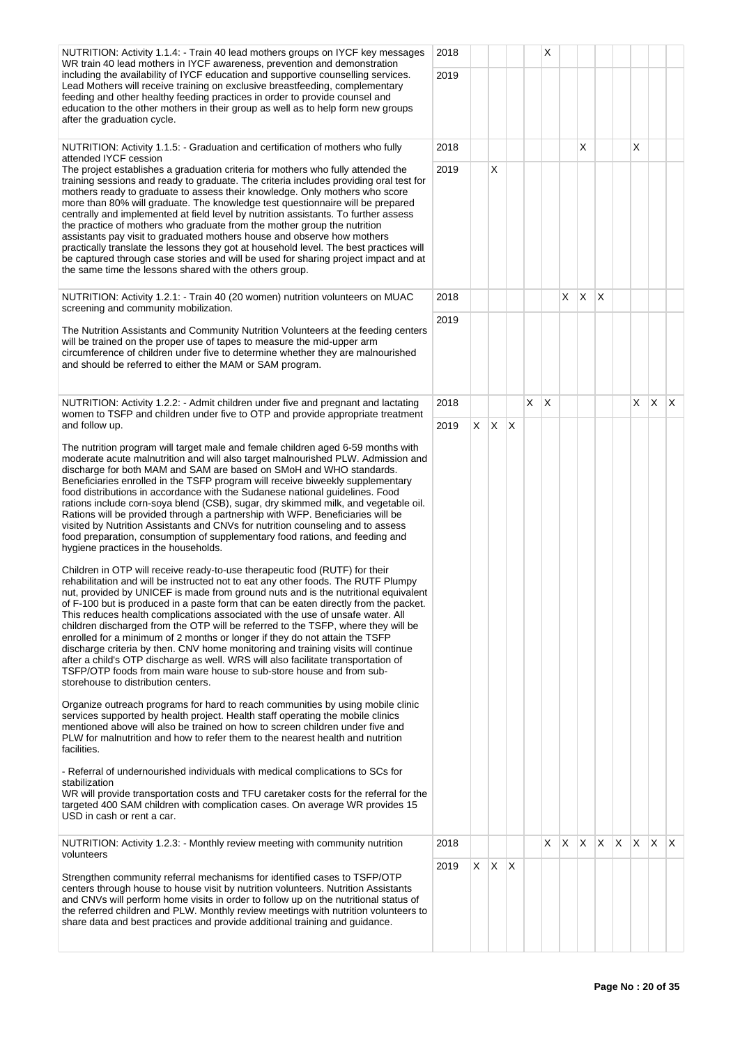| NUTRITION: Activity 1.1.4: - Train 40 lead mothers groups on IYCF key messages                                                                                                                                                                                                                                                                                                                                                                                                                                                                                                                                                                                                                                                                                                                                                                                                                | 2018 |    |                   |   |   | X            |    |   |          |              |     |              |     |
|-----------------------------------------------------------------------------------------------------------------------------------------------------------------------------------------------------------------------------------------------------------------------------------------------------------------------------------------------------------------------------------------------------------------------------------------------------------------------------------------------------------------------------------------------------------------------------------------------------------------------------------------------------------------------------------------------------------------------------------------------------------------------------------------------------------------------------------------------------------------------------------------------|------|----|-------------------|---|---|--------------|----|---|----------|--------------|-----|--------------|-----|
| WR train 40 lead mothers in IYCF awareness, prevention and demonstration<br>including the availability of IYCF education and supportive counselling services.                                                                                                                                                                                                                                                                                                                                                                                                                                                                                                                                                                                                                                                                                                                                 | 2019 |    |                   |   |   |              |    |   |          |              |     |              |     |
| Lead Mothers will receive training on exclusive breastfeeding, complementary<br>feeding and other healthy feeding practices in order to provide counsel and<br>education to the other mothers in their group as well as to help form new groups<br>after the graduation cycle.                                                                                                                                                                                                                                                                                                                                                                                                                                                                                                                                                                                                                |      |    |                   |   |   |              |    |   |          |              |     |              |     |
| NUTRITION: Activity 1.1.5: - Graduation and certification of mothers who fully                                                                                                                                                                                                                                                                                                                                                                                                                                                                                                                                                                                                                                                                                                                                                                                                                | 2018 |    |                   |   |   |              |    | Х |          |              | X.  |              |     |
| attended IYCF cession<br>The project establishes a graduation criteria for mothers who fully attended the<br>training sessions and ready to graduate. The criteria includes providing oral test for<br>mothers ready to graduate to assess their knowledge. Only mothers who score<br>more than 80% will graduate. The knowledge test questionnaire will be prepared<br>centrally and implemented at field level by nutrition assistants. To further assess<br>the practice of mothers who graduate from the mother group the nutrition<br>assistants pay visit to graduated mothers house and observe how mothers<br>practically translate the lessons they got at household level. The best practices will<br>be captured through case stories and will be used for sharing project impact and at<br>the same time the lessons shared with the others group.                                | 2019 |    | X                 |   |   |              |    |   |          |              |     |              |     |
| NUTRITION: Activity 1.2.1: - Train 40 (20 women) nutrition volunteers on MUAC<br>screening and community mobilization.                                                                                                                                                                                                                                                                                                                                                                                                                                                                                                                                                                                                                                                                                                                                                                        | 2018 |    |                   |   |   |              | X. | X | $\times$ |              |     |              |     |
| The Nutrition Assistants and Community Nutrition Volunteers at the feeding centers<br>will be trained on the proper use of tapes to measure the mid-upper arm<br>circumference of children under five to determine whether they are malnourished<br>and should be referred to either the MAM or SAM program.                                                                                                                                                                                                                                                                                                                                                                                                                                                                                                                                                                                  | 2019 |    |                   |   |   |              |    |   |          |              |     |              |     |
| NUTRITION: Activity 1.2.2: - Admit children under five and pregnant and lactating<br>women to TSFP and children under five to OTP and provide appropriate treatment                                                                                                                                                                                                                                                                                                                                                                                                                                                                                                                                                                                                                                                                                                                           | 2018 |    |                   |   | X | $\mathsf{X}$ |    |   |          |              | X.  | X.           | ΙX. |
| and follow up.                                                                                                                                                                                                                                                                                                                                                                                                                                                                                                                                                                                                                                                                                                                                                                                                                                                                                | 2019 |    | $X \mid X \mid X$ |   |   |              |    |   |          |              |     |              |     |
| The nutrition program will target male and female children aged 6-59 months with<br>moderate acute malnutrition and will also target malnourished PLW. Admission and<br>discharge for both MAM and SAM are based on SMoH and WHO standards.<br>Beneficiaries enrolled in the TSFP program will receive biweekly supplementary<br>food distributions in accordance with the Sudanese national guidelines. Food<br>rations include corn-soya blend (CSB), sugar, dry skimmed milk, and vegetable oil.<br>Rations will be provided through a partnership with WFP. Beneficiaries will be<br>visited by Nutrition Assistants and CNVs for nutrition counseling and to assess<br>food preparation, consumption of supplementary food rations, and feeding and<br>hygiene practices in the households.                                                                                              |      |    |                   |   |   |              |    |   |          |              |     |              |     |
| Children in OTP will receive ready-to-use therapeutic food (RUTF) for their<br>rehabilitation and will be instructed not to eat any other foods. The RUTF Plumpy<br>nut, provided by UNICEF is made from ground nuts and is the nutritional equivalent<br>of F-100 but is produced in a paste form that can be eaten directly from the packet.<br>This reduces health complications associated with the use of unsafe water. All<br>children discharged from the OTP will be referred to the TSFP, where they will be<br>enrolled for a minimum of 2 months or longer if they do not attain the TSFP<br>discharge criteria by then. CNV home monitoring and training visits will continue<br>after a child's OTP discharge as well. WRS will also facilitate transportation of<br>TSFP/OTP foods from main ware house to sub-store house and from sub-<br>storehouse to distribution centers. |      |    |                   |   |   |              |    |   |          |              |     |              |     |
| Organize outreach programs for hard to reach communities by using mobile clinic<br>services supported by health project. Health staff operating the mobile clinics<br>mentioned above will also be trained on how to screen children under five and<br>PLW for malnutrition and how to refer them to the nearest health and nutrition<br>facilities.                                                                                                                                                                                                                                                                                                                                                                                                                                                                                                                                          |      |    |                   |   |   |              |    |   |          |              |     |              |     |
| - Referral of undernourished individuals with medical complications to SCs for<br>stabilization<br>WR will provide transportation costs and TFU caretaker costs for the referral for the<br>targeted 400 SAM children with complication cases. On average WR provides 15<br>USD in cash or rent a car.                                                                                                                                                                                                                                                                                                                                                                                                                                                                                                                                                                                        |      |    |                   |   |   |              |    |   |          |              |     |              |     |
| NUTRITION: Activity 1.2.3: - Monthly review meeting with community nutrition<br>volunteers                                                                                                                                                                                                                                                                                                                                                                                                                                                                                                                                                                                                                                                                                                                                                                                                    | 2018 |    |                   |   |   | X            | X. | X | X        | $\mathsf{X}$ | ΙX. | $\mathsf{X}$ | ΙX. |
| Strengthen community referral mechanisms for identified cases to TSFP/OTP<br>centers through house to house visit by nutrition volunteers. Nutrition Assistants<br>and CNVs will perform home visits in order to follow up on the nutritional status of<br>the referred children and PLW. Monthly review meetings with nutrition volunteers to<br>share data and best practices and provide additional training and guidance.                                                                                                                                                                                                                                                                                                                                                                                                                                                                 | 2019 | X. | $\mathsf{X}$      | X |   |              |    |   |          |              |     |              |     |
|                                                                                                                                                                                                                                                                                                                                                                                                                                                                                                                                                                                                                                                                                                                                                                                                                                                                                               |      |    |                   |   |   |              |    |   |          |              |     |              |     |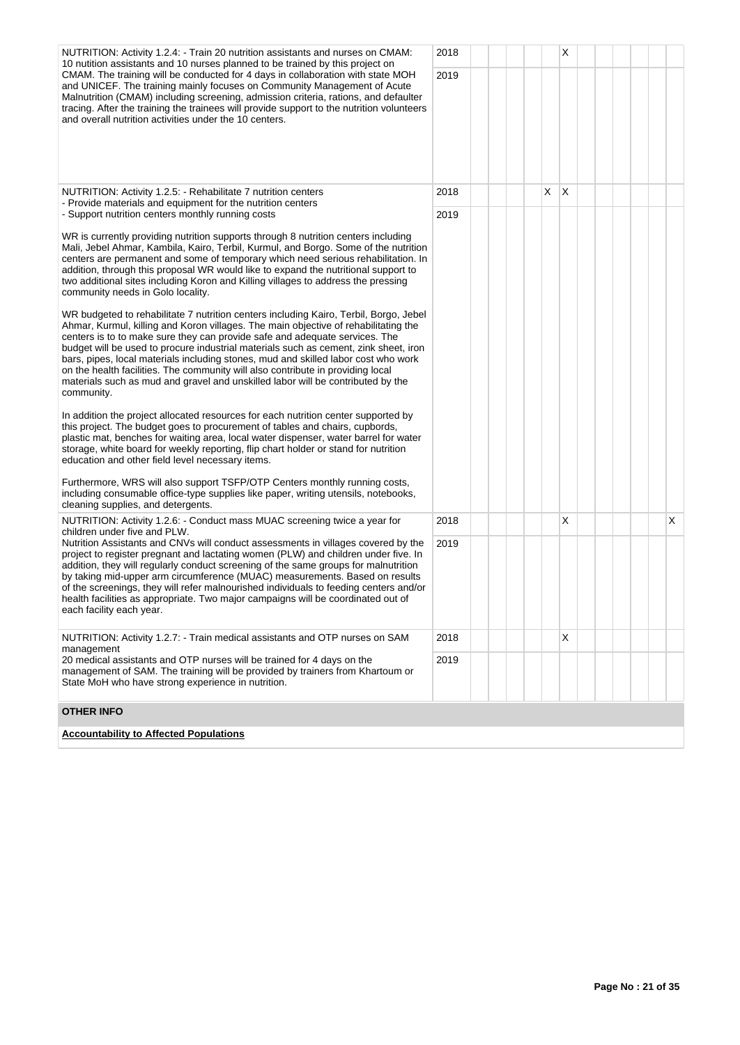| NUTRITION: Activity 1.2.4: - Train 20 nutrition assistants and nurses on CMAM:<br>10 nutition assistants and 10 nurses planned to be trained by this project on<br>CMAM. The training will be conducted for 4 days in collaboration with state MOH<br>and UNICEF. The training mainly focuses on Community Management of Acute<br>Malnutrition (CMAM) including screening, admission criteria, rations, and defaulter<br>tracing. After the training the trainees will provide support to the nutrition volunteers<br>and overall nutrition activities under the 10 centers.                                                  | 2018<br>2019 |  |   | Χ            |  |  |   |
|-------------------------------------------------------------------------------------------------------------------------------------------------------------------------------------------------------------------------------------------------------------------------------------------------------------------------------------------------------------------------------------------------------------------------------------------------------------------------------------------------------------------------------------------------------------------------------------------------------------------------------|--------------|--|---|--------------|--|--|---|
| NUTRITION: Activity 1.2.5: - Rehabilitate 7 nutrition centers<br>- Provide materials and equipment for the nutrition centers                                                                                                                                                                                                                                                                                                                                                                                                                                                                                                  | 2018         |  | X | $\mathsf{X}$ |  |  |   |
| - Support nutrition centers monthly running costs                                                                                                                                                                                                                                                                                                                                                                                                                                                                                                                                                                             | 2019         |  |   |              |  |  |   |
| WR is currently providing nutrition supports through 8 nutrition centers including<br>Mali, Jebel Ahmar, Kambila, Kairo, Terbil, Kurmul, and Borgo. Some of the nutrition<br>centers are permanent and some of temporary which need serious rehabilitation. In<br>addition, through this proposal WR would like to expand the nutritional support to<br>two additional sites including Koron and Killing villages to address the pressing<br>community needs in Golo locality.                                                                                                                                                |              |  |   |              |  |  |   |
| WR budgeted to rehabilitate 7 nutrition centers including Kairo, Terbil, Borgo, Jebel<br>Ahmar, Kurmul, killing and Koron villages. The main objective of rehabilitating the<br>centers is to to make sure they can provide safe and adequate services. The<br>budget will be used to procure industrial materials such as cement, zink sheet, iron<br>bars, pipes, local materials including stones, mud and skilled labor cost who work<br>on the health facilities. The community will also contribute in providing local<br>materials such as mud and gravel and unskilled labor will be contributed by the<br>community. |              |  |   |              |  |  |   |
| In addition the project allocated resources for each nutrition center supported by<br>this project. The budget goes to procurement of tables and chairs, cupbords,<br>plastic mat, benches for waiting area, local water dispenser, water barrel for water<br>storage, white board for weekly reporting, flip chart holder or stand for nutrition<br>education and other field level necessary items.                                                                                                                                                                                                                         |              |  |   |              |  |  |   |
| Furthermore, WRS will also support TSFP/OTP Centers monthly running costs,<br>including consumable office-type supplies like paper, writing utensils, notebooks,<br>cleaning supplies, and detergents.                                                                                                                                                                                                                                                                                                                                                                                                                        |              |  |   |              |  |  |   |
| NUTRITION: Activity 1.2.6: - Conduct mass MUAC screening twice a year for<br>children under five and PLW.                                                                                                                                                                                                                                                                                                                                                                                                                                                                                                                     | 2018         |  |   | х            |  |  | X |
| Nutrition Assistants and CNVs will conduct assessments in villages covered by the<br>project to register pregnant and lactating women (PLW) and children under five. In<br>addition, they will regularly conduct screening of the same groups for malnutrition<br>by taking mid-upper arm circumference (MUAC) measurements. Based on results<br>of the screenings, they will refer malnourished individuals to feeding centers and/or<br>health facilities as appropriate. Two major campaigns will be coordinated out of<br>each facility each year.                                                                        | 2019         |  |   |              |  |  |   |
| NUTRITION: Activity 1.2.7: - Train medical assistants and OTP nurses on SAM<br>management                                                                                                                                                                                                                                                                                                                                                                                                                                                                                                                                     | 2018         |  |   | X            |  |  |   |
| 20 medical assistants and OTP nurses will be trained for 4 days on the<br>management of SAM. The training will be provided by trainers from Khartoum or<br>State MoH who have strong experience in nutrition.                                                                                                                                                                                                                                                                                                                                                                                                                 | 2019         |  |   |              |  |  |   |
| <b>OTHER INFO</b>                                                                                                                                                                                                                                                                                                                                                                                                                                                                                                                                                                                                             |              |  |   |              |  |  |   |
| <b>Accountability to Affected Populations</b>                                                                                                                                                                                                                                                                                                                                                                                                                                                                                                                                                                                 |              |  |   |              |  |  |   |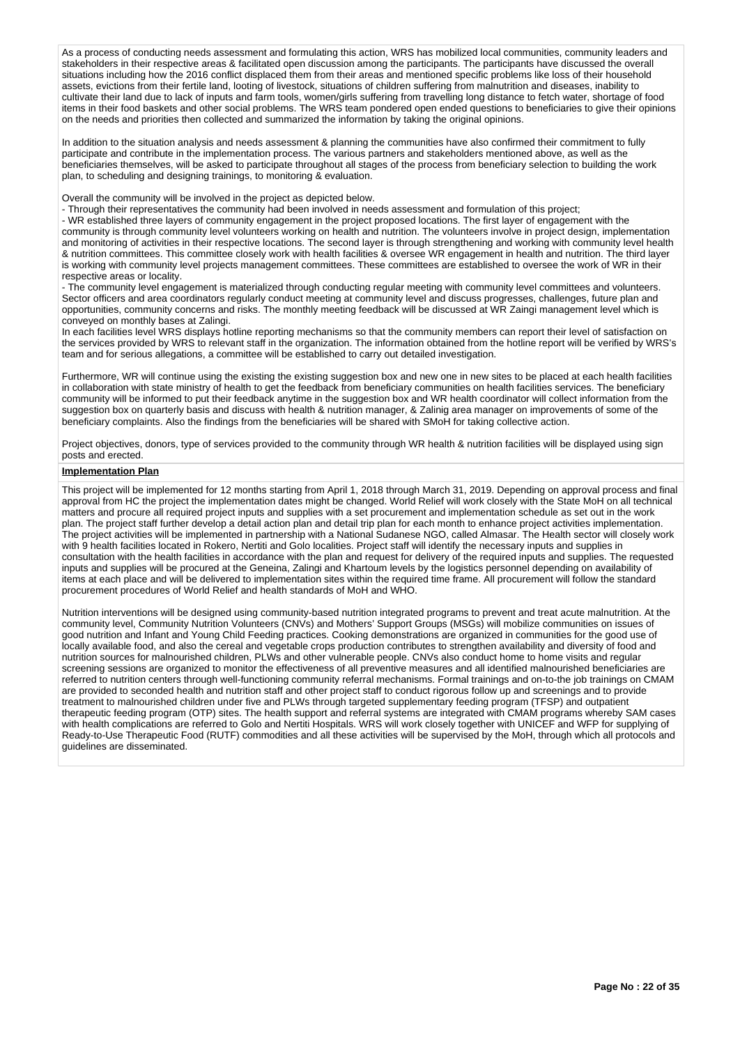As a process of conducting needs assessment and formulating this action, WRS has mobilized local communities, community leaders and stakeholders in their respective areas & facilitated open discussion among the participants. The participants have discussed the overall situations including how the 2016 conflict displaced them from their areas and mentioned specific problems like loss of their household assets, evictions from their fertile land, looting of livestock, situations of children suffering from malnutrition and diseases, inability to cultivate their land due to lack of inputs and farm tools, women/girls suffering from travelling long distance to fetch water, shortage of food items in their food baskets and other social problems. The WRS team pondered open ended questions to beneficiaries to give their opinions on the needs and priorities then collected and summarized the information by taking the original opinions.

In addition to the situation analysis and needs assessment & planning the communities have also confirmed their commitment to fully participate and contribute in the implementation process. The various partners and stakeholders mentioned above, as well as the beneficiaries themselves, will be asked to participate throughout all stages of the process from beneficiary selection to building the work plan, to scheduling and designing trainings, to monitoring & evaluation.

Overall the community will be involved in the project as depicted below.

- Through their representatives the community had been involved in needs assessment and formulation of this project;

- WR established three layers of community engagement in the project proposed locations. The first layer of engagement with the community is through community level volunteers working on health and nutrition. The volunteers involve in project design, implementation and monitoring of activities in their respective locations. The second layer is through strengthening and working with community level health & nutrition committees. This committee closely work with health facilities & oversee WR engagement in health and nutrition. The third layer is working with community level projects management committees. These committees are established to oversee the work of WR in their respective areas or locality.

- The community level engagement is materialized through conducting regular meeting with community level committees and volunteers. Sector officers and area coordinators regularly conduct meeting at community level and discuss progresses, challenges, future plan and opportunities, community concerns and risks. The monthly meeting feedback will be discussed at WR Zaingi management level which is conveyed on monthly bases at Zalingi.

In each facilities level WRS displays hotline reporting mechanisms so that the community members can report their level of satisfaction on the services provided by WRS to relevant staff in the organization. The information obtained from the hotline report will be verified by WRS's team and for serious allegations, a committee will be established to carry out detailed investigation.

Furthermore, WR will continue using the existing the existing suggestion box and new one in new sites to be placed at each health facilities in collaboration with state ministry of health to get the feedback from beneficiary communities on health facilities services. The beneficiary community will be informed to put their feedback anytime in the suggestion box and WR health coordinator will collect information from the suggestion box on quarterly basis and discuss with health & nutrition manager, & Zalinig area manager on improvements of some of the beneficiary complaints. Also the findings from the beneficiaries will be shared with SMoH for taking collective action.

Project objectives, donors, type of services provided to the community through WR health & nutrition facilities will be displayed using sign posts and erected.

# **Implementation Plan**

This project will be implemented for 12 months starting from April 1, 2018 through March 31, 2019. Depending on approval process and final approval from HC the project the implementation dates might be changed. World Relief will work closely with the State MoH on all technical matters and procure all required project inputs and supplies with a set procurement and implementation schedule as set out in the work plan. The project staff further develop a detail action plan and detail trip plan for each month to enhance project activities implementation. The project activities will be implemented in partnership with a National Sudanese NGO, called Almasar. The Health sector will closely work with 9 health facilities located in Rokero, Nertiti and Golo localities. Project staff will identify the necessary inputs and supplies in consultation with the health facilities in accordance with the plan and request for delivery of the required inputs and supplies. The requested inputs and supplies will be procured at the Geneina, Zalingi and Khartoum levels by the logistics personnel depending on availability of items at each place and will be delivered to implementation sites within the required time frame. All procurement will follow the standard procurement procedures of World Relief and health standards of MoH and WHO.

Nutrition interventions will be designed using community-based nutrition integrated programs to prevent and treat acute malnutrition. At the community level, Community Nutrition Volunteers (CNVs) and Mothers' Support Groups (MSGs) will mobilize communities on issues of good nutrition and Infant and Young Child Feeding practices. Cooking demonstrations are organized in communities for the good use of locally available food, and also the cereal and vegetable crops production contributes to strengthen availability and diversity of food and nutrition sources for malnourished children, PLWs and other vulnerable people. CNVs also conduct home to home visits and regular screening sessions are organized to monitor the effectiveness of all preventive measures and all identified malnourished beneficiaries are referred to nutrition centers through well-functioning community referral mechanisms. Formal trainings and on-to-the job trainings on CMAM are provided to seconded health and nutrition staff and other project staff to conduct rigorous follow up and screenings and to provide treatment to malnourished children under five and PLWs through targeted supplementary feeding program (TFSP) and outpatient therapeutic feeding program (OTP) sites. The health support and referral systems are integrated with CMAM programs whereby SAM cases with health complications are referred to Golo and Nertiti Hospitals. WRS will work closely together with UNICEF and WFP for supplying of Ready-to-Use Therapeutic Food (RUTF) commodities and all these activities will be supervised by the MoH, through which all protocols and guidelines are disseminated.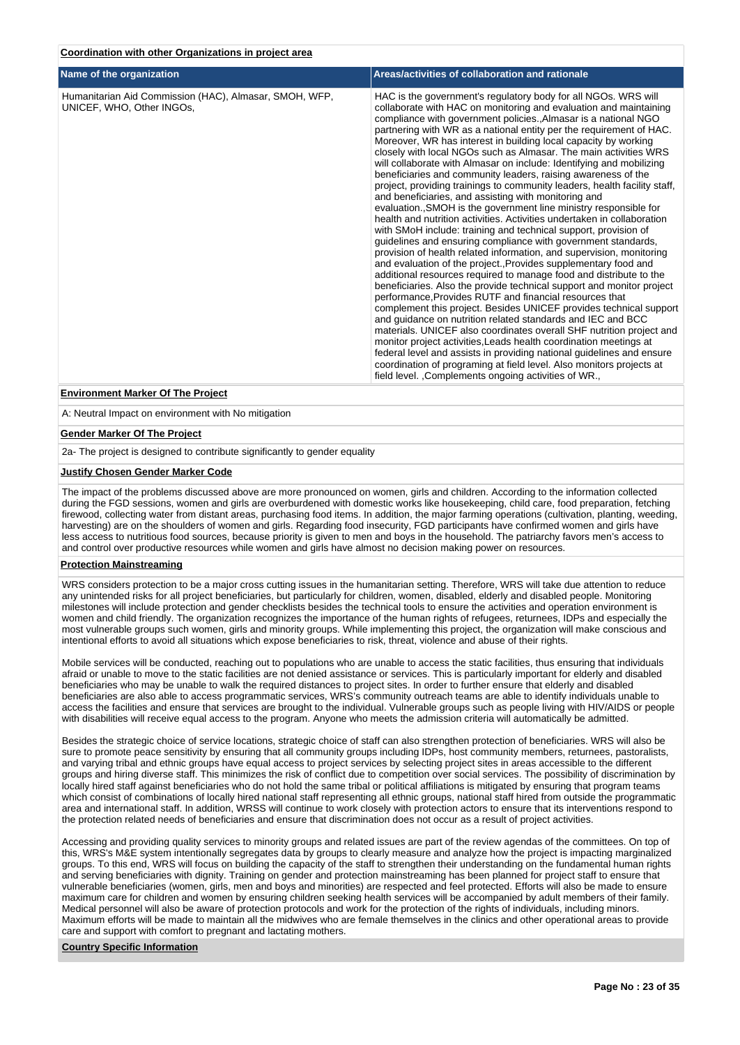# **Coordination with other Organizations in project area**

| Name of the organization                                                            | Areas/activities of collaboration and rationale                                                                                                                                                                                                                                                                                                                                                                                                                                                                                                                                                                                                                                                                                                                                                                                                                                                                                                                                                                                                                                                                                                                                                                                                                                                                                                                                                                                                                                                                                                                                                                                                                                                                                                                                                                                         |
|-------------------------------------------------------------------------------------|-----------------------------------------------------------------------------------------------------------------------------------------------------------------------------------------------------------------------------------------------------------------------------------------------------------------------------------------------------------------------------------------------------------------------------------------------------------------------------------------------------------------------------------------------------------------------------------------------------------------------------------------------------------------------------------------------------------------------------------------------------------------------------------------------------------------------------------------------------------------------------------------------------------------------------------------------------------------------------------------------------------------------------------------------------------------------------------------------------------------------------------------------------------------------------------------------------------------------------------------------------------------------------------------------------------------------------------------------------------------------------------------------------------------------------------------------------------------------------------------------------------------------------------------------------------------------------------------------------------------------------------------------------------------------------------------------------------------------------------------------------------------------------------------------------------------------------------------|
| Humanitarian Aid Commission (HAC), Almasar, SMOH, WFP,<br>UNICEF, WHO, Other INGOs, | HAC is the government's regulatory body for all NGOs. WRS will<br>collaborate with HAC on monitoring and evaluation and maintaining<br>compliance with government policies., Almasar is a national NGO<br>partnering with WR as a national entity per the requirement of HAC.<br>Moreover, WR has interest in building local capacity by working<br>closely with local NGOs such as Almasar. The main activities WRS<br>will collaborate with Almasar on include: Identifying and mobilizing<br>beneficiaries and community leaders, raising awareness of the<br>project, providing trainings to community leaders, health facility staff,<br>and beneficiaries, and assisting with monitoring and<br>evaluation., SMOH is the government line ministry responsible for<br>health and nutrition activities. Activities undertaken in collaboration<br>with SMoH include: training and technical support, provision of<br>guidelines and ensuring compliance with government standards,<br>provision of health related information, and supervision, monitoring<br>and evaluation of the project., Provides supplementary food and<br>additional resources required to manage food and distribute to the<br>beneficiaries. Also the provide technical support and monitor project<br>performance, Provides RUTF and financial resources that<br>complement this project. Besides UNICEF provides technical support<br>and guidance on nutrition related standards and IEC and BCC<br>materials. UNICEF also coordinates overall SHF nutrition project and<br>monitor project activities, Leads health coordination meetings at<br>federal level and assists in providing national guidelines and ensure<br>coordination of programing at field level. Also monitors projects at<br>field level. , Complements ongoing activities of WR., |
| <b>Environment Marker Of The Project</b>                                            |                                                                                                                                                                                                                                                                                                                                                                                                                                                                                                                                                                                                                                                                                                                                                                                                                                                                                                                                                                                                                                                                                                                                                                                                                                                                                                                                                                                                                                                                                                                                                                                                                                                                                                                                                                                                                                         |

A: Neutral Impact on environment with No mitigation

#### **Gender Marker Of The Project**

2a- The project is designed to contribute significantly to gender equality

#### **Justify Chosen Gender Marker Code**

The impact of the problems discussed above are more pronounced on women, girls and children. According to the information collected during the FGD sessions, women and girls are overburdened with domestic works like housekeeping, child care, food preparation, fetching firewood, collecting water from distant areas, purchasing food items. In addition, the major farming operations (cultivation, planting, weeding, harvesting) are on the shoulders of women and girls. Regarding food insecurity, FGD participants have confirmed women and girls have less access to nutritious food sources, because priority is given to men and boys in the household. The patriarchy favors men's access to and control over productive resources while women and girls have almost no decision making power on resources.

### **Protection Mainstreaming**

WRS considers protection to be a major cross cutting issues in the humanitarian setting. Therefore, WRS will take due attention to reduce any unintended risks for all project beneficiaries, but particularly for children, women, disabled, elderly and disabled people. Monitoring milestones will include protection and gender checklists besides the technical tools to ensure the activities and operation environment is women and child friendly. The organization recognizes the importance of the human rights of refugees, returnees, IDPs and especially the most vulnerable groups such women, girls and minority groups. While implementing this project, the organization will make conscious and intentional efforts to avoid all situations which expose beneficiaries to risk, threat, violence and abuse of their rights.

Mobile services will be conducted, reaching out to populations who are unable to access the static facilities, thus ensuring that individuals afraid or unable to move to the static facilities are not denied assistance or services. This is particularly important for elderly and disabled beneficiaries who may be unable to walk the required distances to project sites. In order to further ensure that elderly and disabled beneficiaries are also able to access programmatic services, WRS's community outreach teams are able to identify individuals unable to access the facilities and ensure that services are brought to the individual. Vulnerable groups such as people living with HIV/AIDS or people with disabilities will receive equal access to the program. Anyone who meets the admission criteria will automatically be admitted.

Besides the strategic choice of service locations, strategic choice of staff can also strengthen protection of beneficiaries. WRS will also be sure to promote peace sensitivity by ensuring that all community groups including IDPs, host community members, returnees, pastoralists, and varying tribal and ethnic groups have equal access to project services by selecting project sites in areas accessible to the different groups and hiring diverse staff. This minimizes the risk of conflict due to competition over social services. The possibility of discrimination by locally hired staff against beneficiaries who do not hold the same tribal or political affiliations is mitigated by ensuring that program teams which consist of combinations of locally hired national staff representing all ethnic groups, national staff hired from outside the programmatic area and international staff. In addition, WRSS will continue to work closely with protection actors to ensure that its interventions respond to the protection related needs of beneficiaries and ensure that discrimination does not occur as a result of project activities.

Accessing and providing quality services to minority groups and related issues are part of the review agendas of the committees. On top of this, WRS's M&E system intentionally segregates data by groups to clearly measure and analyze how the project is impacting marginalized groups. To this end, WRS will focus on building the capacity of the staff to strengthen their understanding on the fundamental human rights and serving beneficiaries with dignity. Training on gender and protection mainstreaming has been planned for project staff to ensure that vulnerable beneficiaries (women, girls, men and boys and minorities) are respected and feel protected. Efforts will also be made to ensure maximum care for children and women by ensuring children seeking health services will be accompanied by adult members of their family. Medical personnel will also be aware of protection protocols and work for the protection of the rights of individuals, including minors. Maximum efforts will be made to maintain all the midwives who are female themselves in the clinics and other operational areas to provide care and support with comfort to pregnant and lactating mothers.

#### **Country Specific Information**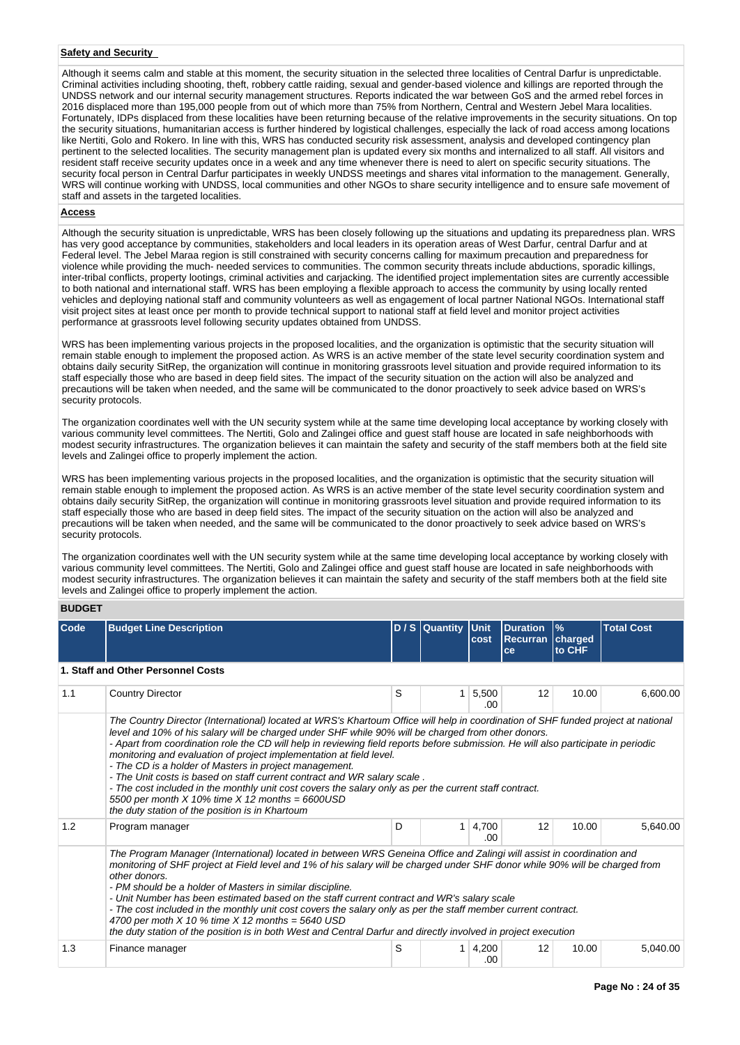# **Safety and Security**

Although it seems calm and stable at this moment, the security situation in the selected three localities of Central Darfur is unpredictable. Criminal activities including shooting, theft, robbery cattle raiding, sexual and gender-based violence and killings are reported through the UNDSS network and our internal security management structures. Reports indicated the war between GoS and the armed rebel forces in 2016 displaced more than 195,000 people from out of which more than 75% from Northern, Central and Western Jebel Mara localities. Fortunately, IDPs displaced from these localities have been returning because of the relative improvements in the security situations. On top the security situations, humanitarian access is further hindered by logistical challenges, especially the lack of road access among locations like Nertiti, Golo and Rokero. In line with this, WRS has conducted security risk assessment, analysis and developed contingency plan pertinent to the selected localities. The security management plan is updated every six months and internalized to all staff. All visitors and resident staff receive security updates once in a week and any time whenever there is need to alert on specific security situations. The security focal person in Central Darfur participates in weekly UNDSS meetings and shares vital information to the management. Generally, WRS will continue working with UNDSS, local communities and other NGOs to share security intelligence and to ensure safe movement of staff and assets in the targeted localities.

#### **Access**

Although the security situation is unpredictable, WRS has been closely following up the situations and updating its preparedness plan. WRS has very good acceptance by communities, stakeholders and local leaders in its operation areas of West Darfur, central Darfur and at Federal level. The Jebel Maraa region is still constrained with security concerns calling for maximum precaution and preparedness for violence while providing the much- needed services to communities. The common security threats include abductions, sporadic killings, inter-tribal conflicts, property lootings, criminal activities and carjacking. The identified project implementation sites are currently accessible to both national and international staff. WRS has been employing a flexible approach to access the community by using locally rented vehicles and deploying national staff and community volunteers as well as engagement of local partner National NGOs. International staff visit project sites at least once per month to provide technical support to national staff at field level and monitor project activities performance at grassroots level following security updates obtained from UNDSS.

WRS has been implementing various projects in the proposed localities, and the organization is optimistic that the security situation will remain stable enough to implement the proposed action. As WRS is an active member of the state level security coordination system and obtains daily security SitRep, the organization will continue in monitoring grassroots level situation and provide required information to its staff especially those who are based in deep field sites. The impact of the security situation on the action will also be analyzed and precautions will be taken when needed, and the same will be communicated to the donor proactively to seek advice based on WRS's security protocols.

The organization coordinates well with the UN security system while at the same time developing local acceptance by working closely with various community level committees. The Nertiti, Golo and Zalingei office and guest staff house are located in safe neighborhoods with modest security infrastructures. The organization believes it can maintain the safety and security of the staff members both at the field site levels and Zalingei office to properly implement the action.

WRS has been implementing various projects in the proposed localities, and the organization is optimistic that the security situation will remain stable enough to implement the proposed action. As WRS is an active member of the state level security coordination system and obtains daily security SitRep, the organization will continue in monitoring grassroots level situation and provide required information to its staff especially those who are based in deep field sites. The impact of the security situation on the action will also be analyzed and precautions will be taken when needed, and the same will be communicated to the donor proactively to seek advice based on WRS's security protocols.

The organization coordinates well with the UN security system while at the same time developing local acceptance by working closely with various community level committees. The Nertiti, Golo and Zalingei office and guest staff house are located in safe neighborhoods with modest security infrastructures. The organization believes it can maintain the safety and security of the staff members both at the field site levels and Zalingei office to properly implement the action.

**BUDGET**

| Code | <b>Budget Line Description</b>                                                                                                                                                                                                                                                                                                                                                                                                                                                                                                                                                                                                                                                                                                                                                                                 |   | D / S Quantity Unit | cost         | <b>Duration</b><br>Recurran charged<br>ce | $\frac{9}{6}$<br>to CHF | <b>Total Cost</b> |  |  |  |  |  |  |
|------|----------------------------------------------------------------------------------------------------------------------------------------------------------------------------------------------------------------------------------------------------------------------------------------------------------------------------------------------------------------------------------------------------------------------------------------------------------------------------------------------------------------------------------------------------------------------------------------------------------------------------------------------------------------------------------------------------------------------------------------------------------------------------------------------------------------|---|---------------------|--------------|-------------------------------------------|-------------------------|-------------------|--|--|--|--|--|--|
|      | 1. Staff and Other Personnel Costs                                                                                                                                                                                                                                                                                                                                                                                                                                                                                                                                                                                                                                                                                                                                                                             |   |                     |              |                                           |                         |                   |  |  |  |  |  |  |
| 1.1  | <b>Country Director</b>                                                                                                                                                                                                                                                                                                                                                                                                                                                                                                                                                                                                                                                                                                                                                                                        | S | 1 <sup>1</sup>      | 5,500<br>.00 | 12                                        | 10.00                   | 6,600.00          |  |  |  |  |  |  |
|      | The Country Director (International) located at WRS's Khartoum Office will help in coordination of SHF funded project at national<br>level and 10% of his salary will be charged under SHF while 90% will be charged from other donors.<br>- Apart from coordination role the CD will help in reviewing field reports before submission. He will also participate in periodic<br>monitoring and evaluation of project implementation at field level.<br>- The CD is a holder of Masters in project management.<br>- The Unit costs is based on staff current contract and WR salary scale.<br>- The cost included in the monthly unit cost covers the salary only as per the current staff contract.<br>5500 per month $X$ 10% time $X$ 12 months = 6600USD<br>the duty station of the position is in Khartoum |   |                     |              |                                           |                         |                   |  |  |  |  |  |  |
| 1.2  | Program manager                                                                                                                                                                                                                                                                                                                                                                                                                                                                                                                                                                                                                                                                                                                                                                                                | D |                     | 4,700<br>.00 | 12                                        | 10.00                   | 5.640.00          |  |  |  |  |  |  |
|      | 1<br>The Program Manager (International) located in between WRS Geneina Office and Zalingi will assist in coordination and<br>monitoring of SHF project at Field level and 1% of his salary will be charged under SHF donor while 90% will be charged from<br>other donors.<br>- PM should be a holder of Masters in similar discipline.<br>- Unit Number has been estimated based on the staff current contract and WR's salary scale<br>- The cost included in the monthly unit cost covers the salary only as per the staff member current contract.<br>4700 per moth $X$ 10 % time $X$ 12 months = 5640 USD<br>the duty station of the position is in both West and Central Darfur and directly involved in project execution                                                                              |   |                     |              |                                           |                         |                   |  |  |  |  |  |  |
| 1.3  | Finance manager                                                                                                                                                                                                                                                                                                                                                                                                                                                                                                                                                                                                                                                                                                                                                                                                | S | 1                   | 4,200<br>.00 | 12                                        | 10.00                   | 5,040.00          |  |  |  |  |  |  |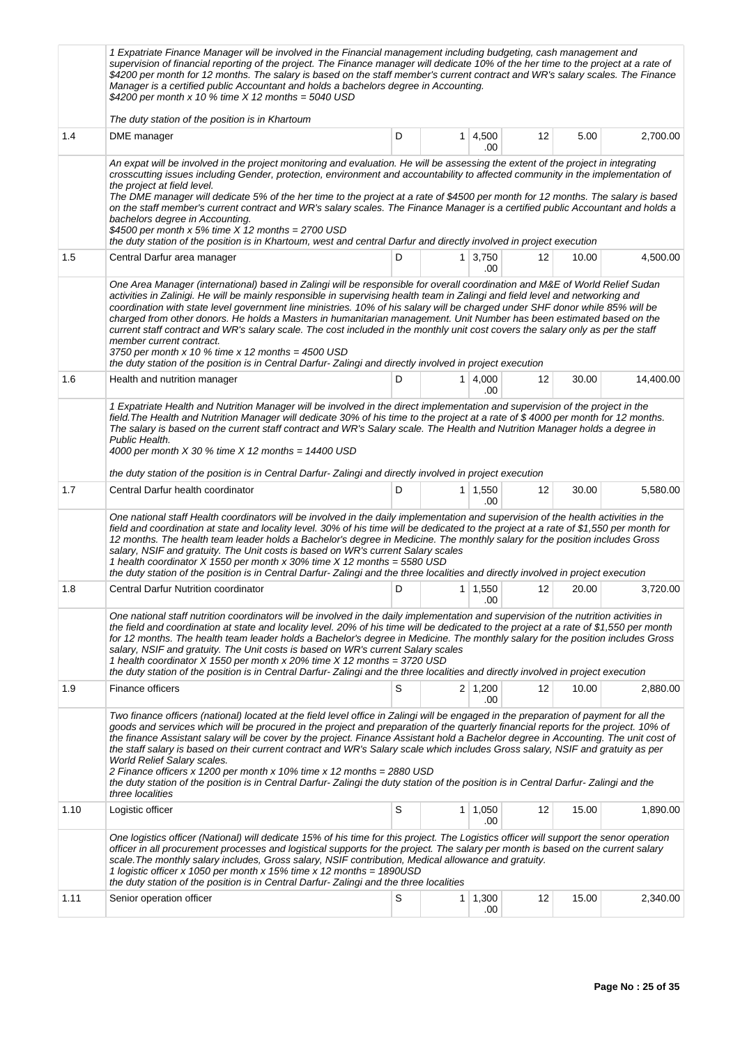|      | 1 Expatriate Finance Manager will be involved in the Financial management including budgeting, cash management and<br>supervision of financial reporting of the project. The Finance manager will dedicate 10% of the her time to the project at a rate of<br>\$4200 per month for 12 months. The salary is based on the staff member's current contract and WR's salary scales. The Finance<br>Manager is a certified public Accountant and holds a bachelors degree in Accounting.<br>\$4200 per month x 10 % time $X$ 12 months = 5040 USD                                                                                                                                                                                                                                                                                                               |   |                |                       |    |       |           |
|------|-------------------------------------------------------------------------------------------------------------------------------------------------------------------------------------------------------------------------------------------------------------------------------------------------------------------------------------------------------------------------------------------------------------------------------------------------------------------------------------------------------------------------------------------------------------------------------------------------------------------------------------------------------------------------------------------------------------------------------------------------------------------------------------------------------------------------------------------------------------|---|----------------|-----------------------|----|-------|-----------|
| 1.4  | The duty station of the position is in Khartoum<br>DME manager                                                                                                                                                                                                                                                                                                                                                                                                                                                                                                                                                                                                                                                                                                                                                                                              | D | $\mathbf{1}$   | 4,500<br>.00          | 12 | 5.00  | 2,700.00  |
|      | An expat will be involved in the project monitoring and evaluation. He will be assessing the extent of the project in integrating<br>crosscutting issues including Gender, protection, environment and accountability to affected community in the implementation of<br>the project at field level.<br>The DME manager will dedicate 5% of the her time to the project at a rate of \$4500 per month for 12 months. The salary is based<br>on the staff member's current contract and WR's salary scales. The Finance Manager is a certified public Accountant and holds a<br>bachelors degree in Accounting.<br>\$4500 per month x 5% time $X$ 12 months = 2700 USD<br>the duty station of the position is in Khartoum, west and central Darfur and directly involved in project execution                                                                 |   |                |                       |    |       |           |
| 1.5  | Central Darfur area manager                                                                                                                                                                                                                                                                                                                                                                                                                                                                                                                                                                                                                                                                                                                                                                                                                                 | D |                | $1 \mid 3,750$<br>.00 | 12 | 10.00 | 4,500.00  |
|      | One Area Manager (international) based in Zalingi will be responsible for overall coordination and M&E of World Relief Sudan<br>activities in Zalinigi. He will be mainly responsible in supervising health team in Zalingi and field level and networking and<br>coordination with state level government line ministries. 10% of his salary will be charged under SHF donor while 85% will be<br>charged from other donors. He holds a Masters in humanitarian management. Unit Number has been estimated based on the<br>current staff contract and WR's salary scale. The cost included in the monthly unit cost covers the salary only as per the staff<br>member current contract.<br>3750 per month x 10 % time x 12 months = $4500$ USD<br>the duty station of the position is in Central Darfur-Zalingi and directly involved in project execution |   |                |                       |    |       |           |
| 1.6  | Health and nutrition manager<br>1 Expatriate Health and Nutrition Manager will be involved in the direct implementation and supervision of the project in the<br>field. The Health and Nutrition Manager will dedicate 30% of his time to the project at a rate of \$4000 per month for 12 months.<br>The salary is based on the current staff contract and WR's Salary scale. The Health and Nutrition Manager holds a degree in<br>Public Health.<br>4000 per month $X$ 30 % time $X$ 12 months = 14400 USD<br>the duty station of the position is in Central Darfur-Zalingi and directly involved in project execution                                                                                                                                                                                                                                   | D |                | $1 \mid 4,000$<br>.00 | 12 | 30.00 | 14,400.00 |
| 1.7  | Central Darfur health coordinator                                                                                                                                                                                                                                                                                                                                                                                                                                                                                                                                                                                                                                                                                                                                                                                                                           | D |                | $1 \mid 1,550$<br>.00 | 12 | 30.00 | 5,580.00  |
|      | One national staff Health coordinators will be involved in the daily implementation and supervision of the health activities in the<br>field and coordination at state and locality level. 30% of his time will be dedicated to the project at a rate of \$1,550 per month for<br>12 months. The health team leader holds a Bachelor's degree in Medicine. The monthly salary for the position includes Gross<br>salary, NSIF and gratuity. The Unit costs is based on WR's current Salary scales<br>1 health coordinator X 1550 per month x 30% time X 12 months = 5580 USD<br>the duty station of the position is in Central Darfur-Zalingi and the three localities and directly involved in project execution                                                                                                                                           |   |                |                       |    |       |           |
| 1.8  | <b>Central Darfur Nutrition coordinator</b>                                                                                                                                                                                                                                                                                                                                                                                                                                                                                                                                                                                                                                                                                                                                                                                                                 | D |                | $1 \mid 1,550$<br>.00 | 12 | 20.00 | 3,720.00  |
|      | One national staff nutrition coordinators will be involved in the daily implementation and supervision of the nutrition activities in<br>the field and coordination at state and locality level. 20% of his time will be dedicated to the project at a rate of \$1,550 per month<br>for 12 months. The health team leader holds a Bachelor's degree in Medicine. The monthly salary for the position includes Gross<br>salary, NSIF and gratuity. The Unit costs is based on WR's current Salary scales<br>1 health coordinator X 1550 per month x 20% time X 12 months = 3720 USD<br>the duty station of the position is in Central Darfur-Zalingi and the three localities and directly involved in project execution                                                                                                                                     |   |                |                       |    |       |           |
| 1.9  | Finance officers                                                                                                                                                                                                                                                                                                                                                                                                                                                                                                                                                                                                                                                                                                                                                                                                                                            | S |                | $2 \mid 1,200$<br>.00 | 12 | 10.00 | 2,880.00  |
|      | Two finance officers (national) located at the field level office in Zalingi will be engaged in the preparation of payment for all the<br>goods and services which will be procured in the project and preparation of the quarterly financial reports for the project. 10% of<br>the finance Assistant salary will be cover by the project. Finance Assistant hold a Bachelor degree in Accounting. The unit cost of<br>the staff salary is based on their current contract and WR's Salary scale which includes Gross salary, NSIF and gratuity as per<br><b>World Relief Salary scales.</b><br>2 Finance officers x 1200 per month x 10% time x 12 months = 2880 USD<br>the duty station of the position is in Central Darfur-Zalingi the duty station of the position is in Central Darfur-Zalingi and the<br>three localities                           |   |                |                       |    |       |           |
| 1.10 | Logistic officer                                                                                                                                                                                                                                                                                                                                                                                                                                                                                                                                                                                                                                                                                                                                                                                                                                            | S |                | $1 \mid 1,050$<br>.00 | 12 | 15.00 | 1,890.00  |
|      | One logistics officer (National) will dedicate 15% of his time for this project. The Logistics officer will support the senor operation<br>officer in all procurement processes and logistical supports for the project. The salary per month is based on the current salary<br>scale. The monthly salary includes, Gross salary, NSIF contribution, Medical allowance and gratuity.<br>1 logistic officer x 1050 per month x 15% time x 12 months = 1890 USD<br>the duty station of the position is in Central Darfur-Zalingi and the three localities                                                                                                                                                                                                                                                                                                     |   |                |                       |    |       |           |
| 1.11 | Senior operation officer                                                                                                                                                                                                                                                                                                                                                                                                                                                                                                                                                                                                                                                                                                                                                                                                                                    | S | 1 <sup>1</sup> | 1,300<br>.00          | 12 | 15.00 | 2,340.00  |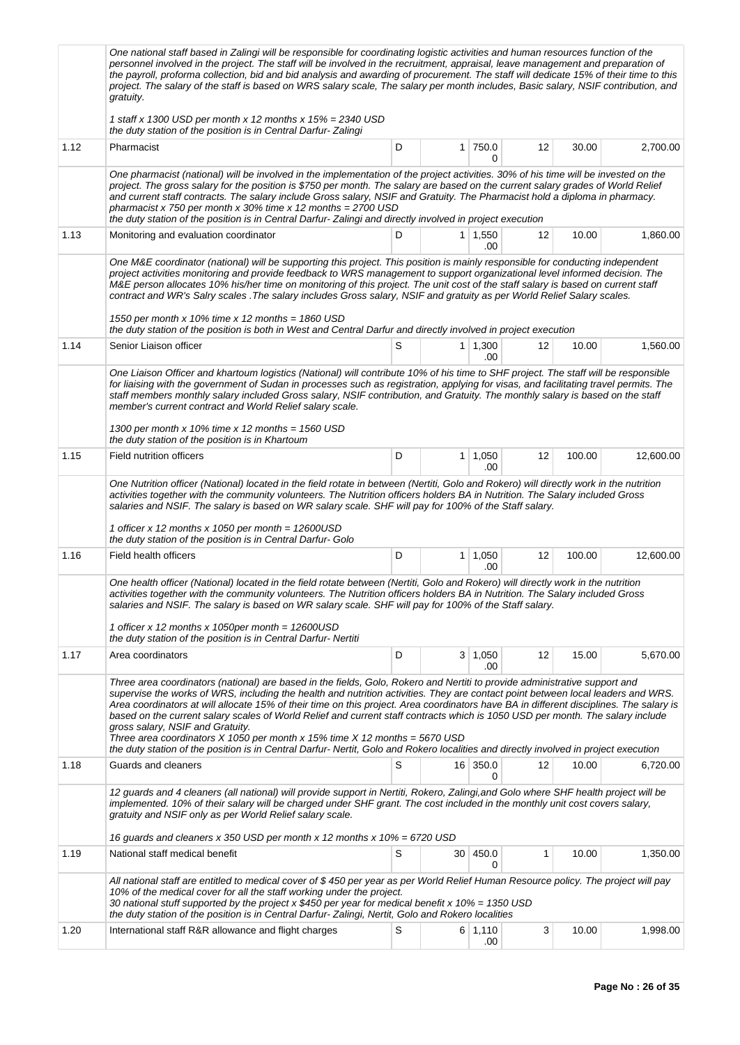|      | One national staff based in Zalingi will be responsible for coordinating logistic activities and human resources function of the<br>personnel involved in the project. The staff will be involved in the recruitment, appraisal, leave management and preparation of<br>the payroll, proforma collection, bid and bid analysis and awarding of procurement. The staff will dedicate 15% of their time to this<br>project. The salary of the staff is based on WRS salary scale, The salary per month includes, Basic salary, NSIF contribution, and<br>gratuity.                                                                                                                                                                                                                                     |   |                 |                       |    |        |           |  |  |  |  |  |
|------|------------------------------------------------------------------------------------------------------------------------------------------------------------------------------------------------------------------------------------------------------------------------------------------------------------------------------------------------------------------------------------------------------------------------------------------------------------------------------------------------------------------------------------------------------------------------------------------------------------------------------------------------------------------------------------------------------------------------------------------------------------------------------------------------------|---|-----------------|-----------------------|----|--------|-----------|--|--|--|--|--|
|      | 1 staff x 1300 USD per month x 12 months x $15% = 2340$ USD<br>the duty station of the position is in Central Darfur-Zalingi                                                                                                                                                                                                                                                                                                                                                                                                                                                                                                                                                                                                                                                                         |   |                 |                       |    |        |           |  |  |  |  |  |
| 1.12 | Pharmacist                                                                                                                                                                                                                                                                                                                                                                                                                                                                                                                                                                                                                                                                                                                                                                                           | D | 1 <sup>1</sup>  | 750.0<br>0            | 12 | 30.00  | 2,700.00  |  |  |  |  |  |
|      | One pharmacist (national) will be involved in the implementation of the project activities. 30% of his time will be invested on the<br>project. The gross salary for the position is \$750 per month. The salary are based on the current salary grades of World Relief<br>and current staff contracts. The salary include Gross salary, NSIF and Gratuity. The Pharmacist hold a diploma in pharmacy.<br>pharmacist x 750 per month x 30% time x 12 months = $2700$ USD<br>the duty station of the position is in Central Darfur-Zalingi and directly involved in project execution                                                                                                                                                                                                                 |   |                 |                       |    |        |           |  |  |  |  |  |
| 1.13 | Monitoring and evaluation coordinator                                                                                                                                                                                                                                                                                                                                                                                                                                                                                                                                                                                                                                                                                                                                                                | D |                 | $1 \mid 1,550$<br>.00 | 12 | 10.00  | 1,860.00  |  |  |  |  |  |
|      | One M&E coordinator (national) will be supporting this project. This position is mainly responsible for conducting independent<br>project activities monitoring and provide feedback to WRS management to support organizational level informed decision. The<br>M&E person allocates 10% his/her time on monitoring of this project. The unit cost of the staff salary is based on current staff<br>contract and WR's Salry scales . The salary includes Gross salary, NSIF and gratuity as per World Relief Salary scales.                                                                                                                                                                                                                                                                         |   |                 |                       |    |        |           |  |  |  |  |  |
|      | 1550 per month x 10% time x 12 months = 1860 USD<br>the duty station of the position is both in West and Central Darfur and directly involved in project execution                                                                                                                                                                                                                                                                                                                                                                                                                                                                                                                                                                                                                                   |   |                 |                       |    |        |           |  |  |  |  |  |
| 1.14 | Senior Liaison officer                                                                                                                                                                                                                                                                                                                                                                                                                                                                                                                                                                                                                                                                                                                                                                               | S |                 | $1 \mid 1,300$<br>.00 | 12 | 10.00  | 1,560.00  |  |  |  |  |  |
|      | One Liaison Officer and khartoum logistics (National) will contribute 10% of his time to SHF project. The staff will be responsible<br>for liaising with the government of Sudan in processes such as registration, applying for visas, and facilitating travel permits. The<br>staff members monthly salary included Gross salary, NSIF contribution, and Gratuity. The monthly salary is based on the staff<br>member's current contract and World Relief salary scale.                                                                                                                                                                                                                                                                                                                            |   |                 |                       |    |        |           |  |  |  |  |  |
|      | 1300 per month x 10% time x 12 months = 1560 USD<br>the duty station of the position is in Khartoum                                                                                                                                                                                                                                                                                                                                                                                                                                                                                                                                                                                                                                                                                                  |   |                 |                       |    |        |           |  |  |  |  |  |
| 1.15 | Field nutrition officers                                                                                                                                                                                                                                                                                                                                                                                                                                                                                                                                                                                                                                                                                                                                                                             | D | 1 <sup>1</sup>  | 1,050<br>.00          | 12 | 100.00 | 12,600.00 |  |  |  |  |  |
|      | One Nutrition officer (National) located in the field rotate in between (Nertiti, Golo and Rokero) will directly work in the nutrition<br>activities together with the community volunteers. The Nutrition officers holders BA in Nutrition. The Salary included Gross<br>salaries and NSIF. The salary is based on WR salary scale. SHF will pay for 100% of the Staff salary.<br>1 officer x 12 months x 1050 per month = $12600USD$<br>the duty station of the position is in Central Darfur- Golo                                                                                                                                                                                                                                                                                                |   |                 |                       |    |        |           |  |  |  |  |  |
| 1.16 | Field health officers                                                                                                                                                                                                                                                                                                                                                                                                                                                                                                                                                                                                                                                                                                                                                                                | D |                 | $1 \mid 1,050$<br>.00 | 12 | 100.00 | 12,600.00 |  |  |  |  |  |
|      | One health officer (National) located in the field rotate between (Nertiti, Golo and Rokero) will directly work in the nutrition<br>activities together with the community volunteers. The Nutrition officers holders BA in Nutrition. The Salary included Gross<br>salaries and NSIF. The salary is based on WR salary scale. SHF will pay for 100% of the Staff salary.<br>1 officer x 12 months x 1050per month = $12600USD$<br>the duty station of the position is in Central Darfur-Nertiti                                                                                                                                                                                                                                                                                                     |   |                 |                       |    |        |           |  |  |  |  |  |
| 1.17 | Area coordinators                                                                                                                                                                                                                                                                                                                                                                                                                                                                                                                                                                                                                                                                                                                                                                                    | D |                 | 3   1,050<br>.00      | 12 | 15.00  | 5,670.00  |  |  |  |  |  |
|      | Three area coordinators (national) are based in the fields, Golo, Rokero and Nertiti to provide administrative support and<br>supervise the works of WRS, including the health and nutrition activities. They are contact point between local leaders and WRS.<br>Area coordinators at will allocate 15% of their time on this project. Area coordinators have BA in different disciplines. The salary is<br>based on the current salary scales of World Relief and current staff contracts which is 1050 USD per month. The salary include<br>gross salary, NSIF and Gratuity.<br>Three area coordinators X 1050 per month x 15% time X 12 months = 5670 USD<br>the duty station of the position is in Central Darfur-Nertit, Golo and Rokero localities and directly involved in project execution |   |                 |                       |    |        |           |  |  |  |  |  |
| 1.18 | Guards and cleaners                                                                                                                                                                                                                                                                                                                                                                                                                                                                                                                                                                                                                                                                                                                                                                                  | S |                 | 16 350.0<br>0         | 12 | 10.00  | 6,720.00  |  |  |  |  |  |
|      | 12 guards and 4 cleaners (all national) will provide support in Nertiti, Rokero, Zalingi, and Golo where SHF health project will be<br>implemented. 10% of their salary will be charged under SHF grant. The cost included in the monthly unit cost covers salary,<br>gratuity and NSIF only as per World Relief salary scale.                                                                                                                                                                                                                                                                                                                                                                                                                                                                       |   |                 |                       |    |        |           |  |  |  |  |  |
| 1.19 | 16 guards and cleaners x 350 USD per month x 12 months x 10% = 6720 USD<br>National staff medical benefit                                                                                                                                                                                                                                                                                                                                                                                                                                                                                                                                                                                                                                                                                            | S | 30 <sup>2</sup> | 450.0                 | 1  | 10.00  | 1,350.00  |  |  |  |  |  |
|      | All national staff are entitled to medical cover of \$450 per year as per World Relief Human Resource policy. The project will pay<br>10% of the medical cover for all the staff working under the project.<br>30 national stuff supported by the project x \$450 per year for medical benefit x 10% = 1350 USD<br>the duty station of the position is in Central Darfur-Zalingi, Nertit, Golo and Rokero localities                                                                                                                                                                                                                                                                                                                                                                                 |   |                 | 0                     |    |        |           |  |  |  |  |  |
| 1.20 | International staff R&R allowance and flight charges                                                                                                                                                                                                                                                                                                                                                                                                                                                                                                                                                                                                                                                                                                                                                 | S |                 | 6 1,110<br>.00        | 3  | 10.00  | 1,998.00  |  |  |  |  |  |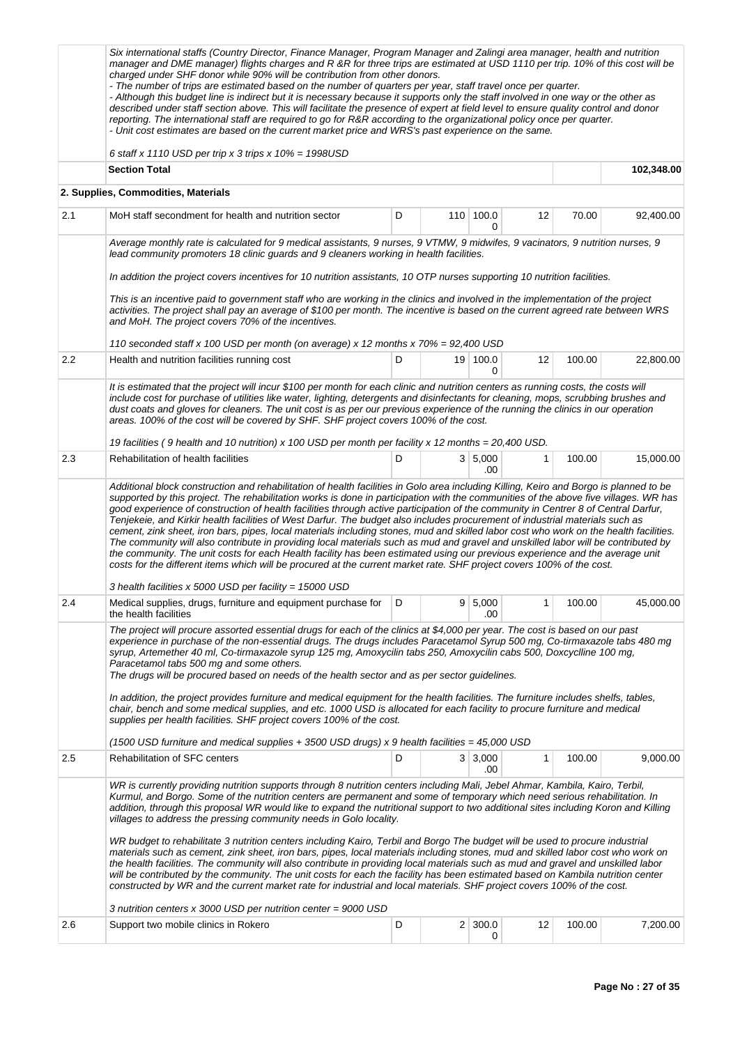|     | Six international staffs (Country Director, Finance Manager, Program Manager and Zalingi area manager, health and nutrition<br>manager and DME manager) flights charges and R &R for three trips are estimated at USD 1110 per trip. 10% of this cost will be<br>charged under SHF donor while 90% will be contribution from other donors.<br>- The number of trips are estimated based on the number of quarters per year, staff travel once per quarter.<br>- Although this budget line is indirect but it is necessary because it supports only the staff involved in one way or the other as<br>described under staff section above. This will facilitate the presence of expert at field level to ensure quality control and donor<br>reporting. The international staff are required to go for R&R according to the organizational policy once per quarter.<br>- Unit cost estimates are based on the current market price and WRS's past experience on the same. |   |                     |              |        |            |
|-----|-------------------------------------------------------------------------------------------------------------------------------------------------------------------------------------------------------------------------------------------------------------------------------------------------------------------------------------------------------------------------------------------------------------------------------------------------------------------------------------------------------------------------------------------------------------------------------------------------------------------------------------------------------------------------------------------------------------------------------------------------------------------------------------------------------------------------------------------------------------------------------------------------------------------------------------------------------------------------|---|---------------------|--------------|--------|------------|
|     | 6 staff x 1110 USD per trip x 3 trips x $10\% = 1998$ USD<br><b>Section Total</b>                                                                                                                                                                                                                                                                                                                                                                                                                                                                                                                                                                                                                                                                                                                                                                                                                                                                                       |   |                     |              |        |            |
|     |                                                                                                                                                                                                                                                                                                                                                                                                                                                                                                                                                                                                                                                                                                                                                                                                                                                                                                                                                                         |   |                     |              |        | 102,348.00 |
|     | 2. Supplies, Commodities, Materials                                                                                                                                                                                                                                                                                                                                                                                                                                                                                                                                                                                                                                                                                                                                                                                                                                                                                                                                     |   |                     |              |        |            |
| 2.1 | MoH staff secondment for health and nutrition sector                                                                                                                                                                                                                                                                                                                                                                                                                                                                                                                                                                                                                                                                                                                                                                                                                                                                                                                    | D | 110 100.0<br>0      | 12           | 70.00  | 92,400.00  |
|     | Average monthly rate is calculated for 9 medical assistants, 9 nurses, 9 VTMW, 9 midwifes, 9 vacinators, 9 nutrition nurses, 9<br>lead community promoters 18 clinic guards and 9 cleaners working in health facilities.                                                                                                                                                                                                                                                                                                                                                                                                                                                                                                                                                                                                                                                                                                                                                |   |                     |              |        |            |
|     | In addition the project covers incentives for 10 nutrition assistants, 10 OTP nurses supporting 10 nutrition facilities.                                                                                                                                                                                                                                                                                                                                                                                                                                                                                                                                                                                                                                                                                                                                                                                                                                                |   |                     |              |        |            |
|     | This is an incentive paid to government staff who are working in the clinics and involved in the implementation of the project<br>activities. The project shall pay an average of \$100 per month. The incentive is based on the current agreed rate between WRS<br>and MoH. The project covers 70% of the incentives.                                                                                                                                                                                                                                                                                                                                                                                                                                                                                                                                                                                                                                                  |   |                     |              |        |            |
|     | 110 seconded staff x 100 USD per month (on average) x 12 months x 70% = 92,400 USD                                                                                                                                                                                                                                                                                                                                                                                                                                                                                                                                                                                                                                                                                                                                                                                                                                                                                      |   |                     |              |        |            |
| 2.2 | Health and nutrition facilities running cost                                                                                                                                                                                                                                                                                                                                                                                                                                                                                                                                                                                                                                                                                                                                                                                                                                                                                                                            | D | 19 100.0<br>0       | 12           | 100.00 | 22,800.00  |
|     | It is estimated that the project will incur \$100 per month for each clinic and nutrition centers as running costs, the costs will<br>include cost for purchase of utilities like water, lighting, detergents and disinfectants for cleaning, mops, scrubbing brushes and<br>dust coats and gloves for cleaners. The unit cost is as per our previous experience of the running the clinics in our operation<br>areas. 100% of the cost will be covered by SHF. SHF project covers 100% of the cost.                                                                                                                                                                                                                                                                                                                                                                                                                                                                    |   |                     |              |        |            |
|     | 19 facilities (9 health and 10 nutrition) x 100 USD per month per facility x 12 months = 20,400 USD.                                                                                                                                                                                                                                                                                                                                                                                                                                                                                                                                                                                                                                                                                                                                                                                                                                                                    |   |                     |              |        |            |
| 2.3 | Rehabilitation of health facilities<br>Additional block construction and rehabilitation of health facilities in Golo area including Killing, Keiro and Borgo is planned to be                                                                                                                                                                                                                                                                                                                                                                                                                                                                                                                                                                                                                                                                                                                                                                                           | D | 3   5,000<br>.00    | 1            | 100.00 | 15,000.00  |
|     | supported by this project. The rehabilitation works is done in participation with the communities of the above five villages. WR has<br>good experience of construction of health facilities through active participation of the community in Centrer 8 of Central Darfur,<br>Tenjekeie, and Kirkir health facilities of West Darfur. The budget also includes procurement of industrial materials such as<br>cement, zink sheet, iron bars, pipes, local materials including stones, mud and skilled labor cost who work on the health facilities.<br>The community will also contribute in providing local materials such as mud and gravel and unskilled labor will be contributed by<br>the community. The unit costs for each Health facility has been estimated using our previous experience and the average unit<br>costs for the different items which will be procured at the current market rate. SHF project covers 100% of the cost.                       |   |                     |              |        |            |
| 2.4 | 3 health facilities x 5000 USD per facility = 15000 USD<br>Medical supplies, drugs, furniture and equipment purchase for   D                                                                                                                                                                                                                                                                                                                                                                                                                                                                                                                                                                                                                                                                                                                                                                                                                                            |   | 9 5,000             |              | 100.00 | 45,000.00  |
|     | the health facilities                                                                                                                                                                                                                                                                                                                                                                                                                                                                                                                                                                                                                                                                                                                                                                                                                                                                                                                                                   |   | .00                 |              |        |            |
|     | The project will procure assorted essential drugs for each of the clinics at \$4,000 per year. The cost is based on our past<br>experience in purchase of the non-essential drugs. The drugs includes Paracetamol Syrup 500 mg, Co-tirmaxazole tabs 480 mg<br>syrup, Artemether 40 ml, Co-tirmaxazole syrup 125 mg, Amoxycilin tabs 250, Amoxycilin cabs 500, Doxcyclline 100 mg,<br>Paracetamol tabs 500 mg and some others.<br>The drugs will be procured based on needs of the health sector and as per sector guidelines.<br>In addition, the project provides furniture and medical equipment for the health facilities. The furniture includes shelfs, tables,                                                                                                                                                                                                                                                                                                    |   |                     |              |        |            |
|     | chair, bench and some medical supplies, and etc. 1000 USD is allocated for each facility to procure furniture and medical<br>supplies per health facilities. SHF project covers 100% of the cost.                                                                                                                                                                                                                                                                                                                                                                                                                                                                                                                                                                                                                                                                                                                                                                       |   |                     |              |        |            |
|     | (1500 USD furniture and medical supplies $+$ 3500 USD drugs) x 9 health facilities = 45,000 USD                                                                                                                                                                                                                                                                                                                                                                                                                                                                                                                                                                                                                                                                                                                                                                                                                                                                         |   |                     |              |        |            |
| 2.5 | <b>Rehabilitation of SFC centers</b>                                                                                                                                                                                                                                                                                                                                                                                                                                                                                                                                                                                                                                                                                                                                                                                                                                                                                                                                    | D | 3 3,000<br>.00      | $\mathbf{1}$ | 100.00 | 9,000.00   |
|     | WR is currently providing nutrition supports through 8 nutrition centers including Mali, Jebel Ahmar, Kambila, Kairo, Terbil,<br>Kurmul, and Borgo. Some of the nutrition centers are permanent and some of temporary which need serious rehabilitation. In<br>addition, through this proposal WR would like to expand the nutritional support to two additional sites including Koron and Killing<br>villages to address the pressing community needs in Golo locality.                                                                                                                                                                                                                                                                                                                                                                                                                                                                                                |   |                     |              |        |            |
|     | WR budget to rehabilitate 3 nutrition centers including Kairo, Terbil and Borgo The budget will be used to procure industrial<br>materials such as cement, zink sheet, iron bars, pipes, local materials including stones, mud and skilled labor cost who work on<br>the health facilities. The community will also contribute in providing local materials such as mud and gravel and unskilled labor<br>will be contributed by the community. The unit costs for each the facility has been estimated based on Kambila nutrition center<br>constructed by WR and the current market rate for industrial and local materials. SHF project covers 100% of the cost.                                                                                                                                                                                                                                                                                                     |   |                     |              |        |            |
|     | 3 nutrition centers x 3000 USD per nutrition center = 9000 USD                                                                                                                                                                                                                                                                                                                                                                                                                                                                                                                                                                                                                                                                                                                                                                                                                                                                                                          |   |                     |              |        |            |
| 2.6 | Support two mobile clinics in Rokero                                                                                                                                                                                                                                                                                                                                                                                                                                                                                                                                                                                                                                                                                                                                                                                                                                                                                                                                    | D | $2 \mid 300.0$<br>0 | 12           | 100.00 | 7,200.00   |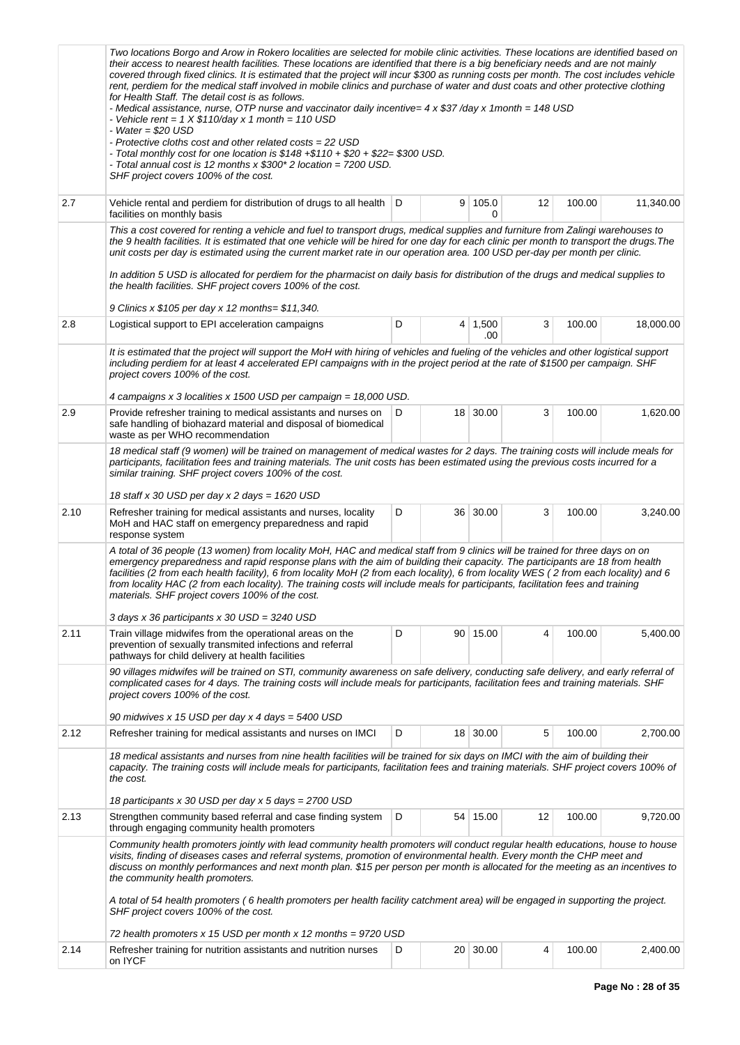|      | Two locations Borgo and Arow in Rokero localities are selected for mobile clinic activities. These locations are identified based on<br>their access to nearest health facilities. These locations are identified that there is a big beneficiary needs and are not mainly<br>covered through fixed clinics. It is estimated that the project will incur \$300 as running costs per month. The cost includes vehicle<br>rent, perdiem for the medical staff involved in mobile clinics and purchase of water and dust coats and other protective clothing<br>for Health Staff. The detail cost is as follows.<br>- Medical assistance, nurse, OTP nurse and vaccinator daily incentive= 4 x \$37 /day x 1month = 148 USD<br>- Vehicle rent = $1 \times $110$ /day x 1 month = 110 USD<br>- Water = $$20$ USD<br>- Protective cloths cost and other related costs = 22 USD<br>- Total monthly cost for one location is \$148 +\$110 + \$20 + \$22= \$300 USD.<br>- Total annual cost is 12 months x \$300* 2 location = 7200 USD.<br>SHF project covers 100% of the cost. |   |        |                       |    |        |           |
|------|--------------------------------------------------------------------------------------------------------------------------------------------------------------------------------------------------------------------------------------------------------------------------------------------------------------------------------------------------------------------------------------------------------------------------------------------------------------------------------------------------------------------------------------------------------------------------------------------------------------------------------------------------------------------------------------------------------------------------------------------------------------------------------------------------------------------------------------------------------------------------------------------------------------------------------------------------------------------------------------------------------------------------------------------------------------------------|---|--------|-----------------------|----|--------|-----------|
| 2.7  | Vehicle rental and perdiem for distribution of drugs to all health   D<br>facilities on monthly basis                                                                                                                                                                                                                                                                                                                                                                                                                                                                                                                                                                                                                                                                                                                                                                                                                                                                                                                                                                    |   |        | 9 105.0<br>0          | 12 | 100.00 | 11,340.00 |
|      | This a cost covered for renting a vehicle and fuel to transport drugs, medical supplies and furniture from Zalingi warehouses to<br>the 9 health facilities. It is estimated that one vehicle will be hired for one day for each clinic per month to transport the drugs. The<br>unit costs per day is estimated using the current market rate in our operation area. 100 USD per-day per month per clinic.<br>In addition 5 USD is allocated for perdiem for the pharmacist on daily basis for distribution of the drugs and medical supplies to<br>the health facilities. SHF project covers 100% of the cost.<br>9 Clinics x \$105 per day x 12 months= \$11,340.                                                                                                                                                                                                                                                                                                                                                                                                     |   |        |                       |    |        |           |
| 2.8  | Logistical support to EPI acceleration campaigns                                                                                                                                                                                                                                                                                                                                                                                                                                                                                                                                                                                                                                                                                                                                                                                                                                                                                                                                                                                                                         | D |        | $4 \mid 1,500$<br>.00 | 3  | 100.00 | 18,000.00 |
|      | It is estimated that the project will support the MoH with hiring of vehicles and fueling of the vehicles and other logistical support<br>including perdiem for at least 4 accelerated EPI campaigns with in the project period at the rate of \$1500 per campaign. SHF<br>project covers 100% of the cost.<br>4 campaigns x 3 localities x 1500 USD per campaign = 18,000 USD.                                                                                                                                                                                                                                                                                                                                                                                                                                                                                                                                                                                                                                                                                          |   |        |                       |    |        |           |
| 2.9  | Provide refresher training to medical assistants and nurses on<br>safe handling of biohazard material and disposal of biomedical<br>waste as per WHO recommendation                                                                                                                                                                                                                                                                                                                                                                                                                                                                                                                                                                                                                                                                                                                                                                                                                                                                                                      | D |        | 18 30.00              | 3  | 100.00 | 1,620.00  |
|      | 18 medical staff (9 women) will be trained on management of medical wastes for 2 days. The training costs will include meals for<br>participants, facilitation fees and training materials. The unit costs has been estimated using the previous costs incurred for a<br>similar training. SHF project covers 100% of the cost.                                                                                                                                                                                                                                                                                                                                                                                                                                                                                                                                                                                                                                                                                                                                          |   |        |                       |    |        |           |
|      | 18 staff x 30 USD per day x 2 days = 1620 USD                                                                                                                                                                                                                                                                                                                                                                                                                                                                                                                                                                                                                                                                                                                                                                                                                                                                                                                                                                                                                            |   |        |                       |    |        |           |
| 2.10 | Refresher training for medical assistants and nurses, locality<br>MoH and HAC staff on emergency preparedness and rapid<br>response system                                                                                                                                                                                                                                                                                                                                                                                                                                                                                                                                                                                                                                                                                                                                                                                                                                                                                                                               | D |        | 36 30.00              | 3  | 100.00 | 3,240.00  |
|      | A total of 36 people (13 women) from locality MoH, HAC and medical staff from 9 clinics will be trained for three days on on<br>emergency preparedness and rapid response plans with the aim of building their capacity. The participants are 18 from health<br>facilities (2 from each health facility), 6 from locality MoH (2 from each locality), 6 from locality WES (2 from each locality) and 6<br>from locality HAC (2 from each locality). The training costs will include meals for participants, facilitation fees and training<br>materials. SHF project covers 100% of the cost.                                                                                                                                                                                                                                                                                                                                                                                                                                                                            |   |        |                       |    |        |           |
|      | 3 days x 36 participants x 30 USD = 3240 USD                                                                                                                                                                                                                                                                                                                                                                                                                                                                                                                                                                                                                                                                                                                                                                                                                                                                                                                                                                                                                             |   |        |                       |    |        |           |
| 2.11 | Train village midwifes from the operational areas on the<br>prevention of sexually transmited infections and referral<br>pathways for child delivery at health facilities                                                                                                                                                                                                                                                                                                                                                                                                                                                                                                                                                                                                                                                                                                                                                                                                                                                                                                | D |        | 90 15.00              | 4  | 100.00 | 5,400.00  |
|      | 90 villages midwifes will be trained on STI, community awareness on safe delivery, conducting safe delivery, and early referral of<br>complicated cases for 4 days. The training costs will include meals for participants, facilitation fees and training materials. SHF<br>project covers 100% of the cost.                                                                                                                                                                                                                                                                                                                                                                                                                                                                                                                                                                                                                                                                                                                                                            |   |        |                       |    |        |           |
| 2.12 | 90 midwives x 15 USD per day x 4 days = 5400 USD<br>Refresher training for medical assistants and nurses on IMCI                                                                                                                                                                                                                                                                                                                                                                                                                                                                                                                                                                                                                                                                                                                                                                                                                                                                                                                                                         | D |        | 18 30.00              | 5  |        |           |
|      | 18 medical assistants and nurses from nine health facilities will be trained for six days on IMCI with the aim of building their                                                                                                                                                                                                                                                                                                                                                                                                                                                                                                                                                                                                                                                                                                                                                                                                                                                                                                                                         |   |        |                       |    | 100.00 | 2,700.00  |
|      | capacity. The training costs will include meals for participants, facilitation fees and training materials. SHF project covers 100% of<br>the cost.                                                                                                                                                                                                                                                                                                                                                                                                                                                                                                                                                                                                                                                                                                                                                                                                                                                                                                                      |   |        |                       |    |        |           |
|      | 18 participants x 30 USD per day x 5 days = 2700 USD                                                                                                                                                                                                                                                                                                                                                                                                                                                                                                                                                                                                                                                                                                                                                                                                                                                                                                                                                                                                                     |   |        |                       |    |        |           |
| 2.13 | Strengthen community based referral and case finding system<br>through engaging community health promoters                                                                                                                                                                                                                                                                                                                                                                                                                                                                                                                                                                                                                                                                                                                                                                                                                                                                                                                                                               | D |        | 54 15.00              | 12 | 100.00 | 9,720.00  |
|      | Community health promoters jointly with lead community health promoters will conduct regular health educations, house to house<br>visits, finding of diseases cases and referral systems, promotion of environmental health. Every month the CHP meet and<br>discuss on monthly performances and next month plan. \$15 per person per month is allocated for the meeting as an incentives to<br>the community health promoters.                                                                                                                                                                                                                                                                                                                                                                                                                                                                                                                                                                                                                                          |   |        |                       |    |        |           |
|      | A total of 54 health promoters (6 health promoters per health facility catchment area) will be engaged in supporting the project.<br>SHF project covers 100% of the cost.                                                                                                                                                                                                                                                                                                                                                                                                                                                                                                                                                                                                                                                                                                                                                                                                                                                                                                |   |        |                       |    |        |           |
|      | 72 health promoters x 15 USD per month x 12 months = 9720 USD                                                                                                                                                                                                                                                                                                                                                                                                                                                                                                                                                                                                                                                                                                                                                                                                                                                                                                                                                                                                            |   |        |                       |    |        |           |
| 2.14 | Refresher training for nutrition assistants and nutrition nurses<br>on IYCF                                                                                                                                                                                                                                                                                                                                                                                                                                                                                                                                                                                                                                                                                                                                                                                                                                                                                                                                                                                              | D | $20-1$ | 30.00                 | 4  | 100.00 | 2,400.00  |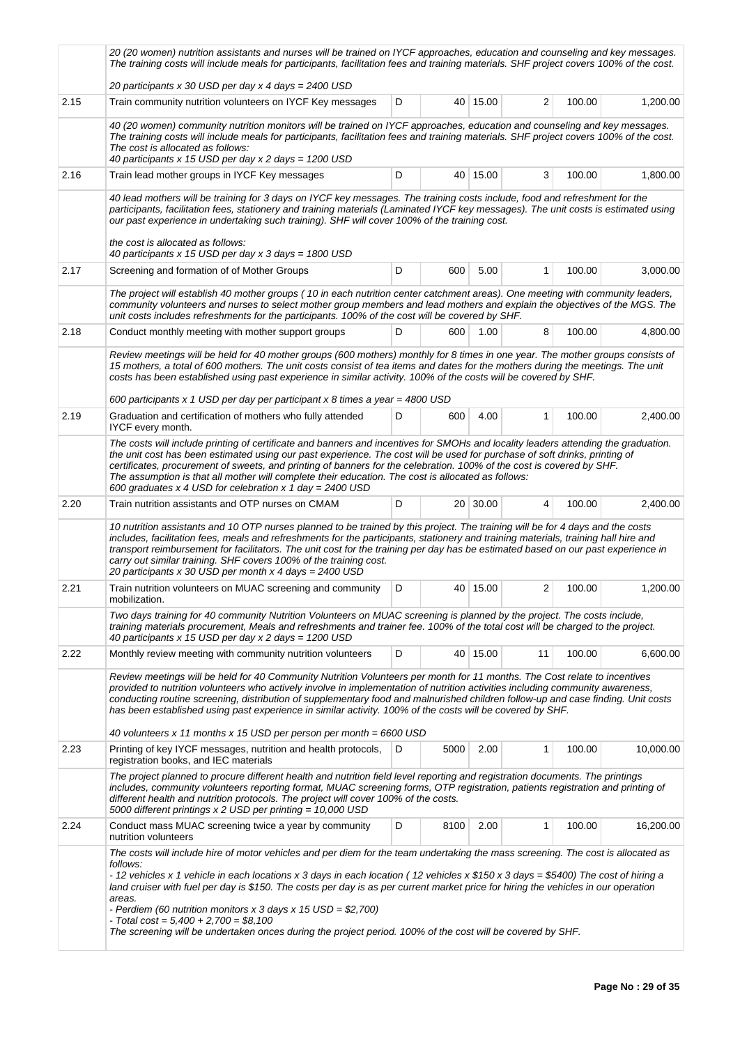|      | 20 (20 women) nutrition assistants and nurses will be trained on IYCF approaches, education and counseling and key messages.<br>The training costs will include meals for participants, facilitation fees and training materials. SHF project covers 100% of the cost.                                                                                                                                                                                                                                                                                                                                                                                            |   |      |          |    |        |           |  |  |
|------|-------------------------------------------------------------------------------------------------------------------------------------------------------------------------------------------------------------------------------------------------------------------------------------------------------------------------------------------------------------------------------------------------------------------------------------------------------------------------------------------------------------------------------------------------------------------------------------------------------------------------------------------------------------------|---|------|----------|----|--------|-----------|--|--|
|      | 20 participants x 30 USD per day x 4 days = 2400 USD                                                                                                                                                                                                                                                                                                                                                                                                                                                                                                                                                                                                              |   |      |          |    |        |           |  |  |
| 2.15 | Train community nutrition volunteers on IYCF Key messages                                                                                                                                                                                                                                                                                                                                                                                                                                                                                                                                                                                                         | D |      | 40 15.00 | 2  | 100.00 | 1,200.00  |  |  |
|      | 40 (20 women) community nutrition monitors will be trained on IYCF approaches, education and counseling and key messages.<br>The training costs will include meals for participants, facilitation fees and training materials. SHF project covers 100% of the cost.<br>The cost is allocated as follows:<br>40 participants x 15 USD per day x 2 days = 1200 USD                                                                                                                                                                                                                                                                                                  |   |      |          |    |        |           |  |  |
| 2.16 | Train lead mother groups in IYCF Key messages                                                                                                                                                                                                                                                                                                                                                                                                                                                                                                                                                                                                                     | D |      | 40 15.00 | 3  | 100.00 | 1.800.00  |  |  |
|      | 40 lead mothers will be training for 3 days on IYCF key messages. The training costs include, food and refreshment for the<br>participants, facilitation fees, stationery and training materials (Laminated IYCF key messages). The unit costs is estimated using<br>our past experience in undertaking such training). SHF will cover 100% of the training cost.<br>the cost is allocated as follows:                                                                                                                                                                                                                                                            |   |      |          |    |        |           |  |  |
|      | 40 participants x 15 USD per day x 3 days = 1800 USD                                                                                                                                                                                                                                                                                                                                                                                                                                                                                                                                                                                                              |   |      |          |    |        |           |  |  |
| 2.17 | Screening and formation of of Mother Groups                                                                                                                                                                                                                                                                                                                                                                                                                                                                                                                                                                                                                       | D | 600  | 5.00     | 1  | 100.00 | 3,000.00  |  |  |
|      | The project will establish 40 mother groups (10 in each nutrition center catchment areas). One meeting with community leaders,<br>community volunteers and nurses to select mother group members and lead mothers and explain the objectives of the MGS. The<br>unit costs includes refreshments for the participants. 100% of the cost will be covered by SHF.                                                                                                                                                                                                                                                                                                   |   |      |          |    |        |           |  |  |
| 2.18 | Conduct monthly meeting with mother support groups                                                                                                                                                                                                                                                                                                                                                                                                                                                                                                                                                                                                                | D | 600  | 1.00     | 8  | 100.00 | 4,800.00  |  |  |
|      | Review meetings will be held for 40 mother groups (600 mothers) monthly for 8 times in one year. The mother groups consists of<br>15 mothers, a total of 600 mothers. The unit costs consist of tea items and dates for the mothers during the meetings. The unit<br>costs has been established using past experience in similar activity. 100% of the costs will be covered by SHF.                                                                                                                                                                                                                                                                              |   |      |          |    |        |           |  |  |
|      | 600 participants x 1 USD per day per participant x 8 times a year = 4800 USD                                                                                                                                                                                                                                                                                                                                                                                                                                                                                                                                                                                      | D |      |          | 1  | 100.00 |           |  |  |
| 2.19 | Graduation and certification of mothers who fully attended<br>IYCF every month.                                                                                                                                                                                                                                                                                                                                                                                                                                                                                                                                                                                   |   | 600  | 4.00     |    |        | 2,400.00  |  |  |
|      | The costs will include printing of certificate and banners and incentives for SMOHs and locality leaders attending the graduation.<br>the unit cost has been estimated using our past experience. The cost will be used for purchase of soft drinks, printing of<br>certificates, procurement of sweets, and printing of banners for the celebration. 100% of the cost is covered by SHF.<br>The assumption is that all mother will complete their education. The cost is allocated as follows:<br>600 graduates x 4 USD for celebration x 1 day = 2400 USD                                                                                                       |   |      |          |    |        |           |  |  |
| 2.20 | Train nutrition assistants and OTP nurses on CMAM                                                                                                                                                                                                                                                                                                                                                                                                                                                                                                                                                                                                                 | D |      | 20 30.00 | 4  | 100.00 | 2,400.00  |  |  |
|      | 10 nutrition assistants and 10 OTP nurses planned to be trained by this project. The training will be for 4 days and the costs<br>includes, facilitation fees, meals and refreshments for the participants, stationery and training materials, training hall hire and<br>transport reimbursement for facilitators. The unit cost for the training per day has be estimated based on our past experience in<br>carry out similar training. SHF covers 100% of the training cost.<br>20 participants x 30 USD per month x 4 days = 2400 USD                                                                                                                         |   |      |          |    |        |           |  |  |
| 2.21 | Train nutrition volunteers on MUAC screening and community<br>mobilization.                                                                                                                                                                                                                                                                                                                                                                                                                                                                                                                                                                                       | D |      | 40 15.00 | 2  | 100.00 | 1,200.00  |  |  |
|      | Two days training for 40 community Nutrition Volunteers on MUAC screening is planned by the project. The costs include,<br>training materials procurement, Meals and refreshments and trainer fee. 100% of the total cost will be charged to the project.<br>40 participants x 15 USD per day x 2 days = 1200 USD                                                                                                                                                                                                                                                                                                                                                 |   |      |          |    |        |           |  |  |
| 2.22 | Monthly review meeting with community nutrition volunteers                                                                                                                                                                                                                                                                                                                                                                                                                                                                                                                                                                                                        | D |      | 40 15.00 | 11 | 100.00 | 6,600.00  |  |  |
|      | Review meetings will be held for 40 Community Nutrition Volunteers per month for 11 months. The Cost relate to incentives<br>provided to nutrition volunteers who actively involve in implementation of nutrition activities including community awareness,<br>conducting routine screening, distribution of supplementary food and malnurished children follow-up and case finding. Unit costs<br>has been established using past experience in similar activity. 100% of the costs will be covered by SHF.<br>40 volunteers x 11 months x 15 USD per person per month = $6600$ USD                                                                              |   |      |          |    |        |           |  |  |
| 2.23 | Printing of key IYCF messages, nutrition and health protocols,<br>registration books, and IEC materials                                                                                                                                                                                                                                                                                                                                                                                                                                                                                                                                                           | D | 5000 | 2.00     | 1  | 100.00 | 10.000.00 |  |  |
|      | The project planned to procure different health and nutrition field level reporting and registration documents. The printings<br>includes, community volunteers reporting format, MUAC screening forms, OTP registration, patients registration and printing of<br>different health and nutrition protocols. The project will cover 100% of the costs.<br>5000 different printings x 2 USD per printing = 10,000 USD                                                                                                                                                                                                                                              |   |      |          |    |        |           |  |  |
| 2.24 | Conduct mass MUAC screening twice a year by community<br>nutrition volunteers                                                                                                                                                                                                                                                                                                                                                                                                                                                                                                                                                                                     | D | 8100 | 2.00     | 1  | 100.00 | 16,200.00 |  |  |
|      | The costs will include hire of motor vehicles and per diem for the team undertaking the mass screening. The cost is allocated as<br>follows:<br>- 12 vehicles x 1 vehicle in each locations x 3 days in each location (12 vehicles x \$150 x 3 days = \$5400) The cost of hiring a<br>land cruiser with fuel per day is \$150. The costs per day is as per current market price for hiring the vehicles in our operation<br>areas.<br>- Perdiem (60 nutrition monitors x 3 days x 15 $USD = $2,700$ )<br>$-$ Total cost = 5,400 $+$ 2,700 = \$8,100<br>The screening will be undertaken onces during the project period. 100% of the cost will be covered by SHF. |   |      |          |    |        |           |  |  |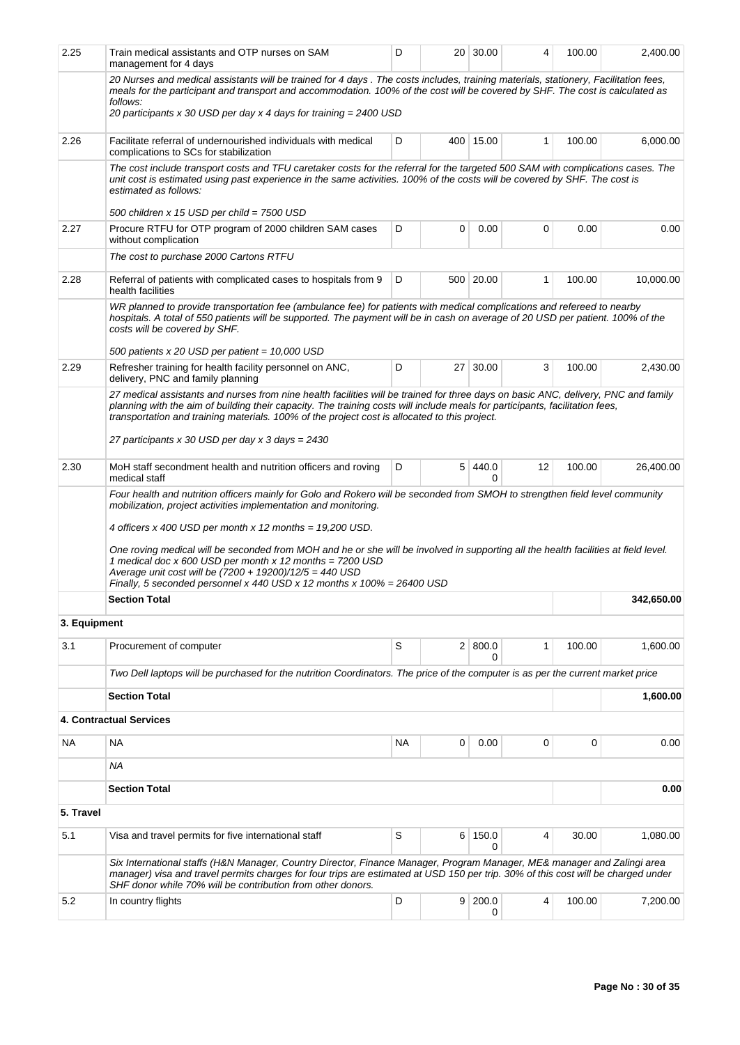| 2.25         | Train medical assistants and OTP nurses on SAM<br>management for 4 days                                                                                                                                                                                                                                                                                                                                                                                                | D  |    | 20 30.00       | 4  | 100.00 | 2,400.00   |  |  |
|--------------|------------------------------------------------------------------------------------------------------------------------------------------------------------------------------------------------------------------------------------------------------------------------------------------------------------------------------------------------------------------------------------------------------------------------------------------------------------------------|----|----|----------------|----|--------|------------|--|--|
|              | 20 Nurses and medical assistants will be trained for 4 days . The costs includes, training materials, stationery, Facilitation fees,<br>meals for the participant and transport and accommodation. 100% of the cost will be covered by SHF. The cost is calculated as<br>follows:<br>20 participants x 30 USD per day x 4 days for training = 2400 USD                                                                                                                 |    |    |                |    |        |            |  |  |
| 2.26         | Facilitate referral of undernourished individuals with medical<br>complications to SCs for stabilization                                                                                                                                                                                                                                                                                                                                                               | D  |    | 400 15.00      | 1  | 100.00 | 6,000.00   |  |  |
|              | The cost include transport costs and TFU caretaker costs for the referral for the targeted 500 SAM with complications cases. The<br>unit cost is estimated using past experience in the same activities. 100% of the costs will be covered by SHF. The cost is<br>estimated as follows:                                                                                                                                                                                |    |    |                |    |        |            |  |  |
|              | 500 children x 15 USD per child = 7500 USD                                                                                                                                                                                                                                                                                                                                                                                                                             |    |    |                |    |        |            |  |  |
| 2.27         | Procure RTFU for OTP program of 2000 children SAM cases<br>without complication                                                                                                                                                                                                                                                                                                                                                                                        | D  |    |                |    |        |            |  |  |
|              | The cost to purchase 2000 Cartons RTFU                                                                                                                                                                                                                                                                                                                                                                                                                                 |    |    |                |    |        |            |  |  |
| 2.28         | Referral of patients with complicated cases to hospitals from 9<br>health facilities                                                                                                                                                                                                                                                                                                                                                                                   | D  |    | 500 20.00      | 1  | 100.00 | 10,000.00  |  |  |
|              | WR planned to provide transportation fee (ambulance fee) for patients with medical complications and refereed to nearby<br>hospitals. A total of 550 patients will be supported. The payment will be in cash on average of 20 USD per patient. 100% of the<br>costs will be covered by SHF.                                                                                                                                                                            |    |    |                |    |        |            |  |  |
| 2.29         | 500 patients x 20 USD per patient = 10,000 USD<br>Refresher training for health facility personnel on ANC,                                                                                                                                                                                                                                                                                                                                                             | D  | 27 | 30.00          | 3  | 100.00 | 2,430.00   |  |  |
|              | delivery, PNC and family planning                                                                                                                                                                                                                                                                                                                                                                                                                                      |    |    |                |    |        |            |  |  |
|              | 27 medical assistants and nurses from nine health facilities will be trained for three days on basic ANC, delivery, PNC and family<br>planning with the aim of building their capacity. The training costs will include meals for participants, facilitation fees,<br>transportation and training materials. 100% of the project cost is allocated to this project.<br>27 participants x 30 USD per day x 3 days = 2430                                                |    |    |                |    |        |            |  |  |
| 2.30         | MoH staff secondment health and nutrition officers and roving<br>medical staff                                                                                                                                                                                                                                                                                                                                                                                         | D  | 5  | 440.0<br>0     | 12 | 100.00 | 26,400.00  |  |  |
|              | mobilization, project activities implementation and monitoring.<br>4 officers x 400 USD per month x 12 months = 19,200 USD.<br>One roving medical will be seconded from MOH and he or she will be involved in supporting all the health facilities at field level.<br>1 medical doc x 600 USD per month x 12 months = 7200 USD<br>Average unit cost will be (7200 + 19200)/12/5 = 440 USD<br>Finally, 5 seconded personnel x 440 USD x 12 months x $100\% = 26400$ USD |    |    |                |    |        |            |  |  |
|              | <b>Section Total</b>                                                                                                                                                                                                                                                                                                                                                                                                                                                   |    |    |                |    |        | 342,650.00 |  |  |
| 3. Equipment |                                                                                                                                                                                                                                                                                                                                                                                                                                                                        |    |    |                |    |        |            |  |  |
|              |                                                                                                                                                                                                                                                                                                                                                                                                                                                                        |    |    |                |    |        |            |  |  |
| 3.1          | Procurement of computer                                                                                                                                                                                                                                                                                                                                                                                                                                                | S  |    | 2   800.0<br>0 | 1  | 100.00 | 1,600.00   |  |  |
|              | Two Dell laptops will be purchased for the nutrition Coordinators. The price of the computer is as per the current market price                                                                                                                                                                                                                                                                                                                                        |    |    |                |    |        |            |  |  |
|              | <b>Section Total</b>                                                                                                                                                                                                                                                                                                                                                                                                                                                   |    |    |                |    |        | 1,600.00   |  |  |
|              | <b>4. Contractual Services</b>                                                                                                                                                                                                                                                                                                                                                                                                                                         |    |    |                |    |        |            |  |  |
| NA           | <b>NA</b>                                                                                                                                                                                                                                                                                                                                                                                                                                                              | NA | 0  | 0.00           | 0  | 0      | 0.00       |  |  |
|              | ΝA                                                                                                                                                                                                                                                                                                                                                                                                                                                                     |    |    |                |    |        |            |  |  |
|              | <b>Section Total</b>                                                                                                                                                                                                                                                                                                                                                                                                                                                   |    |    |                |    |        | 0.00       |  |  |
| 5. Travel    |                                                                                                                                                                                                                                                                                                                                                                                                                                                                        |    |    |                |    |        |            |  |  |
| 5.1          | Visa and travel permits for five international staff                                                                                                                                                                                                                                                                                                                                                                                                                   | S  | 6  | 150.0<br>0     | 4  | 30.00  | 1,080.00   |  |  |
|              |                                                                                                                                                                                                                                                                                                                                                                                                                                                                        |    |    |                |    |        |            |  |  |
|              | Six International staffs (H&N Manager, Country Director, Finance Manager, Program Manager, ME& manager and Zalingi area<br>manager) visa and travel permits charges for four trips are estimated at USD 150 per trip. 30% of this cost will be charged under<br>SHF donor while 70% will be contribution from other donors.                                                                                                                                            |    |    |                |    |        |            |  |  |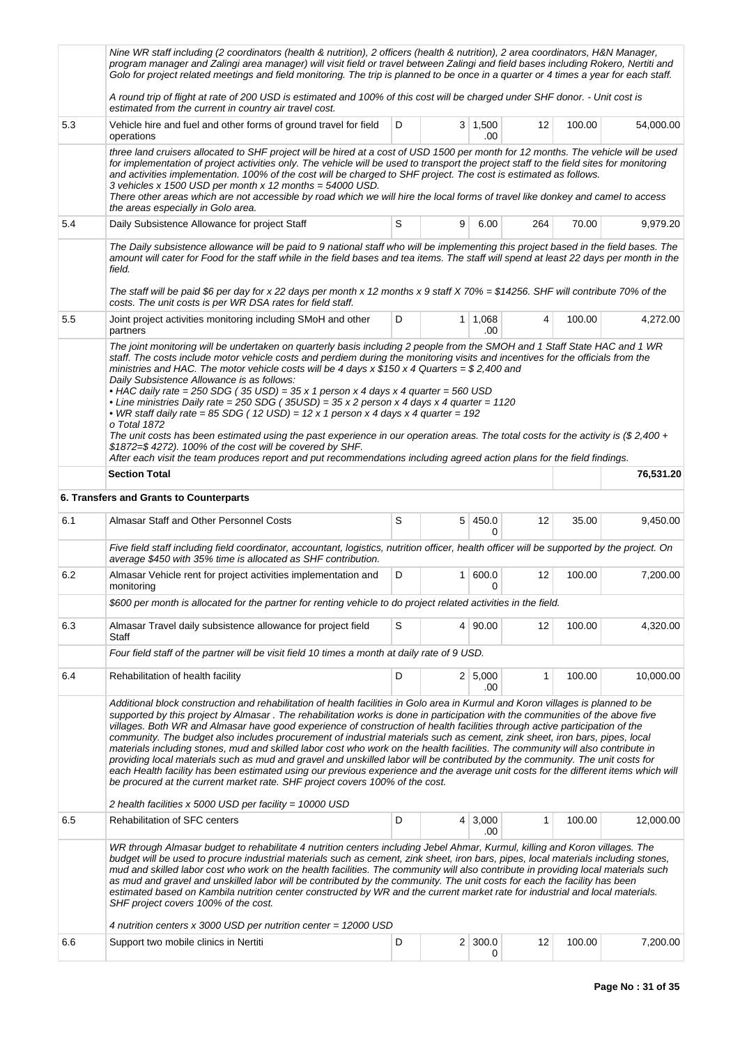|                                                                                                                                                                                                                                                                                                                                                                                                                                                                                                                                                                                                                                                                                                                                                                                                                                                                                                                                                                                                                                                                                        | Nine WR staff including (2 coordinators (health & nutrition), 2 officers (health & nutrition), 2 area coordinators, H&N Manager,<br>program manager and Zalingi area manager) will visit field or travel between Zalingi and field bases including Rokero, Nertiti and<br>Golo for project related meetings and field monitoring. The trip is planned to be once in a quarter or 4 times a year for each staff.                                                                                                                                                                                                                                                                                                                                                                                                                                                                                                                                                                                                                      |   |                |                       |     |        |           |  |  |  |  |
|----------------------------------------------------------------------------------------------------------------------------------------------------------------------------------------------------------------------------------------------------------------------------------------------------------------------------------------------------------------------------------------------------------------------------------------------------------------------------------------------------------------------------------------------------------------------------------------------------------------------------------------------------------------------------------------------------------------------------------------------------------------------------------------------------------------------------------------------------------------------------------------------------------------------------------------------------------------------------------------------------------------------------------------------------------------------------------------|--------------------------------------------------------------------------------------------------------------------------------------------------------------------------------------------------------------------------------------------------------------------------------------------------------------------------------------------------------------------------------------------------------------------------------------------------------------------------------------------------------------------------------------------------------------------------------------------------------------------------------------------------------------------------------------------------------------------------------------------------------------------------------------------------------------------------------------------------------------------------------------------------------------------------------------------------------------------------------------------------------------------------------------|---|----------------|-----------------------|-----|--------|-----------|--|--|--|--|
|                                                                                                                                                                                                                                                                                                                                                                                                                                                                                                                                                                                                                                                                                                                                                                                                                                                                                                                                                                                                                                                                                        | A round trip of flight at rate of 200 USD is estimated and 100% of this cost will be charged under SHF donor. - Unit cost is<br>estimated from the current in country air travel cost.                                                                                                                                                                                                                                                                                                                                                                                                                                                                                                                                                                                                                                                                                                                                                                                                                                               |   |                |                       |     |        |           |  |  |  |  |
| 5.3                                                                                                                                                                                                                                                                                                                                                                                                                                                                                                                                                                                                                                                                                                                                                                                                                                                                                                                                                                                                                                                                                    | Vehicle hire and fuel and other forms of ground travel for field<br>operations                                                                                                                                                                                                                                                                                                                                                                                                                                                                                                                                                                                                                                                                                                                                                                                                                                                                                                                                                       | D |                | $3 \mid 1,500$<br>.00 | 12  | 100.00 | 54,000.00 |  |  |  |  |
|                                                                                                                                                                                                                                                                                                                                                                                                                                                                                                                                                                                                                                                                                                                                                                                                                                                                                                                                                                                                                                                                                        | three land cruisers allocated to SHF project will be hired at a cost of USD 1500 per month for 12 months. The vehicle will be used<br>for implementation of project activities only. The vehicle will be used to transport the project staff to the field sites for monitoring<br>and activities implementation. 100% of the cost will be charged to SHF project. The cost is estimated as follows.<br>3 vehicles x 1500 USD per month x 12 months = $54000$ USD.<br>There other areas which are not accessible by road which we will hire the local forms of travel like donkey and camel to access<br>the areas especially in Golo area.                                                                                                                                                                                                                                                                                                                                                                                           |   |                |                       |     |        |           |  |  |  |  |
| 5.4                                                                                                                                                                                                                                                                                                                                                                                                                                                                                                                                                                                                                                                                                                                                                                                                                                                                                                                                                                                                                                                                                    | Daily Subsistence Allowance for project Staff                                                                                                                                                                                                                                                                                                                                                                                                                                                                                                                                                                                                                                                                                                                                                                                                                                                                                                                                                                                        | S | 9              | 6.00                  | 264 | 70.00  | 9,979.20  |  |  |  |  |
|                                                                                                                                                                                                                                                                                                                                                                                                                                                                                                                                                                                                                                                                                                                                                                                                                                                                                                                                                                                                                                                                                        | The Daily subsistence allowance will be paid to 9 national staff who will be implementing this project based in the field bases. The<br>amount will cater for Food for the staff while in the field bases and tea items. The staff will spend at least 22 days per month in the<br>field.<br>The staff will be paid \$6 per day for x 22 days per month x 12 months x 9 staff X 70% = \$14256. SHF will contribute 70% of the                                                                                                                                                                                                                                                                                                                                                                                                                                                                                                                                                                                                        |   |                |                       |     |        |           |  |  |  |  |
| 5.5                                                                                                                                                                                                                                                                                                                                                                                                                                                                                                                                                                                                                                                                                                                                                                                                                                                                                                                                                                                                                                                                                    | costs. The unit costs is per WR DSA rates for field staff.<br>Joint project activities monitoring including SMoH and other<br>partners                                                                                                                                                                                                                                                                                                                                                                                                                                                                                                                                                                                                                                                                                                                                                                                                                                                                                               | D |                | $1 \mid 1,068$<br>.00 | 4   | 100.00 | 4,272.00  |  |  |  |  |
|                                                                                                                                                                                                                                                                                                                                                                                                                                                                                                                                                                                                                                                                                                                                                                                                                                                                                                                                                                                                                                                                                        | The joint monitoring will be undertaken on quarterly basis including 2 people from the SMOH and 1 Staff State HAC and 1 WR<br>staff. The costs include motor vehicle costs and perdiem during the monitoring visits and incentives for the officials from the<br>ministries and HAC. The motor vehicle costs will be 4 days x $$150$ x 4 Quarters = \$2,400 and<br>Daily Subsistence Allowance is as follows:<br>• HAC daily rate = 250 SDG (35 USD) = 35 x 1 person x 4 days x 4 quarter = 560 USD<br>• Line ministries Daily rate = 250 SDG (35USD) = 35 x 2 person x 4 days x 4 quarter = 1120<br>• WR staff daily rate = 85 SDG (12 USD) = 12 x 1 person x 4 days x 4 quarter = 192<br>o Total 1872<br>The unit costs has been estimated using the past experience in our operation areas. The total costs for the activity is $$2,400 +$<br>\$1872=\$4272). 100% of the cost will be covered by SHF.<br>After each visit the team produces report and put recommendations including agreed action plans for the field findings. |   |                |                       |     |        |           |  |  |  |  |
|                                                                                                                                                                                                                                                                                                                                                                                                                                                                                                                                                                                                                                                                                                                                                                                                                                                                                                                                                                                                                                                                                        | <b>Section Total</b>                                                                                                                                                                                                                                                                                                                                                                                                                                                                                                                                                                                                                                                                                                                                                                                                                                                                                                                                                                                                                 |   |                |                       |     |        | 76,531.20 |  |  |  |  |
|                                                                                                                                                                                                                                                                                                                                                                                                                                                                                                                                                                                                                                                                                                                                                                                                                                                                                                                                                                                                                                                                                        | 6. Transfers and Grants to Counterparts                                                                                                                                                                                                                                                                                                                                                                                                                                                                                                                                                                                                                                                                                                                                                                                                                                                                                                                                                                                              |   |                |                       |     |        |           |  |  |  |  |
| 6.1                                                                                                                                                                                                                                                                                                                                                                                                                                                                                                                                                                                                                                                                                                                                                                                                                                                                                                                                                                                                                                                                                    | Almasar Staff and Other Personnel Costs                                                                                                                                                                                                                                                                                                                                                                                                                                                                                                                                                                                                                                                                                                                                                                                                                                                                                                                                                                                              | S |                | 5 450.0<br>0          | 12  | 35.00  | 9,450.00  |  |  |  |  |
|                                                                                                                                                                                                                                                                                                                                                                                                                                                                                                                                                                                                                                                                                                                                                                                                                                                                                                                                                                                                                                                                                        | Five field staff including field coordinator, accountant, logistics, nutrition officer, health officer will be supported by the project. On<br>average \$450 with 35% time is allocated as SHF contribution.                                                                                                                                                                                                                                                                                                                                                                                                                                                                                                                                                                                                                                                                                                                                                                                                                         |   |                |                       |     |        |           |  |  |  |  |
| 6.2                                                                                                                                                                                                                                                                                                                                                                                                                                                                                                                                                                                                                                                                                                                                                                                                                                                                                                                                                                                                                                                                                    | Almasar Vehicle rent for project activities implementation and<br>monitoring                                                                                                                                                                                                                                                                                                                                                                                                                                                                                                                                                                                                                                                                                                                                                                                                                                                                                                                                                         | D | 1 <sup>1</sup> | 600.0<br>0            | 12  | 100.00 | 7,200.00  |  |  |  |  |
|                                                                                                                                                                                                                                                                                                                                                                                                                                                                                                                                                                                                                                                                                                                                                                                                                                                                                                                                                                                                                                                                                        | \$600 per month is allocated for the partner for renting vehicle to do project related activities in the field.                                                                                                                                                                                                                                                                                                                                                                                                                                                                                                                                                                                                                                                                                                                                                                                                                                                                                                                      |   |                |                       |     |        |           |  |  |  |  |
| 6.3                                                                                                                                                                                                                                                                                                                                                                                                                                                                                                                                                                                                                                                                                                                                                                                                                                                                                                                                                                                                                                                                                    | Almasar Travel daily subsistence allowance for project field<br>Staff                                                                                                                                                                                                                                                                                                                                                                                                                                                                                                                                                                                                                                                                                                                                                                                                                                                                                                                                                                | S |                | 4 90.00               | 12  | 100.00 | 4,320.00  |  |  |  |  |
|                                                                                                                                                                                                                                                                                                                                                                                                                                                                                                                                                                                                                                                                                                                                                                                                                                                                                                                                                                                                                                                                                        | Four field staff of the partner will be visit field 10 times a month at daily rate of 9 USD.                                                                                                                                                                                                                                                                                                                                                                                                                                                                                                                                                                                                                                                                                                                                                                                                                                                                                                                                         |   |                |                       |     |        |           |  |  |  |  |
| 6.4                                                                                                                                                                                                                                                                                                                                                                                                                                                                                                                                                                                                                                                                                                                                                                                                                                                                                                                                                                                                                                                                                    | Rehabilitation of health facility                                                                                                                                                                                                                                                                                                                                                                                                                                                                                                                                                                                                                                                                                                                                                                                                                                                                                                                                                                                                    | D |                | 2 5,000<br>.00        | 1   | 100.00 | 10,000.00 |  |  |  |  |
| Additional block construction and rehabilitation of health facilities in Golo area in Kurmul and Koron villages is planned to be<br>supported by this project by Almasar. The rehabilitation works is done in participation with the communities of the above five<br>villages. Both WR and Almasar have good experience of construction of health facilities through active participation of the<br>community. The budget also includes procurement of industrial materials such as cement, zink sheet, iron bars, pipes, local<br>materials including stones, mud and skilled labor cost who work on the health facilities. The community will also contribute in<br>providing local materials such as mud and gravel and unskilled labor will be contributed by the community. The unit costs for<br>each Health facility has been estimated using our previous experience and the average unit costs for the different items which will<br>be procured at the current market rate. SHF project covers 100% of the cost.<br>2 health facilities x 5000 USD per facility = 10000 USD |                                                                                                                                                                                                                                                                                                                                                                                                                                                                                                                                                                                                                                                                                                                                                                                                                                                                                                                                                                                                                                      |   |                |                       |     |        |           |  |  |  |  |
| 6.5                                                                                                                                                                                                                                                                                                                                                                                                                                                                                                                                                                                                                                                                                                                                                                                                                                                                                                                                                                                                                                                                                    | <b>Rehabilitation of SFC centers</b>                                                                                                                                                                                                                                                                                                                                                                                                                                                                                                                                                                                                                                                                                                                                                                                                                                                                                                                                                                                                 | D |                | $4 \mid 3,000$<br>.00 | 1   | 100.00 | 12,000.00 |  |  |  |  |
|                                                                                                                                                                                                                                                                                                                                                                                                                                                                                                                                                                                                                                                                                                                                                                                                                                                                                                                                                                                                                                                                                        | WR through Almasar budget to rehabilitate 4 nutrition centers including Jebel Ahmar, Kurmul, killing and Koron villages. The<br>budget will be used to procure industrial materials such as cement, zink sheet, iron bars, pipes, local materials including stones,<br>mud and skilled labor cost who work on the health facilities. The community will also contribute in providing local materials such<br>as mud and gravel and unskilled labor will be contributed by the community. The unit costs for each the facility has been<br>estimated based on Kambila nutrition center constructed by WR and the current market rate for industrial and local materials.<br>SHF project covers 100% of the cost.<br>4 nutrition centers x 3000 USD per nutrition center = 12000 USD                                                                                                                                                                                                                                                   |   |                |                       |     |        |           |  |  |  |  |
| 6.6                                                                                                                                                                                                                                                                                                                                                                                                                                                                                                                                                                                                                                                                                                                                                                                                                                                                                                                                                                                                                                                                                    | Support two mobile clinics in Nertiti                                                                                                                                                                                                                                                                                                                                                                                                                                                                                                                                                                                                                                                                                                                                                                                                                                                                                                                                                                                                | D |                | $2 \mid 300.0$        | 12  | 100.00 | 7,200.00  |  |  |  |  |
|                                                                                                                                                                                                                                                                                                                                                                                                                                                                                                                                                                                                                                                                                                                                                                                                                                                                                                                                                                                                                                                                                        |                                                                                                                                                                                                                                                                                                                                                                                                                                                                                                                                                                                                                                                                                                                                                                                                                                                                                                                                                                                                                                      |   |                | 0                     |     |        |           |  |  |  |  |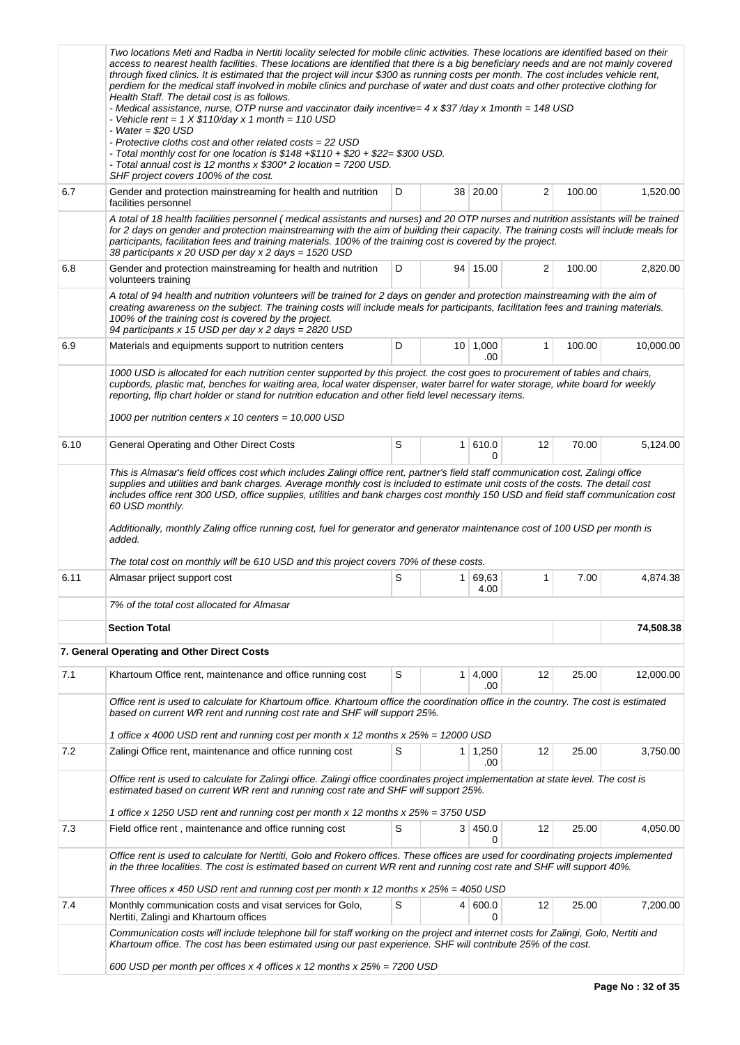|      | Two locations Meti and Radba in Nertiti locality selected for mobile clinic activities. These locations are identified based on their<br>access to nearest health facilities. These locations are identified that there is a big beneficiary needs and are not mainly covered<br>through fixed clinics. It is estimated that the project will incur \$300 as running costs per month. The cost includes vehicle rent,<br>perdiem for the medical staff involved in mobile clinics and purchase of water and dust coats and other protective clothing for<br>Health Staff. The detail cost is as follows.<br>- Medical assistance, nurse, OTP nurse and vaccinator daily incentive= 4 x \$37 /day x 1month = 148 USD<br>- Vehicle rent = $1 \times $110/day \times 1 month = 110 USD$<br>- Water = $$20$ USD<br>- Protective cloths cost and other related costs = 22 USD<br>- Total monthly cost for one location is $$148 + $110 + $20 + $22 = $300$ USD.<br>- Total annual cost is 12 months x \$300* 2 location = 7200 USD.<br>SHF project covers 100% of the cost. |   |                |                        |    |        |           |
|------|------------------------------------------------------------------------------------------------------------------------------------------------------------------------------------------------------------------------------------------------------------------------------------------------------------------------------------------------------------------------------------------------------------------------------------------------------------------------------------------------------------------------------------------------------------------------------------------------------------------------------------------------------------------------------------------------------------------------------------------------------------------------------------------------------------------------------------------------------------------------------------------------------------------------------------------------------------------------------------------------------------------------------------------------------------------------|---|----------------|------------------------|----|--------|-----------|
| 6.7  | Gender and protection mainstreaming for health and nutrition<br>facilities personnel                                                                                                                                                                                                                                                                                                                                                                                                                                                                                                                                                                                                                                                                                                                                                                                                                                                                                                                                                                                   | D |                | 38 20.00               | 2  | 100.00 | 1,520.00  |
|      | A total of 18 health facilities personnel (medical assistants and nurses) and 20 OTP nurses and nutrition assistants will be trained<br>for 2 days on gender and protection mainstreaming with the aim of building their capacity. The training costs will include meals for<br>participants, facilitation fees and training materials. 100% of the training cost is covered by the project.<br>38 participants x 20 USD per day x 2 days = 1520 USD                                                                                                                                                                                                                                                                                                                                                                                                                                                                                                                                                                                                                   |   |                |                        |    |        |           |
| 6.8  | Gender and protection mainstreaming for health and nutrition<br>volunteers training                                                                                                                                                                                                                                                                                                                                                                                                                                                                                                                                                                                                                                                                                                                                                                                                                                                                                                                                                                                    | 2 | 100.00         | 2,820.00               |    |        |           |
|      | A total of 94 health and nutrition volunteers will be trained for 2 days on gender and protection mainstreaming with the aim of<br>creating awareness on the subject. The training costs will include meals for participants, facilitation fees and training materials.<br>100% of the training cost is covered by the project.<br>94 participants x 15 USD per day x 2 days = 2820 USD                                                                                                                                                                                                                                                                                                                                                                                                                                                                                                                                                                                                                                                                                |   |                |                        |    |        |           |
| 6.9  | Materials and equipments support to nutrition centers                                                                                                                                                                                                                                                                                                                                                                                                                                                                                                                                                                                                                                                                                                                                                                                                                                                                                                                                                                                                                  | D |                | $10 \mid 1,000$<br>.00 | 1  | 100.00 | 10,000.00 |
| 6.10 | cupbords, plastic mat, benches for waiting area, local water dispenser, water barrel for water storage, white board for weekly<br>reporting, flip chart holder or stand for nutrition education and other field level necessary items.<br>1000 per nutrition centers $x$ 10 centers = 10,000 USD<br>General Operating and Other Direct Costs                                                                                                                                                                                                                                                                                                                                                                                                                                                                                                                                                                                                                                                                                                                           | S | 1 <sup>1</sup> | 610.0                  | 12 | 70.00  | 5,124.00  |
|      | This is Almasar's field offices cost which includes Zalingi office rent, partner's field staff communication cost, Zalingi office<br>supplies and utilities and bank charges. Average monthly cost is included to estimate unit costs of the costs. The detail cost<br>includes office rent 300 USD, office supplies, utilities and bank charges cost monthly 150 USD and field staff communication cost<br>60 USD monthly.<br>Additionally, monthly Zaling office running cost, fuel for generator and generator maintenance cost of 100 USD per month is<br>added.<br>The total cost on monthly will be 610 USD and this project covers 70% of these costs.                                                                                                                                                                                                                                                                                                                                                                                                          |   |                | 0                      |    |        |           |
| 6.11 | Almasar priject support cost                                                                                                                                                                                                                                                                                                                                                                                                                                                                                                                                                                                                                                                                                                                                                                                                                                                                                                                                                                                                                                           | S |                | 1 69,63<br>4.00        | 1  | 7.00   | 4,874.38  |
|      | 7% of the total cost allocated for Almasar                                                                                                                                                                                                                                                                                                                                                                                                                                                                                                                                                                                                                                                                                                                                                                                                                                                                                                                                                                                                                             |   |                |                        |    |        |           |
|      | <b>Section Total</b>                                                                                                                                                                                                                                                                                                                                                                                                                                                                                                                                                                                                                                                                                                                                                                                                                                                                                                                                                                                                                                                   |   |                |                        |    |        | 74,508.38 |
|      | 7. General Operating and Other Direct Costs                                                                                                                                                                                                                                                                                                                                                                                                                                                                                                                                                                                                                                                                                                                                                                                                                                                                                                                                                                                                                            |   |                |                        |    |        |           |
| 7.1  | Khartoum Office rent, maintenance and office running cost                                                                                                                                                                                                                                                                                                                                                                                                                                                                                                                                                                                                                                                                                                                                                                                                                                                                                                                                                                                                              | S |                | $1 \mid 4,000$<br>.00  | 12 | 25.00  | 12,000.00 |
|      | Office rent is used to calculate for Khartoum office. Khartoum office the coordination office in the country. The cost is estimated<br>based on current WR rent and running cost rate and SHF will support 25%.                                                                                                                                                                                                                                                                                                                                                                                                                                                                                                                                                                                                                                                                                                                                                                                                                                                        |   |                |                        |    |        |           |
|      | 1 office x 4000 USD rent and running cost per month x 12 months x 25% = 12000 USD                                                                                                                                                                                                                                                                                                                                                                                                                                                                                                                                                                                                                                                                                                                                                                                                                                                                                                                                                                                      | S |                |                        |    |        |           |
| 7.2  | Zalingi Office rent, maintenance and office running cost                                                                                                                                                                                                                                                                                                                                                                                                                                                                                                                                                                                                                                                                                                                                                                                                                                                                                                                                                                                                               |   |                | $1 \mid 1,250$<br>.00  | 12 | 25.00  | 3,750.00  |
|      | Office rent is used to calculate for Zalingi office. Zalingi office coordinates project implementation at state level. The cost is<br>estimated based on current WR rent and running cost rate and SHF will support 25%.                                                                                                                                                                                                                                                                                                                                                                                                                                                                                                                                                                                                                                                                                                                                                                                                                                               |   |                |                        |    |        |           |
|      | 1 office x 1250 USD rent and running cost per month x 12 months x 25% = 3750 USD                                                                                                                                                                                                                                                                                                                                                                                                                                                                                                                                                                                                                                                                                                                                                                                                                                                                                                                                                                                       |   |                |                        |    |        |           |
| 7.3  | Field office rent, maintenance and office running cost                                                                                                                                                                                                                                                                                                                                                                                                                                                                                                                                                                                                                                                                                                                                                                                                                                                                                                                                                                                                                 | S |                | 3 450.0<br>0           | 12 | 25.00  | 4,050.00  |
|      | Office rent is used to calculate for Nertiti, Golo and Rokero offices. These offices are used for coordinating projects implemented<br>in the three localities. The cost is estimated based on current WR rent and running cost rate and SHF will support 40%.                                                                                                                                                                                                                                                                                                                                                                                                                                                                                                                                                                                                                                                                                                                                                                                                         |   |                |                        |    |        |           |
|      | Three offices x 450 USD rent and running cost per month x 12 months x $25% = 4050$ USD                                                                                                                                                                                                                                                                                                                                                                                                                                                                                                                                                                                                                                                                                                                                                                                                                                                                                                                                                                                 |   |                |                        |    |        |           |
| 7.4  | Monthly communication costs and visat services for Golo,<br>Nertiti, Zalingi and Khartoum offices                                                                                                                                                                                                                                                                                                                                                                                                                                                                                                                                                                                                                                                                                                                                                                                                                                                                                                                                                                      | S |                | 4   600.0<br>0         | 12 | 25.00  | 7,200.00  |
|      | Communication costs will include telephone bill for staff working on the project and internet costs for Zalingi, Golo, Nertiti and<br>Khartoum office. The cost has been estimated using our past experience. SHF will contribute 25% of the cost.<br>600 USD per month per offices x 4 offices x 12 months x $25\% = 7200$ USD                                                                                                                                                                                                                                                                                                                                                                                                                                                                                                                                                                                                                                                                                                                                        |   |                |                        |    |        |           |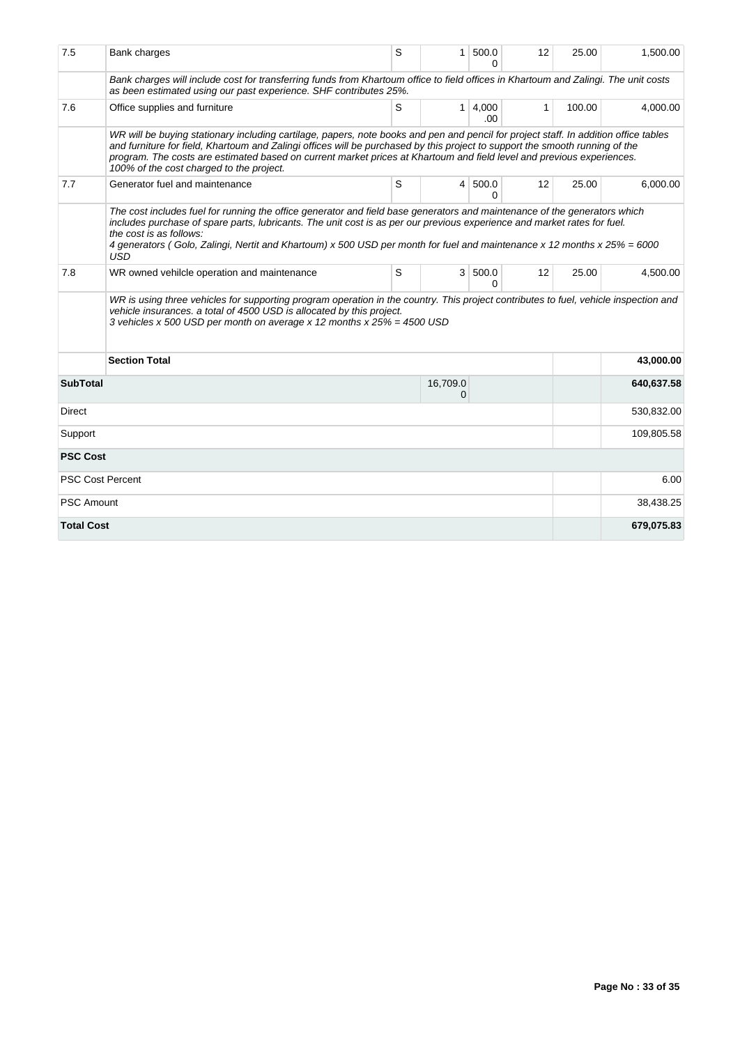| 7.5               | Bank charges                                                                                                                                                                                                                                                                                                                                                                                                                              | S | 1 <sup>1</sup> | 500.0<br>O        | 12 | 25.00  | 1,500.00   |
|-------------------|-------------------------------------------------------------------------------------------------------------------------------------------------------------------------------------------------------------------------------------------------------------------------------------------------------------------------------------------------------------------------------------------------------------------------------------------|---|----------------|-------------------|----|--------|------------|
|                   | Bank charges will include cost for transferring funds from Khartoum office to field offices in Khartoum and Zalingi. The unit costs<br>as been estimated using our past experience. SHF contributes 25%.                                                                                                                                                                                                                                  |   |                |                   |    |        |            |
| 7.6               | Office supplies and furniture                                                                                                                                                                                                                                                                                                                                                                                                             | S | 1 <sup>1</sup> | 4,000<br>.00      | 1  | 100.00 | 4,000.00   |
|                   | WR will be buying stationary including cartilage, papers, note books and pen and pencil for project staff. In addition office tables<br>and furniture for field, Khartoum and Zalingi offices will be purchased by this project to support the smooth running of the<br>program. The costs are estimated based on current market prices at Khartoum and field level and previous experiences.<br>100% of the cost charged to the project. |   |                |                   |    |        |            |
| 7.7               | Generator fuel and maintenance                                                                                                                                                                                                                                                                                                                                                                                                            | S | 4              | 500.0<br>$\Omega$ | 12 | 25.00  | 6,000.00   |
|                   | The cost includes fuel for running the office generator and field base generators and maintenance of the generators which<br>includes purchase of spare parts, lubricants. The unit cost is as per our previous experience and market rates for fuel.<br>the cost is as follows:<br>4 generators (Golo, Zalingi, Nertit and Khartoum) x 500 USD per month for fuel and maintenance x 12 months x 25% = 6000<br>USD                        |   |                |                   |    |        |            |
| 7.8               | WR owned vehilcle operation and maintenance                                                                                                                                                                                                                                                                                                                                                                                               | S | 3 <sup>1</sup> | 500.0<br>$\Omega$ | 12 | 25.00  | 4,500.00   |
|                   | WR is using three vehicles for supporting program operation in the country. This project contributes to fuel, vehicle inspection and<br>vehicle insurances. a total of 4500 USD is allocated by this project.<br>3 vehicles x 500 USD per month on average x 12 months x 25% = 4500 USD                                                                                                                                                   |   |                |                   |    |        |            |
|                   | <b>Section Total</b>                                                                                                                                                                                                                                                                                                                                                                                                                      |   |                |                   |    |        | 43,000.00  |
| <b>SubTotal</b>   |                                                                                                                                                                                                                                                                                                                                                                                                                                           |   | 16,709.0<br>0  |                   |    |        | 640,637.58 |
| Direct            |                                                                                                                                                                                                                                                                                                                                                                                                                                           |   |                |                   |    |        | 530,832.00 |
| Support           |                                                                                                                                                                                                                                                                                                                                                                                                                                           |   |                |                   |    |        | 109,805.58 |
| <b>PSC Cost</b>   |                                                                                                                                                                                                                                                                                                                                                                                                                                           |   |                |                   |    |        |            |
|                   | <b>PSC Cost Percent</b>                                                                                                                                                                                                                                                                                                                                                                                                                   |   |                |                   |    |        | 6.00       |
| <b>PSC Amount</b> |                                                                                                                                                                                                                                                                                                                                                                                                                                           |   |                |                   |    |        | 38,438.25  |
| <b>Total Cost</b> |                                                                                                                                                                                                                                                                                                                                                                                                                                           |   |                |                   |    |        | 679,075.83 |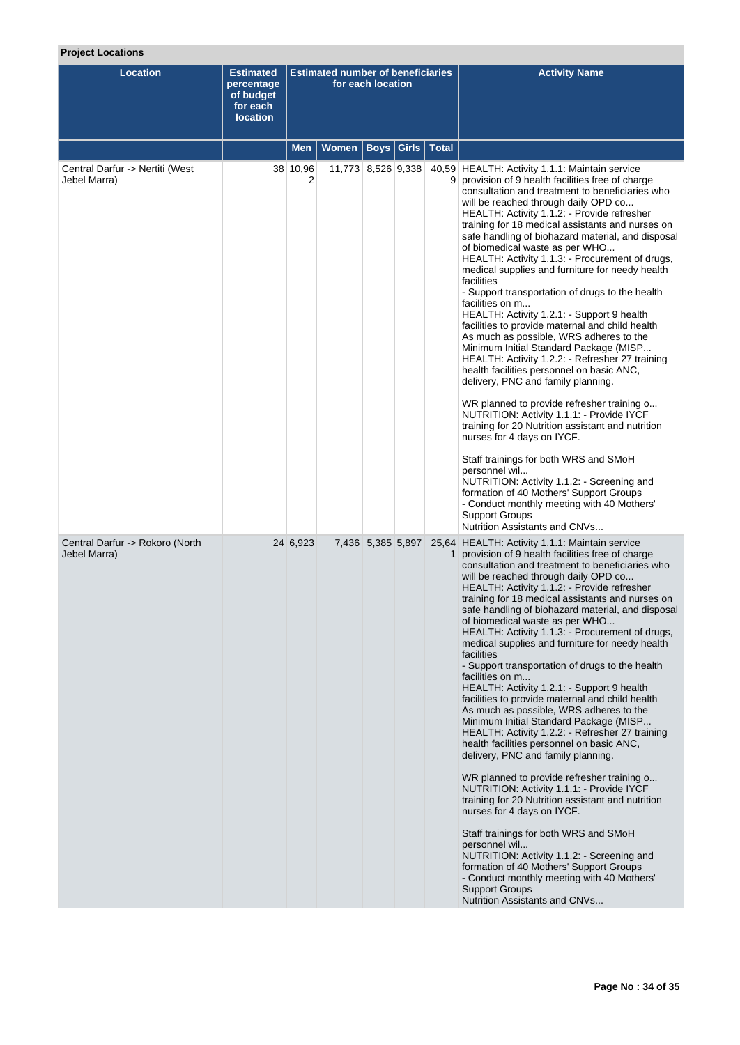# **Project Locations**

| <b>Location</b>                                 | <b>Estimated</b><br>percentage<br>of budget<br>for each<br><b>location</b> | <b>Estimated number of beneficiaries</b><br>for each location |                    |                       |  |              | <b>Activity Name</b>                                                                                                                                                                                                                                                                                                                                                                                                                                                                                                                                                                                                                                                                                                                                                                                                                                                                                                                                                                                                                                                                                                                                                                                                                                                                                                                                                                   |
|-------------------------------------------------|----------------------------------------------------------------------------|---------------------------------------------------------------|--------------------|-----------------------|--|--------------|----------------------------------------------------------------------------------------------------------------------------------------------------------------------------------------------------------------------------------------------------------------------------------------------------------------------------------------------------------------------------------------------------------------------------------------------------------------------------------------------------------------------------------------------------------------------------------------------------------------------------------------------------------------------------------------------------------------------------------------------------------------------------------------------------------------------------------------------------------------------------------------------------------------------------------------------------------------------------------------------------------------------------------------------------------------------------------------------------------------------------------------------------------------------------------------------------------------------------------------------------------------------------------------------------------------------------------------------------------------------------------------|
|                                                 |                                                                            | <b>Men</b>                                                    | Women              | <b>Boys   Girls  </b> |  | <b>Total</b> |                                                                                                                                                                                                                                                                                                                                                                                                                                                                                                                                                                                                                                                                                                                                                                                                                                                                                                                                                                                                                                                                                                                                                                                                                                                                                                                                                                                        |
| Central Darfur -> Nertiti (West<br>Jebel Marra) |                                                                            | 38 10,96                                                      | 11,773 8,526 9,338 |                       |  |              | 40,59 HEALTH: Activity 1.1.1: Maintain service<br>9 provision of 9 health facilities free of charge<br>consultation and treatment to beneficiaries who<br>will be reached through daily OPD co<br>HEALTH: Activity 1.1.2: - Provide refresher<br>training for 18 medical assistants and nurses on<br>safe handling of biohazard material, and disposal<br>of biomedical waste as per WHO<br>HEALTH: Activity 1.1.3: - Procurement of drugs,<br>medical supplies and furniture for needy health<br>facilities<br>- Support transportation of drugs to the health<br>facilities on m<br>HEALTH: Activity 1.2.1: - Support 9 health<br>facilities to provide maternal and child health<br>As much as possible, WRS adheres to the<br>Minimum Initial Standard Package (MISP<br>HEALTH: Activity 1.2.2: - Refresher 27 training<br>health facilities personnel on basic ANC,<br>delivery, PNC and family planning.<br>WR planned to provide refresher training o<br>NUTRITION: Activity 1.1.1: - Provide IYCF<br>training for 20 Nutrition assistant and nutrition<br>nurses for 4 days on IYCF.<br>Staff trainings for both WRS and SMoH<br>personnel wil<br>NUTRITION: Activity 1.1.2: - Screening and<br>formation of 40 Mothers' Support Groups<br>- Conduct monthly meeting with 40 Mothers'<br>Support Groups                                                                        |
| Central Darfur -> Rokoro (North<br>Jebel Marra) |                                                                            | 24 6,923                                                      |                    | 7,436 5,385 5,897     |  | 1            | Nutrition Assistants and CNVs<br>25,64 HEALTH: Activity 1.1.1: Maintain service<br>provision of 9 health facilities free of charge<br>consultation and treatment to beneficiaries who<br>will be reached through daily OPD co<br>HEALTH: Activity 1.1.2: - Provide refresher<br>training for 18 medical assistants and nurses on<br>safe handling of biohazard material, and disposal<br>of biomedical waste as per WHO<br>HEALTH: Activity 1.1.3: - Procurement of drugs,<br>medical supplies and furniture for needy health<br>facilities<br>- Support transportation of drugs to the health<br>facilities on m<br>HEALTH: Activity 1.2.1: - Support 9 health<br>facilities to provide maternal and child health<br>As much as possible, WRS adheres to the<br>Minimum Initial Standard Package (MISP<br>HEALTH: Activity 1.2.2: - Refresher 27 training<br>health facilities personnel on basic ANC,<br>delivery, PNC and family planning.<br>WR planned to provide refresher training o<br>NUTRITION: Activity 1.1.1: - Provide IYCF<br>training for 20 Nutrition assistant and nutrition<br>nurses for 4 days on IYCF.<br>Staff trainings for both WRS and SMoH<br>personnel wil<br>NUTRITION: Activity 1.1.2: - Screening and<br>formation of 40 Mothers' Support Groups<br>- Conduct monthly meeting with 40 Mothers'<br><b>Support Groups</b><br>Nutrition Assistants and CNVs |